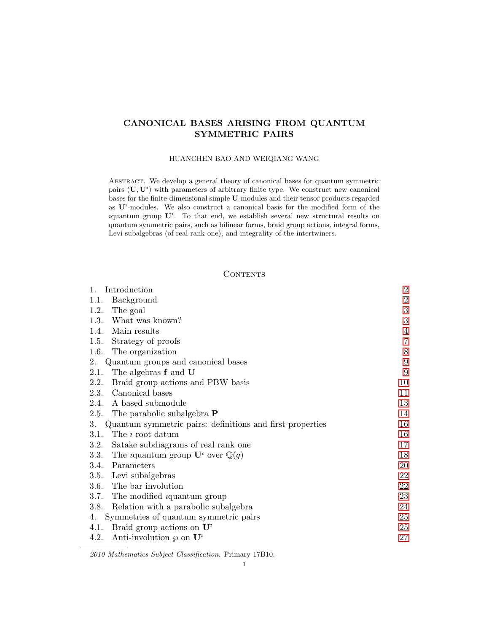# <span id="page-0-0"></span>CANONICAL BASES ARISING FROM QUANTUM SYMMETRIC PAIRS

### HUANCHEN BAO AND WEIQIANG WANG

Abstract. We develop a general theory of canonical bases for quantum symmetric pairs  $(\mathbf{U}, \mathbf{U}^i)$  with parameters of arbitrary finite type. We construct new canonical bases for the finite-dimensional simple U-modules and their tensor products regarded as  $U^i$ -modules. We also construct a canonical basis for the modified form of the iquantum group  $U^i$ . To that end, we establish several new structural results on quantum symmetric pairs, such as bilinear forms, braid group actions, integral forms, Levi subalgebras (of real rank one), and integrality of the intertwiners.

## **CONTENTS**

| Introduction<br>1.                                                     | $\boldsymbol{2}$ |
|------------------------------------------------------------------------|------------------|
| Background<br>1.1.                                                     | $\sqrt{2}$       |
| The goal<br>1.2.                                                       | $\sqrt{3}$       |
| What was known?<br>1.3.                                                | 3                |
| 1.4.<br>Main results                                                   | $\overline{4}$   |
| Strategy of proofs<br>1.5.                                             | $\overline{7}$   |
| 1.6.<br>The organization                                               | $8\,$            |
| Quantum groups and canonical bases<br>2.                               | $\boldsymbol{9}$ |
| 2.1.<br>The algebras f and U                                           | 9                |
| 2.2.<br>Braid group actions and PBW basis                              | 10               |
| Canonical bases<br>2.3.                                                | 11               |
| A based submodule<br>2.4.                                              | 13               |
| The parabolic subalgebra <b>P</b><br>2.5.                              | 14               |
| Quantum symmetric pairs: definitions and first properties<br>3.        | 16               |
| 3.1.<br>The <i>t</i> -root datum                                       | 16               |
| Satake subdiagrams of real rank one<br>3.2.                            | 17               |
| 3.3.<br>The <i>i</i> quantum group $\mathbf{U}^i$ over $\mathbb{Q}(q)$ | 18               |
| Parameters<br>3.4.                                                     | 20               |
| 3.5.<br>Levi subalgebras                                               | 22               |
| The bar involution<br><b>3.6.</b>                                      | 22               |
| The modified <i>i</i> quantum group<br>3.7.                            | 23               |
| Relation with a parabolic subalgebra<br>3.8.                           | 24               |
| Symmetries of quantum symmetric pairs<br>4.                            | 25               |
| Braid group actions on $\mathbf{U}^i$<br>4.1.                          | 25               |
| 4.2.<br>Anti-involution $\varphi$ on $\mathbf{U}^i$                    | $27\,$           |
|                                                                        |                  |

<sup>2010</sup> Mathematics Subject Classification. Primary 17B10.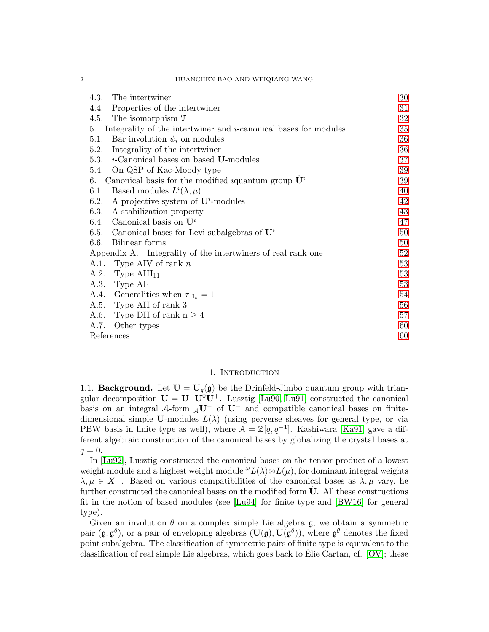#### 2 HUANCHEN BAO AND WEIQIANG WANG

| The intertwiner<br>4.3.                                                      | 30 |
|------------------------------------------------------------------------------|----|
| Properties of the intertwiner<br>4.4.                                        | 31 |
| The isomorphism $\mathfrak T$<br>4.5.                                        | 32 |
| Integrality of the intertwiner and $\nu$ -canonical bases for modules<br>5.  | 35 |
| Bar involution $\psi_i$ on modules<br>5.1.                                   | 36 |
| Integrality of the intertwiner<br>5.2.                                       | 36 |
| 5.3. $\imath$ -Canonical bases on based <b>U</b> -modules                    | 37 |
| 5.4. On QSP of Kac-Moody type                                                | 39 |
| Canonical basis for the modified <i>i</i> quantum group $\mathbf{U}^i$<br>6. | 39 |
| Based modules $L^i(\lambda, \mu)$<br>6.1.                                    | 40 |
| A projective system of $\mathbf{U}^i$ -modules<br>6.2.                       | 42 |
| 6.3.<br>A stabilization property                                             | 43 |
| 6.4. Canonical basis on $\dot{\mathbf{U}}^i$                                 | 47 |
| 6.5. Canonical bases for Levi subalgebras of $\mathbf{U}^i$                  | 50 |
| Bilinear forms<br>6.6.                                                       | 50 |
| Appendix A. Integrality of the intertwiners of real rank one                 | 52 |
| A.1. Type AIV of rank $n$                                                    | 53 |
| A.2. Type $\text{AIII}_{11}$                                                 | 53 |
| A.3. Type $AI1$                                                              | 53 |
| A.4. Generalities when $\tau _{\mathbb{I}_{0}}=1$                            | 54 |
| A.5. Type AII of rank 3                                                      | 56 |
| A.6. Type DII of rank $n \geq 4$                                             | 57 |
| A.7.<br>Other types                                                          | 60 |
| References                                                                   | 60 |

#### 1. INTRODUCTION

<span id="page-1-1"></span><span id="page-1-0"></span>1.1. **Background.** Let  $U = U_q(g)$  be the Drinfeld-Jimbo quantum group with triangular decomposition  $U = U^-U^0U^+$ . Lusztig [\[Lu90,](#page-60-0) [Lu91\]](#page-60-1) constructed the canonical basis on an integral A-form  $_AU^-$  of  $U^-$  and compatible canonical bases on finitedimensional simple U-modules  $L(\lambda)$  (using perverse sheaves for general type, or via PBW basis in finite type as well), where  $A = \mathbb{Z}[q, q^{-1}]$ . Kashiwara [\[Ka91\]](#page-60-2) gave a different algebraic construction of the canonical bases by globalizing the crystal bases at  $q=0.$ 

In [\[Lu92\]](#page-60-3), Lusztig constructed the canonical bases on the tensor product of a lowest weight module and a highest weight module  $\omega L(\lambda) \otimes L(\mu)$ , for dominant integral weights  $\lambda, \mu \in X^+$ . Based on various compatibilities of the canonical bases as  $\lambda, \mu$  vary, he further constructed the canonical bases on the modified form  $\dot{\mathbf{U}}$ . All these constructions fit in the notion of based modules (see [\[Lu94\]](#page-60-4) for finite type and [\[BW16\]](#page-59-2) for general type).

Given an involution  $\theta$  on a complex simple Lie algebra g, we obtain a symmetric pair  $(\mathfrak{g}, \mathfrak{g}^\theta)$ , or a pair of enveloping algebras  $(\mathbf{U}(\mathfrak{g}), \mathbf{U}(\mathfrak{g}^\theta))$ , where  $\mathfrak{g}^\theta$  denotes the fixed point subalgebra. The classification of symmetric pairs of finite type is equivalent to the classification of real simple Lie algebras, which goes back to Elie Cartan, cf.  $[OV]$ ; these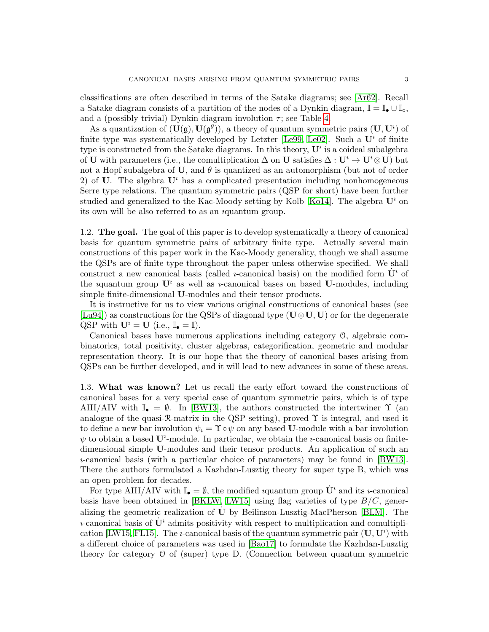classifications are often described in terms of the Satake diagrams; see [\[Ar62\]](#page-59-3). Recall a Satake diagram consists of a partition of the nodes of a Dynkin diagram,  $\mathbb{I} = \mathbb{I}_{\bullet} \cup \mathbb{I}_{\circ}$ , and a (possibly trivial) Dynkin diagram involution  $\tau$ ; see Table [4.](#page-61-0)

As a quantization of  $(\mathbf{U}(\mathfrak{g}), \mathbf{U}(\mathfrak{g}^{\theta}))$ , a theory of quantum symmetric pairs  $(\mathbf{U}, \mathbf{U}^i)$  of finite type was systematically developed by Letzter [\[Le99,](#page-60-6) [Le02\]](#page-60-7). Such a  $\mathbf{U}^i$  of finite type is constructed from the Satake diagrams. In this theory,  $\mathbf{U}^i$  is a coideal subalgebra of U with parameters (i.e., the comultiplication  $\Delta$  on U satisfies  $\Delta: \mathbf{U}^i \to \mathbf{U}^i \otimes \mathbf{U}$ ) but not a Hopf subalgebra of U, and  $\theta$  is quantized as an automorphism (but not of order 2) of U. The algebra  $\mathbf{U}^i$  has a complicated presentation including nonhomogeneous Serre type relations. The quantum symmetric pairs (QSP for short) have been further studied and generalized to the Kac-Moody setting by Kolb [\[Ko14\]](#page-60-8). The algebra  $\mathbf{U}^i$  on its own will be also referred to as an ıquantum group.

<span id="page-2-0"></span>1.2. The goal. The goal of this paper is to develop systematically a theory of canonical basis for quantum symmetric pairs of arbitrary finite type. Actually several main constructions of this paper work in the Kac-Moody generality, though we shall assume the QSPs are of finite type throughout the paper unless otherwise specified. We shall construct a new canonical basis (called *u*-canonical basis) on the modified form  $\mathbf{U}^i$  of the *i*quantum group  $\mathbf{U}^i$  as well as *i*-canonical bases on based U-modules, including simple finite-dimensional U-modules and their tensor products.

It is instructive for us to view various original constructions of canonical bases (see [\[Lu94\]](#page-60-4)) as constructions for the QSPs of diagonal type ( $U \otimes U, U$ ) or for the degenerate QSP with  $\mathbf{U}^i = \mathbf{U}$  (i.e.,  $\mathbb{I}_{\bullet} = \mathbb{I}$ ).

Canonical bases have numerous applications including category O, algebraic combinatorics, total positivity, cluster algebras, categorification, geometric and modular representation theory. It is our hope that the theory of canonical bases arising from QSPs can be further developed, and it will lead to new advances in some of these areas.

<span id="page-2-1"></span>1.3. What was known? Let us recall the early effort toward the constructions of canonical bases for a very special case of quantum symmetric pairs, which is of type AIII/AIV with  $\mathbb{I}_{\bullet} = \emptyset$ . In [\[BW13\]](#page-59-4), the authors constructed the intertwiner  $\Upsilon$  (an analogue of the quasi- $\mathcal{R}-$ matrix in the QSP setting), proved  $\Upsilon$  is integral, and used it to define a new bar involution  $\psi_i = \Upsilon \circ \psi$  on any based U-module with a bar involution  $\psi$  to obtain a based  $\mathbf{U}^i$ -module. In particular, we obtain the *u*-canonical basis on finitedimensional simple U-modules and their tensor products. An application of such an ı-canonical basis (with a particular choice of parameters) may be found in [\[BW13\]](#page-59-4). There the authors formulated a Kazhdan-Lusztig theory for super type B, which was an open problem for decades.

For type AIII/AIV with  $\mathbb{I}_{\bullet} = \emptyset$ , the modified *i*quantum group  $\dot{\mathbf{U}}^i$  and its *i*-canonical basis have been obtained in [\[BKLW,](#page-59-5) [LW15\]](#page-60-9) using flag varieties of type  $B/C$ , generalizing the geometric realization of U˙ by Beilinson-Lusztig-MacPherson [\[BLM\]](#page-59-6). The *u*-canonical basis of  $\dot{\mathbf{U}}^i$  admits positivity with respect to multiplication and comultipli-cation [\[LW15,](#page-60-9) [FL15\]](#page-59-7). The *i*-canonical basis of the quantum symmetric pair  $(U, U^i)$  with a different choice of parameters was used in [\[Bao17\]](#page-59-8) to formulate the Kazhdan-Lusztig theory for category O of (super) type D. (Connection between quantum symmetric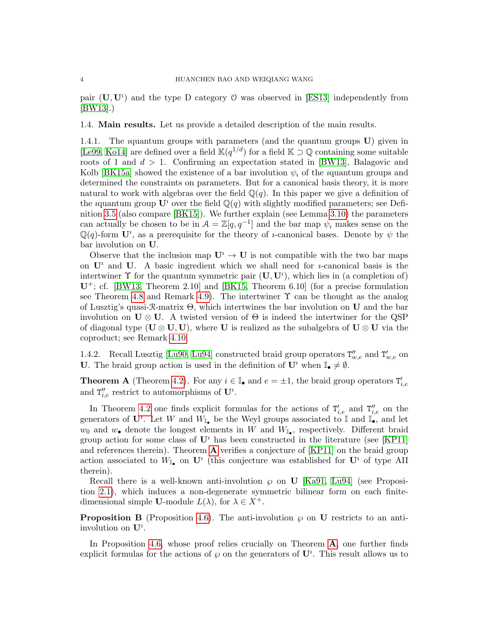pair  $(U, U^i)$  and the type D category O was observed in [\[ES13\]](#page-59-9) independently from [\[BW13\]](#page-59-4).)

<span id="page-3-0"></span>1.4. Main results. Let us provide a detailed description of the main results.

1.4.1. The ıquantum groups with parameters (and the quantum groups U) given in [\[Le99,](#page-60-6) [Ko14\]](#page-60-8) are defined over a field  $\mathbb{K}(q^{1/d})$  for a field  $\mathbb{K} \supset \mathbb{Q}$  containing some suitable roots of 1 and  $d > 1$ . Confirming an expectation stated in [\[BW13\]](#page-59-4), Balagovic and Kolb [\[BK15a\]](#page-59-10) showed the existence of a bar involution  $\psi_i$  of the *i*quantum groups and determined the constraints on parameters. But for a canonical basis theory, it is more natural to work with algebras over the field  $\mathbb{Q}(q)$ . In this paper we give a definition of the iquantum group  $\mathbf{U}^i$  over the field  $\mathbb{Q}(q)$  with slightly modified parameters; see Definition [3.5](#page-17-1) (also compare [\[BK15\]](#page-59-11)). We further explain (see Lemma [3.10\)](#page-19-1) the parameters can actually be chosen to be in  $A = \mathbb{Z}[q, q^{-1}]$  and the bar map  $\psi_i$  makes sense on the  $\mathbb{Q}(q)$ -form  $\mathbf{U}^i$ , as a prerequisite for the theory of *u*-canonical bases. Denote by  $\psi$  the bar involution on U.

Observe that the inclusion map  $\mathbf{U}^i \to \mathbf{U}$  is not compatible with the two bar maps on  $\mathbf{U}^i$  and  $\mathbf{U}$ . A basic ingredient which we shall need for *u*-canonical basis is the intertwiner  $\Upsilon$  for the quantum symmetric pair  $(\mathbf{U}, \mathbf{U}^i)$ , which lies in (a completion of)  $U^+$ ; cf. [\[BW13,](#page-59-4) Theorem 2.10] and [\[BK15,](#page-59-11) Theorem 6.10] (for a precise formulation see Theorem [4.8](#page-29-1) and Remark [4.9\)](#page-29-2). The intertwiner  $\Upsilon$  can be thought as the analog of Lusztig's quasi- $\mathcal{R}-$ matrix  $\Theta$ , which intertwines the bar involution on **U** and the bar involution on  $U \otimes U$ . A twisted version of  $\Theta$  is indeed the intertwiner for the QSP of diagonal type ( $\mathbf{U} \otimes \mathbf{U}, \mathbf{U}$ ), where U is realized as the subalgebra of  $\mathbf{U} \otimes \mathbf{U}$  via the coproduct; see Remark [4.10.](#page-29-3)

1.4.2. Recall Lusztig [\[Lu90,](#page-60-0) [Lu94\]](#page-60-4) constructed braid group operators  $T''_{w,e}$  and  $T'_{w,e}$  on U. The braid group action is used in the definition of  $\mathbf{U}^i$  when  $\mathbb{I}_{\bullet} \neq \emptyset$ .

<span id="page-3-1"></span>**Theorem A** (Theorem [4.2\)](#page-24-2). For any  $i \in \mathbb{I}_{\bullet}$  and  $e = \pm 1$ , the braid group operators  $T'_{i,e}$ and  $T''_{i,e}$  restrict to automorphisms of  $\mathbf{U}^i$ .

In Theorem [4.2](#page-24-2) one finds explicit formulas for the actions of  $T'_{i,e}$  and  $T''_{i,e}$  on the generators of  $\mathbf{U}^i$ . Let W and  $W_{\mathbb{I}_{\bullet}}$  be the Weyl groups associated to  $\mathbb{I}$  and  $\mathbb{I}_{\bullet}^{\bullet}$ , and let  $w_0$  and  $w_$  denote the longest elements in W and  $W_{\mathbb{I}_{\bullet}}$ , respectively. Different braid group action for some class of  $\mathbf{U}^i$  has been constructed in the literature (see [\[KP11\]](#page-60-10) and references therein). Theorem  $\bf{A}$  $\bf{A}$  $\bf{A}$  verifies a conjecture of [\[KP11\]](#page-60-10) on the braid group action associated to  $W_{\mathbb{I}_{\bullet}}$  on  $\mathbf{U}^i$  (this conjecture was established for  $\mathbf{U}^i$  of type AII therein).

Recall there is a well-known anti-involution  $\wp$  on U [\[Ka91,](#page-60-2) [Lu94\]](#page-60-4) (see Proposition [2.1\)](#page-9-1), which induces a non-degenerate symmetric bilinear form on each finitedimensional simple U-module  $L(\lambda)$ , for  $\lambda \in X^+$ .

<span id="page-3-2"></span>**Proposition B** (Proposition [4.6\)](#page-28-0). The anti-involution  $\wp$  on **U** restricts to an antiinvolution on  $\mathbf{U}^i$ .

In Proposition [4.6,](#page-28-0) whose proof relies crucially on Theorem [A](#page-3-1), one further finds explicit formulas for the actions of  $\wp$  on the generators of  $\mathbf{U}^i$ . This result allows us to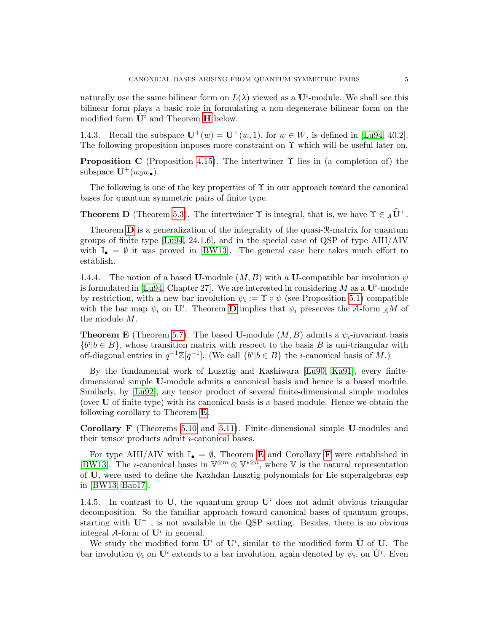naturally use the same bilinear form on  $L(\lambda)$  viewed as a  $\mathbf{U}^i$ -module. We shall see this bilinear form plays a basic role in formulating a non-degenerate bilinear form on the modified form  $\dot{\mathbf{U}}^i$  and Theorem **[H](#page-6-1)** below.

1.4.3. Recall the subspace  $U^+(w) = U^+(w, 1)$ , for  $w \in W$ , is defined in [\[Lu94,](#page-60-4) 40.2]. The following proposition imposes more constraint on  $\Upsilon$  which will be useful later on.

<span id="page-4-3"></span>**Proposition C** (Proposition [4.15\)](#page-30-1). The intertwiner  $\Upsilon$  lies in (a completion of) the subspace  $\mathbf{U}^+(w_0w_\bullet)$ .

The following is one of the key properties of  $\Upsilon$  in our approach toward the canonical bases for quantum symmetric pairs of finite type.

<span id="page-4-0"></span>**Theorem D** (Theorem [5.3\)](#page-35-2). The intertwiner  $\Upsilon$  is integral, that is, we have  $\Upsilon \in {}_{A}\hat{U}^{+}$ .

Theorem  $\bf{D}$  $\bf{D}$  $\bf{D}$  is a generalization of the integrality of the quasi- $\mathcal{R}-$ matrix for quantum groups of finite type [\[Lu94,](#page-60-4) 24.1.6], and in the special case of QSP of type AIII/AIV with  $\mathbb{I}_{\bullet} = \emptyset$  it was proved in [\[BW13\]](#page-59-4). The general case here takes much effort to establish.

1.4.4. The notion of a based U-module  $(M, B)$  with a U-compatible bar involution  $\psi$ is formulated in [\[Lu94,](#page-60-4) Chapter 27]. We are interested in considering  $M$  as a  $\mathbf{U}^i$ -module by restriction, with a new bar involution  $\psi_i := \Upsilon \circ \psi$  (see Proposition [5.1\)](#page-35-3) compatible with the bar map  $\psi_i$  on  $\mathbf{U}^i$ . Theorem **[D](#page-4-0)** implies that  $\psi_i$  preserves the A-form  $_A M$  of the module M.

<span id="page-4-1"></span>**Theorem E** (Theorem [5.7\)](#page-37-0). The based U-module  $(M, B)$  admits a  $\psi_i$ -invariant basis  ${b<sup>i</sup>|b \in B}$ , whose transition matrix with respect to the basis B is uni-triangular with off-diagonal entries in  $q^{-1}\mathbb{Z}[q^{-1}]$ . (We call  $\{b^i | b \in B\}$  the *i*-canonical basis of M.)

By the fundamental work of Lusztig and Kashiwara [\[Lu90,](#page-60-0) [Ka91\]](#page-60-2), every finitedimensional simple U-module admits a canonical basis and hence is a based module. Similarly, by [\[Lu92\]](#page-60-3), any tensor product of several finite-dimensional simple modules (over U of finite type) with its canonical basis is a based module. Hence we obtain the following corollary to Theorem [E](#page-4-1).

<span id="page-4-2"></span>Corollary F (Theorems [5.10](#page-0-0) and [5.11\)](#page-38-2). Finite-dimensional simple U-modules and their tensor products admit  $i$ -canonical bases.

[F](#page-4-2)or type AIII/AIV with  $\mathbb{I}_{\bullet} = \emptyset$ , Theorem **[E](#page-4-1)** and Corollary **F** were established in [\[BW13\]](#page-59-4). The *i*-canonical bases in  $\mathbb{V}^{\otimes m} \otimes \mathbb{V}^{*\otimes n}$ , where  $\mathbb V$  is the natural representation of U, were used to define the Kazhdan-Lusztig polynomials for Lie superalgebras osp in [\[BW13,](#page-59-4) [Bao17\]](#page-59-8).

1.4.5. In contrast to U, the *i*quantum group  $U^i$  does not admit obvious triangular decomposition. So the familiar approach toward canonical bases of quantum groups, starting with U<sup>−</sup> , is not available in the QSP setting. Besides, there is no obvious integral A-form of  $\mathbf{U}^i$  in general.

We study the modified form  $\dot{\mathbf{U}}^i$  of  $\mathbf{U}^i$ , similar to the modified form  $\dot{\mathbf{U}}$  of  $\mathbf{U}$ . The bar involution  $\psi_i$  on  $\mathbf{U}^i$  extends to a bar involution, again denoted by  $\psi_i$ , on  $\dot{\mathbf{U}}^i$ . Even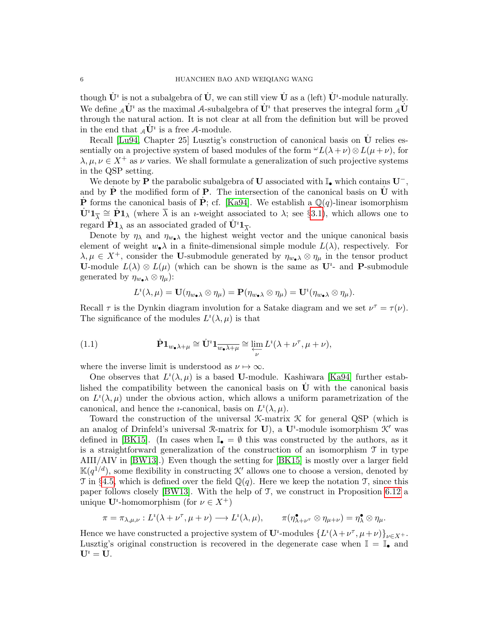though  $\dot{\mathbf U}^i$  is not a subalgebra of  $\dot{\mathbf U},$  we can still view  $\dot{\mathbf U}$  as a (left)  $\dot{\mathbf U}^i$ -module naturally. We define  ${}_{\cal A}\dot{{\bf U}}^\imath$  as the maximal  ${\cal A}$ -subalgebra of  $\dot{{\bf U}}^\imath$  that preserves the integral form  ${}_{\cal A}\dot{{\bf U}}$ through the natural action. It is not clear at all from the definition but will be proved in the end that  $_A\dot{\mathbf{U}}^i$  is a free A-module.

Recall [\[Lu94,](#page-60-4) Chapter 25] Lusztig's construction of canonical basis on  $\dot{\mathbf{U}}$  relies essentially on a projective system of based modules of the form  $\omega L(\lambda + \nu) \otimes L(\mu + \nu)$ , for  $\lambda, \mu, \nu \in X^+$  as  $\nu$  varies. We shall formulate a generalization of such projective systems in the QSP setting.

We denote by P the parabolic subalgebra of U associated with  $\mathbb{I}_\bullet$  which contains  $\mathbf{U}^-$ , and by  $P$  the modified form of  $P$ . The intersection of the canonical basis on  $U$  with  $\dot{\mathbf{P}}$  forms the canonical basis of  $\dot{\mathbf{P}}$ ; cf. [\[Ka94\]](#page-60-11). We establish a Q(q)-linear isomorphism  $\dot{\mathbf{U}}^i \mathbf{1}_{\overline{\lambda}} \cong \dot{\mathbf{P}} \mathbf{1}_{\lambda}$  (where  $\overline{\lambda}$  is an *i*-weight associated to  $\lambda$ ; see §[3.1\)](#page-15-1), which allows one to regard  $\dot{\mathbf{P}}\mathbf{1}_{\lambda}$  as an associated graded of  $\dot{\mathbf{U}}^{i}\mathbf{1}_{\overline{\lambda}}$ .

Denote by  $\eta_{\lambda}$  and  $\eta_{w_{\bullet}\lambda}$  the highest weight vector and the unique canonical basis element of weight  $w_{\bullet} \lambda$  in a finite-dimensional simple module  $L(\lambda)$ , respectively. For  $\lambda, \mu \in X^+$ , consider the U-submodule generated by  $\eta_{w_{\bullet}} \otimes \eta_{\mu}$  in the tensor product U-module  $L(\lambda) \otimes L(\mu)$  (which can be shown is the same as  $U^i$ - and P-submodule generated by  $\eta_{w_{\bullet}\lambda} \otimes \eta_{\mu}$ :

<span id="page-5-0"></span>
$$
L^{i}(\lambda,\mu)=\mathbf{U}(\eta_{w_{\bullet}\lambda}\otimes\eta_{\mu})=\mathbf{P}(\eta_{w_{\bullet}\lambda}\otimes\eta_{\mu})=\mathbf{U}^{i}(\eta_{w_{\bullet}\lambda}\otimes\eta_{\mu}).
$$

Recall  $\tau$  is the Dynkin diagram involution for a Satake diagram and we set  $\nu^{\tau} = \tau(\nu)$ . The significance of the modules  $L^i(\lambda,\mu)$  is that

(1.1) 
$$
\dot{\mathbf{P}} \mathbf{1}_{w_{\bullet} \lambda + \mu} \cong \dot{\mathbf{U}}^{\dagger} \mathbf{1}_{\overline{w_{\bullet} \lambda + \mu}} \cong \varprojlim_{\nu} L^{\iota} (\lambda + \nu^{\tau}, \mu + \nu),
$$

where the inverse limit is understood as  $\nu \mapsto \infty$ .

One observes that  $L^i(\lambda,\mu)$  is a based **U**-module. Kashiwara [\[Ka94\]](#page-60-11) further established the compatibility between the canonical basis on  $U$  with the canonical basis on  $L^i(\lambda,\mu)$  under the obvious action, which allows a uniform parametrization of the canonical, and hence the *u*-canonical, basis on  $L^i(\lambda, \mu)$ .

Toward the construction of the universal K-matrix K for general QSP (which is an analog of Drinfeld's universal R-matrix for U), a U<sup>t</sup>-module isomorphism  $K'$  was defined in [\[BK15\]](#page-59-11). (In cases when  $\mathbb{I}_{\bullet} = \emptyset$  this was constructed by the authors, as it is a straightforward generalization of the construction of an isomorphism T in type AIII/AIV in [\[BW13\]](#page-59-4).) Even though the setting for [\[BK15\]](#page-59-11) is mostly over a larger field  $\mathbb{K}(q^{1/d})$ , some flexibility in constructing K' allows one to choose a version, denoted by T in §[4.5,](#page-31-0) which is defined over the field  $\mathbb{Q}(q)$ . Here we keep the notation T, since this paper follows closely [\[BW13\]](#page-59-4). With the help of T, we construct in Proposition [6.12](#page-41-1) a unique  $\mathbf{U}^i$ -homomorphism (for  $\nu \in X^+$ )

$$
\pi = \pi_{\lambda,\mu,\nu}: L^i(\lambda + \nu^\tau, \mu + \nu) \longrightarrow L^i(\lambda,\mu), \qquad \pi(\eta^\bullet_{\lambda+\nu^\tau} \otimes \eta_{\mu+\nu}) = \eta^\bullet_\lambda \otimes \eta_\mu.
$$

Hence we have constructed a projective system of  $\mathbf{U}^i$ -modules  $\{L^i(\lambda+\nu^\tau,\mu+\nu)\}_{\nu\in X^+}$ . Lusztig's original construction is recovered in the degenerate case when  $\mathbb{I} = \mathbb{I}_{\bullet}$  and  $U^i = U$ .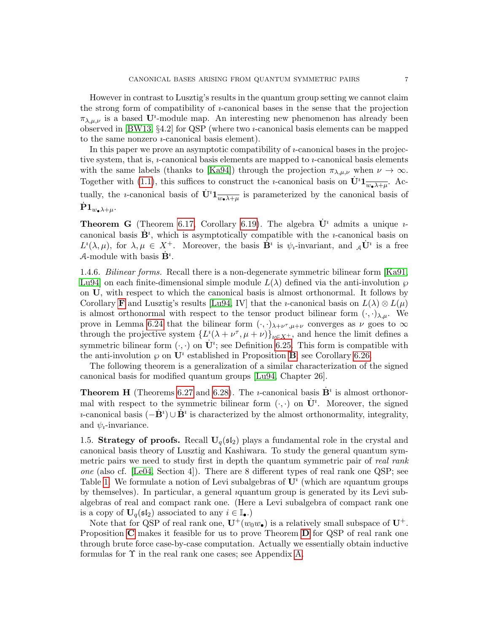However in contrast to Lusztig's results in the quantum group setting we cannot claim the strong form of compatibility of  $i$ -canonical bases in the sense that the projection  $\pi_{\lambda,\mu,\nu}$  is a based U<sup>*i*</sup>-module map. An interesting new phenomenon has already been observed in [\[BW13,](#page-59-4) §4.2] for QSP (where two ı-canonical basis elements can be mapped to the same nonzero  $\nu$ -canonical basis element).

In this paper we prove an asymptotic compatibility of  $i$ -canonical bases in the projective system, that is,  $\nu$ -canonical basis elements are mapped to  $\nu$ -canonical basis elements with the same labels (thanks to [\[Ka94\]](#page-60-11)) through the projection  $\pi_{\lambda,\mu,\nu}$  when  $\nu \to \infty$ . Together with [\(1.1\)](#page-5-0), this suffices to construct the *u*-canonical basis on  $\dot{\mathbf{U}}^i \mathbf{1}_{\overline{\mathbf{w}} \bullet \lambda + \mu}$ . Actually, the *i*-canonical basis of  $\dot{\mathbf{U}}^i \mathbf{1}_{\overline{w_{\bullet} \lambda + \mu}}$  is parameterized by the canonical basis of  $\mathrm{\dot{P}}1_{w_{\bullet}\lambda+\mu}.$ 

<span id="page-6-2"></span>**Theorem G** (Theorem [6.17,](#page-46-1) Corollary [6.19\)](#page-48-0). The algebra  $\dot{\mathbf{U}}^i$  admits a unique *u*canonical basis  $\dot{\mathbf{B}}^i$ , which is asymptotically compatible with the *i*-canonical basis on  $L^i(\lambda,\mu)$ , for  $\lambda,\mu \in X^+$ . Moreover, the basis  $\dot{\mathbf{B}}^i$  is  $\psi_i$ -invariant, and  ${}_{\mathcal{A}}\dot{\mathbf{U}}^i$  is a free A-module with basis  $\dot{\mathbf{B}}^i$ .

1.4.6. Bilinear forms. Recall there is a non-degenerate symmetric bilinear form [\[Ka91,](#page-60-2) [Lu94\]](#page-60-4) on each finite-dimensional simple module  $L(\lambda)$  defined via the anti-involution  $\wp$ on U, with respect to which the canonical basis is almost orthonormal. It follows by Corollary [F](#page-4-2) and Lusztig's results [\[Lu94,](#page-60-4) IV] that the *i*-canonical basis on  $L(\lambda) \otimes L(\mu)$ is almost orthonormal with respect to the tensor product bilinear form  $(\cdot, \cdot)_{\lambda,\mu}$ . We prove in Lemma [6.24](#page-50-0) that the bilinear form  $(\cdot, \cdot)_{\lambda+\nu^{\tau}, \mu+\nu}$  converges as  $\nu$  goes to  $\infty$ through the projective system  $\{L^{i}(\lambda + \nu^{\tau}, \mu + \nu)\}_{\nu \in X^{+}}$ , and hence the limit defines a symmetric bilinear form  $(\cdot, \cdot)$  on  $\dot{\mathbf{U}}^i$ ; see Definition [6.25.](#page-50-1) This form is compatible with the anti-involution  $\wp$  on  $\mathbf{U}^i$  established in Proposition [B](#page-3-2); see Corollary [6.26.](#page-50-2)

The following theorem is a generalization of a similar characterization of the signed canonical basis for modified quantum groups [\[Lu94,](#page-60-4) Chapter 26].

<span id="page-6-1"></span>**Theorem H** (Theorems [6.27](#page-51-1) and [6.28\)](#page-51-2). The *i*-canonical basis  $\dot{\mathbf{B}}^i$  is almost orthonormal with respect to the symmetric bilinear form  $(\cdot, \cdot)$  on  $\dot{\mathbf{U}}^i$ . Moreover, the signed *i*-canonical basis  $(-\dot{\mathbf{B}}^i) \cup \dot{\mathbf{B}}^i$  is characterized by the almost orthonormality, integrality, and  $\psi_i$ -invariance.

<span id="page-6-0"></span>1.5. Strategy of proofs. Recall  $U_q(\mathfrak{sl}_2)$  plays a fundamental role in the crystal and canonical basis theory of Lusztig and Kashiwara. To study the general quantum symmetric pairs we need to study first in depth the quantum symmetric pair of real rank one (also cf. [\[Le04,](#page-60-12) Section 4]). There are 8 different types of real rank one QSP; see Table [1.](#page-17-2) We formulate a notion of Levi subalgebras of  $\mathbf{U}^i$  (which are *i*quantum groups by themselves). In particular, a general ıquantum group is generated by its Levi subalgebras of real and compact rank one. (Here a Levi subalgebra of compact rank one is a copy of  $\mathbf{U}_q(\mathfrak{sl}_2)$  associated to any  $i \in \mathbb{I}_{\bullet}$ .)

Note that for QSP of real rank one,  $\mathbf{U}^+(w_0w_\bullet)$  is a relatively small subspace of  $\mathbf{U}^+$ . Proposition [C](#page-4-3) makes it feasible for us to prove Theorem [D](#page-4-0) for QSP of real rank one through brute force case-by-case computation. Actually we essentially obtain inductive formulas for  $\Upsilon$  in the real rank one cases; see Appendix [A.](#page-51-0)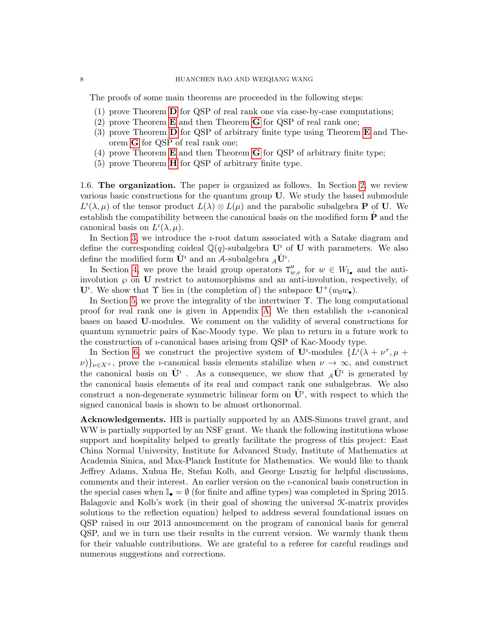The proofs of some main theorems are proceeded in the following steps:

- (1) prove Theorem [D](#page-4-0) for QSP of real rank one via case-by-case computations;
- (2) prove Theorem  $\bf{E}$  $\bf{E}$  $\bf{E}$  and then Theorem  $\bf{G}$  $\bf{G}$  $\bf{G}$  for QSP of real rank one;
- (3) prove Theorem  $\bf{D}$  $\bf{D}$  $\bf{D}$  for QSP of arbitrary finite type using Theorem  $\bf{E}$  $\bf{E}$  $\bf{E}$  and Theorem [G](#page-6-2) for QSP of real rank one;
- (4) prove Theorem  $\bf{E}$  $\bf{E}$  $\bf{E}$  and then Theorem  $\bf{G}$  $\bf{G}$  $\bf{G}$  for QSP of arbitrary finite type;
- (5) prove Theorem [H](#page-6-1) for QSP of arbitrary finite type.

<span id="page-7-0"></span>1.6. The organization. The paper is organized as follows. In Section [2,](#page-8-0) we review various basic constructions for the quantum group U. We study the based submodule  $L^i(\lambda,\mu)$  of the tensor product  $L(\lambda) \otimes L(\mu)$  and the parabolic subalgebra **P** of **U**. We establish the compatibility between the canonical basis on the modified form  $P$  and the canonical basis on  $L^i(\lambda, \mu)$ .

In Section [3,](#page-15-0) we introduce the  $i$ -root datum associated with a Satake diagram and define the corresponding coideal  $\mathbb{Q}(q)$ -subalgebra  $\mathbf{U}^i$  of  $\mathbf{U}$  with parameters. We also define the modified form  $\dot{\mathbf{U}}^i$  and an A-subalgebra  ${}_{\mathcal{A}}\dot{\mathbf{U}}^i$ .

In Section [4,](#page-24-0) we prove the braid group operators  $T''_{w,e}$  for  $w \in W_{\mathbb{I}_{\bullet}}$  and the antiinvolution  $\wp$  on U restrict to automorphisms and an anti-involution, respectively, of  $\mathbf{U}^i$ . We show that  $\Upsilon$  lies in (the completion of) the subspace  $\mathbf{U}^+(w_0w_\bullet)$ .

In Section [5,](#page-34-0) we prove the integrality of the intertwiner  $\Upsilon$ . The long computational proof for real rank one is given in Appendix [A.](#page-51-0) We then establish the  $i$ -canonical bases on based U-modules. We comment on the validity of several constructions for quantum symmetric pairs of Kac-Moody type. We plan to return in a future work to the construction of ı-canonical bases arising from QSP of Kac-Moody type.

In Section [6,](#page-38-1) we construct the projective system of  $\mathbf{U}^i$ -modules  $\{L^i(\lambda + \nu^\tau, \mu + \nu^\tau)\}$  $\nu$ )} $\nu \in X^+$ , prove the *u*-canonical basis elements stabilize when  $\nu \to \infty$ , and construct the canonical basis on  $\dot{\mathbf{U}}^i$ . As a consequence, we show that  $_A\dot{\mathbf{U}}^i$  is generated by the canonical basis elements of its real and compact rank one subalgebras. We also construct a non-degenerate symmetric bilinear form on  $\dot{\mathbf{U}}^i$ , with respect to which the signed canonical basis is shown to be almost orthonormal.

Acknowledgements. HB is partially supported by an AMS-Simons travel grant, and WW is partially supported by an NSF grant. We thank the following institutions whose support and hospitality helped to greatly facilitate the progress of this project: East China Normal University, Institute for Advanced Study, Institute of Mathematics at Academia Sinica, and Max-Planck Institute for Mathematics. We would like to thank Jeffrey Adams, Xuhua He, Stefan Kolb, and George Lusztig for helpful discussions, comments and their interest. An earlier version on the  $i$ -canonical basis construction in the special cases when  $\mathbb{I}_{\bullet} = \emptyset$  (for finite and affine types) was completed in Spring 2015. Balagovic and Kolb's work (in their goal of showing the universal K-matrix provides solutions to the reflection equation) helped to address several foundational issues on QSP raised in our 2013 announcement on the program of canonical basis for general QSP, and we in turn use their results in the current version. We warmly thank them for their valuable contributions. We are grateful to a referee for careful readings and numerous suggestions and corrections.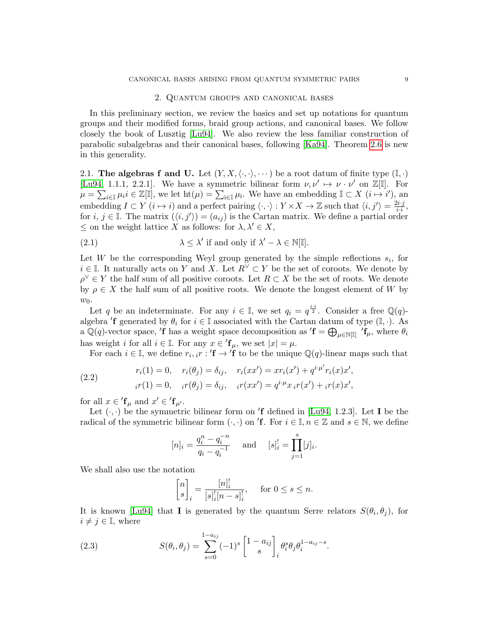### 2. Quantum groups and canonical bases

<span id="page-8-0"></span>In this preliminary section, we review the basics and set up notations for quantum groups and their modified forms, braid group actions, and canonical bases. We follow closely the book of Lusztig [\[Lu94\]](#page-60-4). We also review the less familiar construction of parabolic subalgebras and their canonical bases, following [\[Ka94\]](#page-60-11). Theorem [2.6](#page-12-1) is new in this generality.

<span id="page-8-1"></span>2.1. The algebras f and U. Let  $(Y, X, \langle \cdot, \cdot \rangle, \cdots)$  be a root datum of finite type  $(\mathbb{I}, \cdot)$ [\[Lu94,](#page-60-4) 1.1.1, 2.2.1]. We have a symmetric bilinear form  $\nu, \nu' \mapsto \nu \cdot \nu'$  on  $\mathbb{Z}[\mathbb{I}]$ . For  $\mu = \sum_{i \in \mathbb{I}} \mu_i i \in \mathbb{Z}[\mathbb{I}]$ , we let  $\mathrm{ht}(\mu) = \sum_{i \in \mathbb{I}} \mu_i$ . We have an embedding  $\mathbb{I} \subset X$   $(i \mapsto i')$ , and embedding  $I \subset Y$   $(i \mapsto i)$  and a perfect pairing  $\langle \cdot, \cdot \rangle : Y \times X \to \mathbb{Z}$  such that  $\langle i, j' \rangle = \frac{2i \cdot j}{i \cdot i}$  $\frac{i\cdot j}{i\cdot i},$ for  $i, j \in \mathbb{I}$ . The matrix  $(\langle i, j' \rangle) = (a_{ij})$  is the Cartan matrix. We define a partial order  $\leq$  on the weight lattice X as follows: for  $\lambda, \lambda' \in X$ ,

<span id="page-8-3"></span>(2.1) 
$$
\lambda \leq \lambda' \text{ if and only if } \lambda' - \lambda \in \mathbb{N}[\mathbb{I}].
$$

Let W be the corresponding Weyl group generated by the simple reflections  $s_i$ , for  $i \in \mathbb{I}$ . It naturally acts on Y and X. Let  $R^{\vee} \subset Y$  be the set of coroots. We denote by  $\rho^{\vee} \in Y$  the half sum of all positive coroots. Let  $R \subset X$  be the set of roots. We denote by  $\rho \in X$  the half sum of all positive roots. We denote the longest element of W by  $w_0$ .

Let q be an indeterminate. For any  $i \in \mathbb{I}$ , we set  $q_i = q^{\frac{i \cdot i}{2}}$ . Consider a free  $\mathbb{Q}(q)$ algebra  $'f$  generated by  $\theta_i$  for  $i \in \mathbb{I}$  associated with the Cartan datum of type  $(\mathbb{I}, \cdot)$ . As a Q(q)-vector space,  $'f$  has a weight space decomposition as  $'f = \bigoplus_{\mu \in \mathbb{N}[\mathbb{I}]} 'f_{\mu}$ , where  $\theta_i$ has weight i for all  $i \in \mathbb{I}$ . For any  $x \in \mathbf{f}_{\mu}$ , we set  $|x| = \mu$ .

For each  $i \in \mathbb{I}$ , we define  $r_i, i \in \mathcal{I}$  f to be the unique  $\mathbb{Q}(q)$ -linear maps such that

(2.2) 
$$
r_i(1) = 0, \quad r_i(\theta_j) = \delta_{ij}, \quad r_i(xx') = xr_i(x') + q^{i\cdot \mu'}r_i(x)x',
$$

$$
i^{r}(1) = 0, \quad i^{r}(\theta_j) = \delta_{ij}, \quad i^{r}(xx') = q^{i\cdot \mu}x_ir(x') + i^{r}(x)x',
$$

for all  $x \in 'f_{\mu}$  and  $x' \in 'f_{\mu'}$ .

Let  $(\cdot, \cdot)$  be the symmetric bilinear form on 'f defined in [\[Lu94,](#page-60-4) 1.2.3]. Let I be the radical of the symmetric bilinear form  $(\cdot, \cdot)$  on 'f. For  $i \in \mathbb{I}, n \in \mathbb{Z}$  and  $s \in \mathbb{N}$ , we define

$$
[n]_i = \frac{q_i^n - q_i^{-n}}{q_i - q_i^{-1}}
$$
 and  $[s]_i^! = \prod_{j=1}^s [j]_i$ .

We shall also use the notation

<span id="page-8-2"></span>
$$
\begin{bmatrix} n \\ s \end{bmatrix}_i = \frac{[n]_i^!}{[s]_i^! [n-s]_i^!}, \quad \text{for } 0 \le s \le n.
$$

It is known [\[Lu94\]](#page-60-4) that **I** is generated by the quantum Serre relators  $S(\theta_i, \theta_j)$ , for  $i \neq j \in \mathbb{I}$ , where

(2.3) 
$$
S(\theta_i, \theta_j) = \sum_{s=0}^{1-a_{ij}} (-1)^s \begin{bmatrix} 1 - a_{ij} \\ s \end{bmatrix}_i \theta_i^s \theta_j \theta_i^{1-a_{ij}-s}.
$$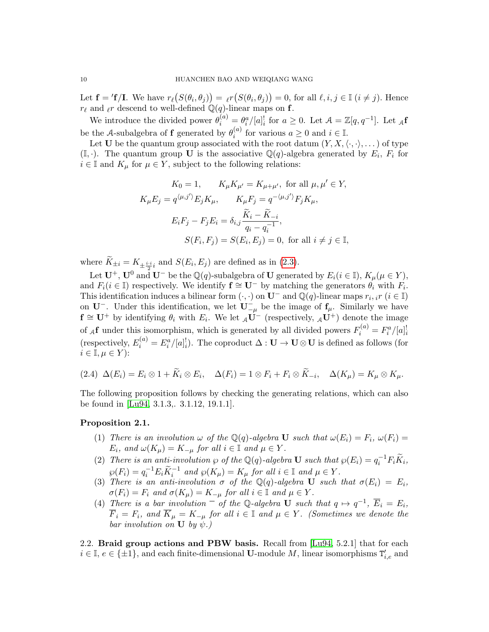Let  $\mathbf{f} = \mathbf{f}/\mathbf{I}$ . We have  $r_{\ell}(S(\theta_i, \theta_j)) = \ell r(S(\theta_i, \theta_j)) = 0$ , for all  $\ell, i, j \in \mathbb{I}$   $(i \neq j)$ . Hence  $r_{\ell}$  and  $_{\ell}r$  descend to well-defined  $\mathbb{Q}(q)$ -linear maps on f.

We introduce the divided power  $\theta_i^{(a)} = \theta_i^a / [a]_i^{\dagger}$  for  $a \ge 0$ . Let  $\mathcal{A} = \mathbb{Z}[q, q^{-1}]$ . Let  $_{\mathcal{A}}f$ be the A-subalgebra of **f** generated by  $\theta_i^{(a)}$  $i^{(a)}$  for various  $a \geq 0$  and  $i \in \mathbb{I}$ .

Let U be the quantum group associated with the root datum  $(Y, X, \langle \cdot, \cdot \rangle, \dots)$  of type  $(\mathbb{I}, \cdot)$ . The quantum group **U** is the associative  $\mathbb{Q}(q)$ -algebra generated by  $E_i$ ,  $F_i$  for  $i \in \mathbb{I}$  and  $K_{\mu}$  for  $\mu \in Y$ , subject to the following relations:

$$
K_0 = 1, \t K_{\mu} K_{\mu'} = K_{\mu + \mu'}, \text{ for all } \mu, \mu' \in Y,
$$
  

$$
K_{\mu} E_j = q^{\langle \mu, j' \rangle} E_j K_{\mu}, \t K_{\mu} F_j = q^{-\langle \mu, j' \rangle} F_j K_{\mu},
$$
  

$$
E_i F_j - F_j E_i = \delta_{i,j} \frac{\widetilde{K}_i - \widetilde{K}_{-i}}{q_i - q_i^{-1}},
$$
  

$$
S(F_i, F_j) = S(E_i, E_j) = 0, \text{ for all } i \neq j \in \mathbb{I},
$$

where  $K_{\pm i} = K_{\pm \frac{i \cdot i}{2}i}$  and  $S(E_i, E_j)$  are defined as in [\(2.3\)](#page-8-2).

Let  $\mathbf{U}^+$ ,  $\mathbf{U}^0$  and  $\mathbf{U}^-$  be the  $\mathbb{Q}(q)$ -subalgebra of  $\mathbf{U}$  generated by  $E_i(i \in \mathbb{I})$ ,  $K_\mu(\mu \in Y)$ , and  $F_i(i \in \mathbb{I})$  respectively. We identify  $f \cong U^-$  by matching the generators  $\theta_i$  with  $F_i$ . This identification induces a bilinear form  $(\cdot, \cdot)$  on  $\mathbf{U}^-$  and  $\mathbb{Q}(q)$ -linear maps  $r_i$ , if  $(i \in \mathbb{I})$ on **U**<sup>−</sup>. Under this identification, we let  $\mathbf{U}^-_{-\mu}$  be the image of  $\mathbf{f}_{\mu}$ . Similarly we have  $f \cong U^+$  by identifying  $\theta_i$  with  $E_i$ . We let  $\mathcal{A}U^-$  (respectively,  $\mathcal{A}U^+$ ) denote the image of  $_A$ **f** under this isomorphism, which is generated by all divided powers  $F_i^{(a)} = F_i^a / [a]_i^{\dagger}$ (respectively,  $E_i^{(a)} = E_i^a / [a]_i^!$ ). The coproduct  $\Delta : U \to U \otimes U$  is defined as follows (for  $i \in \mathbb{I}, \mu \in Y$ :

$$
(2.4) \ \Delta(E_i) = E_i \otimes 1 + \widetilde{K}_i \otimes E_i, \quad \Delta(F_i) = 1 \otimes F_i + F_i \otimes \widetilde{K}_{-i}, \quad \Delta(K_\mu) = K_\mu \otimes K_\mu.
$$

The following proposition follows by checking the generating relations, which can also be found in [\[Lu94,](#page-60-4) 3.1.3,. 3.1.12, 19.1.1].

### <span id="page-9-1"></span>Proposition 2.1.

- (1) There is an involution  $\omega$  of the  $\mathbb{Q}(q)$ -algebra **U** such that  $\omega(E_i) = F_i$ ,  $\omega(F_i) =$  $E_i$ , and  $\omega(K_\mu) = K_{-\mu}$  for all  $i \in \mathbb{I}$  and  $\mu \in Y$ .
- (2) There is an anti-involution  $\wp$  of the Q(q)-algebra **U** such that  $\wp(E_i) = q_i^{-1} F_i \widetilde{K}_i$ ,  $\wp(F_i) = q_i^{-1} E_i \widetilde{K}_i^{-1}$  and  $\wp(K_\mu) = K_\mu$  for all  $i \in \mathbb{I}$  and  $\mu \in Y$ .
- (3) There is an anti-involution  $\sigma$  of the Q(q)-algebra U such that  $\sigma(E_i) = E_i$ ,  $\sigma(F_i) = F_i$  and  $\sigma(K_\mu) = K_{-\mu}$  for all  $i \in \mathbb{I}$  and  $\mu \in Y$ .
- (4) There is a bar involution  $\overline{\phantom{a}}$  of the Q-algebra **U** such that  $q \mapsto q^{-1}$ ,  $\overline{E}_i = E_i$ ,  $\overline{F}_i = F_i$ , and  $\overline{K}_{\mu} = K_{-\mu}$  for all  $i \in \mathbb{I}$  and  $\mu \in Y$ . (Sometimes we denote the bar involution on  $\bf{U}$  by  $\psi$ .)

<span id="page-9-0"></span>2.2. Braid group actions and PBW basis. Recall from [\[Lu94,](#page-60-4) 5.2.1] that for each  $i \in \mathbb{I}, e \in \{\pm 1\}$ , and each finite-dimensional **U**-module M, linear isomorphisms  $T'_{i,e}$  and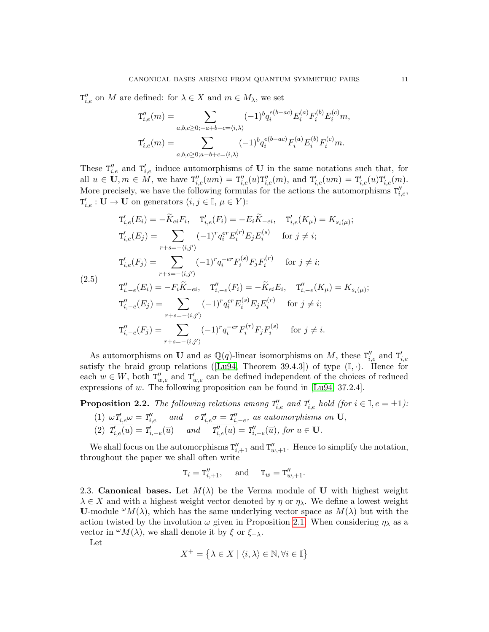$T''_{i,e}$  on M are defined: for  $\lambda \in X$  and  $m \in M_\lambda$ , we set

$$
T''_{i,e}(m) = \sum_{a,b,c \ge 0; -a+b-c=(i,\lambda)} (-1)^b q_i^{e(b-ac)} E_i^{(a)} F_i^{(b)} E_i^{(c)} m,
$$
  

$$
T'_{i,e}(m) = \sum_{a,b,c \ge 0; a-b+c=(i,\lambda)} (-1)^b q_i^{e(b-ac)} F_i^{(a)} E_i^{(b)} F_i^{(c)} m.
$$

These  $T''_{i,e}$  and  $T'_{i,e}$  induce automorphisms of U in the same notations such that, for all  $u \in U, m \in M$ , we have  $T''_{i,e}(um) = T''_{i,e}(u)T''_{i,e}(m)$ , and  $T'_{i,e}(um) = T'_{i,e}(u)T'_{i,e}(m)$ . More precisely, we have the following formulas for the actions the automorphisms  $T''_{i,e}$ ,  $T'_{i,e} : U \to U$  on generators  $(i, j \in \mathbb{I}, \mu \in Y)$ :

$$
T'_{i,e}(E_i) = -\widetilde{K}_{ei}F_i, \quad T'_{i,e}(F_i) = -E_i\widetilde{K}_{-ei}, \quad T'_{i,e}(K_{\mu}) = K_{s_i(\mu)};
$$
  
\n
$$
T'_{i,e}(E_j) = \sum_{r+s=-(i,j')} (-1)^r q_i^{er} E_i^{(r)} E_j E_i^{(s)} \quad \text{for } j \neq i;
$$
  
\n
$$
T'_{i,e}(F_j) = \sum_{r+s=-(i,j')} (-1)^r q_i^{-er} F_i^{(s)} F_j F_i^{(r)} \quad \text{for } j \neq i;
$$
  
\n5)  
\n
$$
T''_{i,-e}(E_i) = -F_i \widetilde{K}_{-ei}, \quad T''_{i,-e}(F_i) = -\widetilde{K}_{ei} E_i, \quad T''_{i,-e}(K_{\mu}) = K_{s_i(\mu)};
$$
  
\n
$$
T''_{i,-e}(E_j) = \sum_{r+s=-(i,j')} (-1)^r q_i^{er} E_i^{(s)} E_j E_i^{(r)} \quad \text{for } j \neq i;
$$
  
\n
$$
T''_{i,-e}(F_j) = \sum_{r+s=-(i,j')} (-1)^r q_i^{-er} F_i^{(r)} F_j F_i^{(s)} \quad \text{for } j \neq i.
$$

<span id="page-10-1"></span> $(2.5)$ 

As automorphisms on **U** and as 
$$
\mathbb{Q}(q)
$$
-linear isomorphisms on *M*, these  $T''_{i,e}$  and  $T'_{i,e}$   
satisfy the braid group relations ([Lu94, Theorem 39.4.3]) of type  $(\mathbb{I}, \cdot)$ . Hence for  
each  $w \in W$ , both  $T''_{w,e}$  and  $T'_{w,e}$  can be defined independent of the choices of reduced  
expressions of *w*. The following proposition can be found in [Lu94, 37.2.4].

<span id="page-10-2"></span>**Proposition 2.2.** The following relations among  $T'_{i,e}$  and  $T'_{i,e}$  hold (for  $i \in \mathbb{I}, e = \pm 1$ ):

(1) 
$$
\omega T'_{i,e} \omega = T''_{i,e}
$$
 and  $\sigma T'_{i,e} \sigma = T''_{i,-e}$ , as automorphisms on U,  
\n(2)  $\overline{T'_{i,e}(u)} = T'_{i,-e}(\overline{u})$  and  $\overline{T''_{i,e}(u)} = T''_{i,-e}(\overline{u})$ , for  $u \in U$ .

We shall focus on the automorphisms  $T''_{i,+1}$  and  $T''_{w,+1}$ . Hence to simplify the notation, throughout the paper we shall often write

$$
\mathbf{T}_i = \mathbf{T}''_{i,+1}, \quad \text{and} \quad \mathbf{T}_w = \mathbf{T}''_{w,+1}.
$$

<span id="page-10-0"></span>2.3. Canonical bases. Let  $M(\lambda)$  be the Verma module of U with highest weight  $\lambda \in X$  and with a highest weight vector denoted by  $\eta$  or  $\eta_{\lambda}$ . We define a lowest weight **U**-module  $^{\omega}M(\lambda)$ , which has the same underlying vector space as  $M(\lambda)$  but with the action twisted by the involution  $\omega$  given in Proposition [2.1.](#page-9-1) When considering  $\eta_{\lambda}$  as a vector in  $^{\omega}M(\lambda)$ , we shall denote it by  $\xi$  or  $\xi_{-\lambda}$ .

Let

$$
X^+ = \left\{ \lambda \in X \mid \langle i, \lambda \rangle \in \mathbb{N}, \forall i \in \mathbb{I} \right\}
$$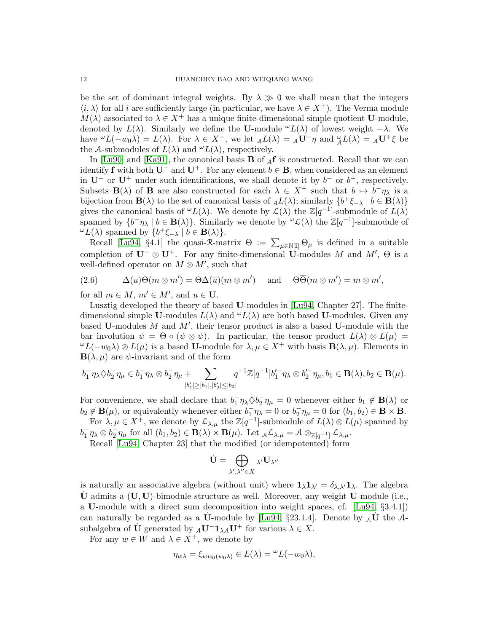be the set of dominant integral weights. By  $\lambda \gg 0$  we shall mean that the integers  $\langle i, \lambda \rangle$  for all i are sufficiently large (in particular, we have  $\lambda \in X^+$ ). The Verma module  $M(\lambda)$  associated to  $\lambda \in X^+$  has a unique finite-dimensional simple quotient U-module, denoted by  $L(\lambda)$ . Similarly we define the U-module  $\omega L(\lambda)$  of lowest weight  $-\lambda$ . We have  ${}^{\omega}L(-w_0\lambda) = L(\lambda)$ . For  $\lambda \in X^+$ , we let  ${}_{\mathcal{A}}L(\lambda) = {}_{\mathcal{A}}\mathbf{U}^- \eta$  and  ${}^{\omega}_{\mathcal{A}}L(\lambda) = {}_{\mathcal{A}}\mathbf{U}^+ \xi$  be the A-submodules of  $L(\lambda)$  and  $\omega L(\lambda)$ , respectively.

In [\[Lu90\]](#page-60-0) and [\[Ka91\]](#page-60-2), the canonical basis **B** of  $_A$ **f** is constructed. Recall that we can identify f with both  $U^-$  and  $U^+$ . For any element  $b \in \mathbf{B}$ , when considered as an element in  $U^-$  or  $U^+$  under such identifications, we shall denote it by  $b^-$  or  $b^+$ , respectively. Subsets  $\mathbf{B}(\lambda)$  of **B** are also constructed for each  $\lambda \in X^+$  such that  $b \mapsto b^-\eta_\lambda$  is a bijection from  $\mathbf{B}(\lambda)$  to the set of canonical basis of  $_{\mathcal{A}}L(\lambda)$ ; similarly  $\{b^+\xi_{-\lambda} \mid b \in \mathbf{B}(\lambda)\}\$ gives the canonical basis of  $\omega L(\lambda)$ . We denote by  $\mathcal{L}(\lambda)$  the  $\mathbb{Z}[q^{-1}]$ -submodule of  $L(\lambda)$ spanned by  $\{b^-\eta_\lambda \mid b \in \mathbf{B}(\lambda)\}\$ . Similarly we denote by  $\omega \mathcal{L}(\lambda)$  the  $\mathbb{Z}[q^{-1}]$ -submodule of  $\omega_L(\lambda)$  spanned by  $\{b^+\xi_{-\lambda} \mid b \in \mathbf{B}(\lambda)\}.$ 

Recall [\[Lu94,](#page-60-4) §4.1] the quasi-R-matrix  $\Theta := \sum_{\mu \in \mathbb{N}[\mathbb{I}]} \Theta_{\mu}$  is defined in a suitable completion of  $\mathbf{U}^- \otimes \mathbf{U}^+$ . For any finite-dimensional  $\mathbf{U}$ -modules M and  $M'$ ,  $\Theta$  is a well-defined operator on  $M \otimes M'$ , such that

(2.6) 
$$
\Delta(u)\Theta(m\otimes m') = \Theta\overline{\Delta(\overline{u})}(m\otimes m') \quad \text{and} \quad \Theta\overline{\Theta}(m\otimes m') = m\otimes m',
$$

for all  $m \in M$ ,  $m' \in M'$ , and  $u \in U$ .

Lusztig developed the theory of based U-modules in [\[Lu94,](#page-60-4) Chapter 27]. The finitedimensional simple U-modules  $L(\lambda)$  and  $\mathcal{L}(L(\lambda))$  are both based U-modules. Given any based U-modules  $M$  and  $M'$ , their tensor product is also a based U-module with the bar involution  $\psi = \Theta \circ (\psi \otimes \psi)$ . In particular, the tensor product  $L(\lambda) \otimes L(\mu) =$  $\omega L(-w_0\lambda) \otimes L(\mu)$  is a based U-module for  $\lambda, \mu \in X^+$  with basis  $\mathbf{B}(\lambda, \mu)$ . Elements in  $\mathbf{B}(\lambda, \mu)$  are  $\psi$ -invariant and of the form

$$
b_1^- \eta_{\lambda} \diamondsuit b_2^- \eta_{\mu} \in b_1^- \eta_{\lambda} \otimes b_2^- \eta_{\mu} + \sum_{|b_1'| \ge |b_1|, |b_2'| \le |b_2|} q^{-1} \mathbb{Z}[q^{-1}] b_1'^{-} \eta_{\lambda} \otimes b_2'^{-} \eta_{\mu}, b_1 \in \mathbf{B}(\lambda), b_2 \in \mathbf{B}(\mu).
$$

For convenience, we shall declare that  $b_1^-\eta\lambda \diamond b_2^-\eta_\mu = 0$  whenever either  $b_1 \notin \mathbf{B}(\lambda)$  or  $b_2 \notin \mathbf{B}(\mu)$ , or equivalently whenever either  $b_1^-\eta_\lambda = 0$  or  $b_2^-\eta_\mu = 0$  for  $(b_1, b_2) \in \mathbf{B} \times \mathbf{B}$ .

For  $\lambda, \mu \in X^+$ , we denote by  $\mathcal{L}_{\lambda,\mu}$  the  $\mathbb{Z}[q^{-1}]$ -submodule of  $L(\lambda) \otimes L(\mu)$  spanned by  $b_1^-\eta_\lambda \otimes b_2^-\eta_\mu$  for all  $(b_1, b_2) \in \mathbf{B}(\lambda) \times \mathbf{B}(\mu)$ . Let  ${}_{\mathcal{A}}\mathcal{L}_{\lambda,\mu} = \mathcal{A} \otimes_{\mathbb{Z}[q^{-1}]} \mathcal{L}_{\lambda,\mu}$ .

Recall [\[Lu94,](#page-60-4) Chapter 23] that the modified (or idempotented) form

$$
\dot{\mathbf{U}}=\bigoplus_{\lambda',\lambda''\in X}\lambda'\mathbf{U}_{\lambda''}
$$

is naturally an associative algebra (without unit) where  $\mathbf{1}_{\lambda}\mathbf{1}_{\lambda'}=\delta_{\lambda,\lambda'}\mathbf{1}_{\lambda}$ . The algebra  $\dot{\mathbf{U}}$  admits a  $(\mathbf{U}, \mathbf{U})$ -bimodule structure as well. Moreover, any weight **U**-module (i.e., a U-module with a direct sum decomposition into weight spaces, cf. [\[Lu94,](#page-60-4) §3.4.1]) can naturally be regarded as a  $\dot{\mathbf{U}}$ -module by [\[Lu94,](#page-60-4) §23.1.4]. Denote by  $_{\mathcal{A}}\dot{\mathbf{U}}$  the  $\mathcal{A}$ subalgebra of  $\dot{\mathbf{U}}$  generated by  ${}_{\mathcal{A}}\mathbf{U}^- \mathbf{1}_{\lambda \mathcal{A}} \mathbf{U}^+$  for various  $\lambda \in X$ .

For any  $w \in W$  and  $\lambda \in X^+$ , we denote by

$$
\eta_{w\lambda} = \xi_{ww_0(w_0\lambda)} \in L(\lambda) = {}^{\omega}L(-w_0\lambda),
$$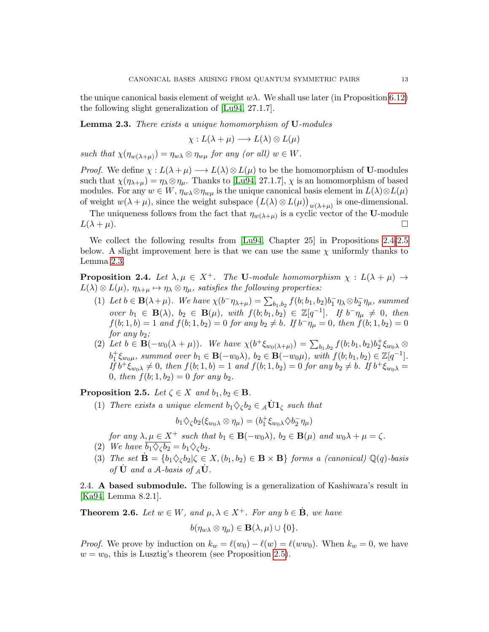the unique canonical basis element of weight  $w\lambda$ . We shall use later (in Proposition [6.12\)](#page-41-1) the following slight generalization of [\[Lu94,](#page-60-4) 27.1.7].

<span id="page-12-4"></span>**Lemma 2.3.** There exists a unique homomorphism of **U**-modules

$$
\chi: L(\lambda + \mu) \longrightarrow L(\lambda) \otimes L(\mu)
$$

such that  $\chi(\eta_{w(\lambda+\mu)}) = \eta_{w\lambda} \otimes \eta_{w\mu}$  for any (or all)  $w \in W$ .

*Proof.* We define  $\chi : L(\lambda + \mu) \longrightarrow L(\lambda) \otimes L(\mu)$  to be the homomorphism of **U**-modules such that  $\chi(\eta_{\lambda+\mu}) = \eta_{\lambda} \otimes \eta_{\mu}$ . Thanks to [\[Lu94,](#page-60-4) 27.1.7],  $\chi$  is an homomorphism of based modules. For any  $w \in W$ ,  $\eta_{w\lambda} \otimes \eta_{w\mu}$  is the unique canonical basis element in  $L(\lambda) \otimes L(\mu)$ of weight  $w(\lambda + \mu)$ , since the weight subspace  $(L(\lambda) \otimes L(\mu))_{w(\lambda + \mu)}$  is one-dimensional.

The uniqueness follows from the fact that  $\eta_{w(\lambda+\mu)}$  is a cyclic vector of the U-module  $L(\lambda + \mu)$ .

We collect the following results from [\[Lu94,](#page-60-4) Chapter 25] in Propositions [2.4-](#page-12-2)[2.5](#page-12-3) below. A slight improvement here is that we can use the same  $\chi$  uniformly thanks to Lemma [2.3.](#page-12-4)

<span id="page-12-2"></span>**Proposition 2.4.** Let  $\lambda, \mu \in X^+$ . The U-module homomorphism  $\chi : L(\lambda + \mu) \rightarrow$  $L(\lambda) \otimes L(\mu)$ ,  $\eta_{\lambda+\mu} \mapsto \eta_{\lambda} \otimes \eta_{\mu}$ , satisfies the following properties:

- (1) Let  $b \in \mathbf{B}(\lambda + \mu)$ . We have  $\chi(b^{-}\eta_{\lambda+\mu}) = \sum_{b_1,b_2} f(b; b_1, b_2) b_1^{-} \eta_{\lambda} \otimes b_2^{-} \eta_{\mu}$ , summed over  $b_1 \in \mathbf{B}(\lambda)$ ,  $b_2 \in \mathbf{B}(\mu)$ , with  $f(b; b_1, b_2) \in \mathbb{Z}[q^{-1}]$ . If  $b^-\eta_\mu \neq 0$ , then  $f(b; 1, b) = 1$  and  $f(b; 1, b_2) = 0$  for any  $b_2 \neq b$ . If  $b^-\eta_\mu = 0$ , then  $f(b; 1, b_2) = 0$ for any  $b_2$ ;
- (2) Let  $b \in \mathbf{B}(-w_0(\lambda + \mu))$ . We have  $\chi(b^+\xi_{w_0(\lambda+\mu)}) = \sum_{b_1,b_2} f(b; b_1, b_2) b^+_2 \xi_{w_0 \lambda} \otimes$  $b_1^+ \xi_{w_0\mu}$ , summed over  $b_1 \in \mathbf{B}(-w_0\lambda)$ ,  $b_2 \in \mathbf{B}(-w_0\mu)$ , with  $f(b; b_1, b_2) \in \mathbb{Z}[q^{-1}]$ .  $I\bar{f} b^+ \ddot{\xi}_{w_0\lambda} \neq 0$ , then  $f(b; 1, b) = 1$  and  $f(b; 1, b_2) = 0$  for any  $b_2 \neq b$ . If  $b^+ \xi_{w_0\lambda} =$ 0, then  $f(b; 1, b_2) = 0$  for any  $b_2$ .

<span id="page-12-3"></span>**Proposition 2.5.** Let  $\zeta \in X$  and  $b_1, b_2 \in \mathbf{B}$ .

(1) There exists a unique element  $b_1 \diamondsuit_{\zeta} b_2 \in {}_{\mathcal{A}} \dot{\mathbf{U}} \mathbf{1}_{\zeta}$  such that

$$
b_1 \diamondsuit_{\zeta} b_2 (\xi_{w_0 \lambda} \otimes \eta_{\mu}) = (b_1^+ \xi_{w_0 \lambda} \diamondsuit b_2^- \eta_{\mu})
$$

for any  $\lambda, \mu \in X^+$  such that  $b_1 \in \mathbf{B}(-w_0\lambda)$ ,  $b_2 \in \mathbf{B}(\mu)$  and  $w_0\lambda + \mu = \zeta$ .

- (2) We have  $\overline{b_1 \diamondsuit_c b_2} = b_1 \diamondsuit_c b_2$ .
- (3) The set  $\dot{\mathbf{B}} = \{b_1 \diamondsuit \diamondsuit b_2 | \diamondsuit \in X, (b_1, b_2) \in \mathbf{B} \times \mathbf{B} \}$  forms a (canonical)  $\mathbb{Q}(q)$ -basis of  $\dot{\mathbf{U}}$  and a A-basis of  $_{\mathcal{A}}\dot{\mathbf{U}}$ .

<span id="page-12-0"></span>2.4. A based submodule. The following is a generalization of Kashiwara's result in [\[Ka94,](#page-60-11) Lemma 8.2.1].

<span id="page-12-1"></span>**Theorem 2.6.** Let  $w \in W$ , and  $\mu, \lambda \in X^+$ . For any  $b \in \dot{B}$ , we have

$$
b(\eta_{w\lambda}\otimes \eta_\mu)\in \mathbf{B}(\lambda,\mu)\cup\{0\}.
$$

*Proof.* We prove by induction on  $k_w = \ell(w_0) - \ell(w) = \ell(ww_0)$ . When  $k_w = 0$ , we have  $w = w_0$ , this is Lusztig's theorem (see Proposition [2.5\)](#page-12-3).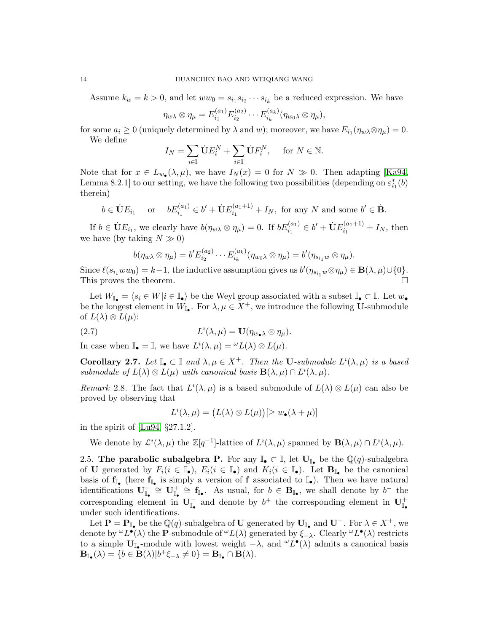Assume  $k_w = k > 0$ , and let  $ww_0 = s_{i_1} s_{i_2} \cdots s_{i_k}$  be a reduced expression. We have

$$
\eta_{w\lambda} \otimes \eta_{\mu} = E_{i_1}^{(a_1)} E_{i_2}^{(a_2)} \cdots E_{i_k}^{(a_k)} (\eta_{w_0\lambda} \otimes \eta_{\mu}),
$$

for some  $a_i \geq 0$  (uniquely determined by  $\lambda$  and w); moreover, we have  $E_{i_1}(\eta_{w\lambda} \otimes \eta_{\mu}) = 0$ . We define

$$
I_N = \sum_{i \in \mathbb{I}} \dot{\mathbf{U}} E_i^N + \sum_{i \in \mathbb{I}} \dot{\mathbf{U}} F_i^N, \quad \text{for } N \in \mathbb{N}.
$$

Note that for  $x \in L_{w_{\bullet}}(\lambda, \mu)$ , we have  $I_N(x) = 0$  for  $N \gg 0$ . Then adapting [\[Ka94,](#page-60-11) Lemma 8.2.1] to our setting, we have the following two possibilities (depending on  $\varepsilon_{i_1}^*(b)$ ) therein)

$$
b \in \dot{\mathbf{U}}E_{i_1}
$$
 or  $bE_{i_1}^{(a_1)} \in b' + \dot{\mathbf{U}}E_{i_1}^{(a_1+1)} + I_N$ , for any N and some  $b' \in \dot{\mathbf{B}}$ .

If  $b \in \dot{\mathbf{U}}E_{i_1}$ , we clearly have  $b(\eta_{w\lambda} \otimes \eta_{\mu}) = 0$ . If  $bE_{i_1}^{(a_1)} \in b' + \dot{\mathbf{U}}E_{i_1}^{(a_1+1)}$  $i_1^{(u_1+1)} + I_N$ , then we have (by taking  $N \gg 0$ )

$$
b(\eta_{w\lambda}\otimes \eta_\mu)=b'E_{i_2}^{(a_2)}\cdots E_{i_k}^{(a_k)}(\eta_{w_0\lambda}\otimes \eta_\mu)=b'(\eta_{s_{i_1}w}\otimes \eta_\mu).
$$

Since  $\ell(s_{i_1}ww_0) = k-1$ , the inductive assumption gives us  $b'(\eta_{s_{i_1}w}\otimes \eta_\mu) \in \mathbf{B}(\lambda,\mu)\cup\{0\}.$ This proves the theorem.

Let  $W_{\mathbb{I}_{\bullet}} = \langle s_i \in W | i \in \mathbb{I}_{\bullet} \rangle$  be the Weyl group associated with a subset  $\mathbb{I}_{\bullet} \subset \mathbb{I}$ . Let  $w_{\bullet}$ be the longest element in  $W_{\mathbb{I}_{\bullet}}$ . For  $\lambda, \mu \in X^+$ , we introduce the following U-submodule of  $L(\lambda) \otimes L(\mu)$ :

(2.7) 
$$
L^{i}(\lambda,\mu) = \mathbf{U}(\eta_{w_{\bullet}\lambda} \otimes \eta_{\mu}).
$$

In case when  $\mathbb{I}_{\bullet} = \mathbb{I}$ , we have  $L^i(\lambda, \mu) = {}^{\omega}L(\lambda) \otimes L(\mu)$ .

<span id="page-13-2"></span>**Corollary 2.7.** Let  $\mathbb{I}_{\bullet} \subset \mathbb{I}$  and  $\lambda, \mu \in X^+$ . Then the **U**-submodule  $L^i(\lambda, \mu)$  is a based submodule of  $L(\lambda) \otimes L(\mu)$  with canonical basis  $\mathbf{B}(\lambda, \mu) \cap L^i(\lambda, \mu)$ .

Remark 2.8. The fact that  $L^i(\lambda, \mu)$  is a based submodule of  $L(\lambda) \otimes L(\mu)$  can also be proved by observing that

<span id="page-13-1"></span>
$$
L^{i}(\lambda,\mu) = (L(\lambda) \otimes L(\mu))[\geq w_{\bullet}(\lambda + \mu)]
$$

in the spirit of [\[Lu94,](#page-60-4) §27.1.2].

We denote by  $\mathcal{L}^i(\lambda,\mu)$  the  $\mathbb{Z}[q^{-1}]$ -lattice of  $L^i(\lambda,\mu)$  spanned by  $\mathbf{B}(\lambda,\mu) \cap L^i(\lambda,\mu)$ .

<span id="page-13-0"></span>2.5. The parabolic subalgebra P. For any  $\mathbb{I}_{\bullet} \subset \mathbb{I}$ , let  $\mathbf{U}_{\mathbb{I}_{\bullet}}$  be the  $\mathbb{Q}(q)$ -subalgebra of U generated by  $F_i(i \in \mathbb{I}_{\bullet}), E_i(i \in \mathbb{I}_{\bullet})$  and  $K_i(i \in \mathbb{I}_{\bullet})$ . Let  $\mathbf{B}_{\mathbb{I}_{\bullet}}$  be the canonical basis of  $f_{\mathbb{I}_{\bullet}}$  (here  $f_{\mathbb{I}_{\bullet}}$  is simply a version of f associated to  $\mathbb{I}_{\bullet}$ ). Then we have natural identifications  $\mathbf{U}_{\mathbb{I}_{\bullet}}^{-} \cong \mathbf{U}_{\mathbb{I}_{\bullet}}^{+} \cong \mathbf{f}_{\mathbb{I}_{\bullet}}$ . As usual, for  $b \in \mathbf{B}_{\mathbb{I}_{\bullet}}$ , we shall denote by  $b^{-}$  the corresponding element in  $U_{\mathbb{I}_{\bullet}}^-$  and denote by  $b^+$  the corresponding element in  $U_{\mathbb{I}_{\bullet}}^+$ under such identifications.

Let  $\mathbf{P} = \mathbf{P}_{\mathbb{I}_{\bullet}}$  be the  $\mathbb{Q}(q)$ -subalgebra of U generated by  $\mathbf{U}_{\mathbb{I}_{\bullet}}$  and  $\mathbf{U}^-$ . For  $\lambda \in X^+$ , we denote by  $\omega L^{\bullet}(\lambda)$  the P-submodule of  $\omega L(\lambda)$  generated by  $\xi_{-\lambda}$ . Clearly  $\omega L^{\bullet}(\lambda)$  restricts to a simple  $U_{\mathbb{I}_{\bullet}}$ -module with lowest weight  $-\lambda$ , and  $\omega L^{\bullet}(\lambda)$  admits a canonical basis  $\mathbf{B}_{\mathbb{I}_{\bullet}}(\lambda) = \{b \in \mathbf{B}(\lambda)|b^{+}\xi_{-\lambda} \neq 0\} = \mathbf{B}_{\mathbb{I}_{\bullet}} \cap \mathbf{B}(\lambda).$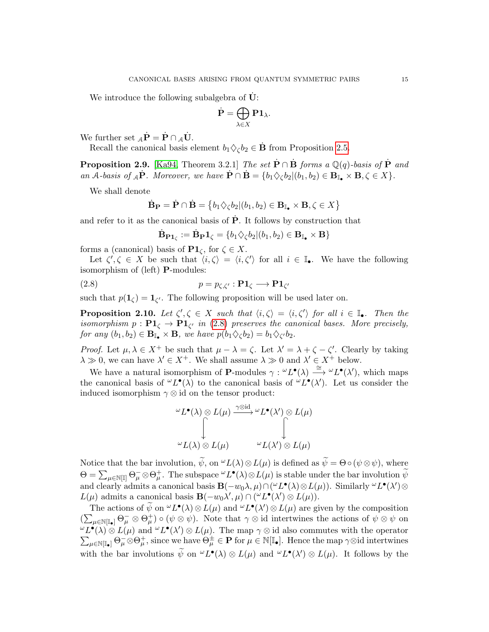We introduce the following subalgebra of  $\dot{\mathbf{U}}$ :

$$
\dot{\mathbf{P}} = \bigoplus_{\lambda \in X} \mathbf{P} \mathbf{1}_{\lambda}.
$$

We further set  $_A \dot{\mathbf{P}} = \dot{\mathbf{P}} \cap_A \dot{\mathbf{U}}$ .

Recall the canonical basis element  $b_1 \Diamond_\zeta b_2 \in \dot{\mathbf{B}}$  from Proposition [2.5.](#page-12-3)

<span id="page-14-1"></span>**Proposition 2.9.** [\[Ka94,](#page-60-11) Theorem 3.2.1] The set  $\dot{\mathbf{P}} \cap \dot{\mathbf{B}}$  forms a Q(q)-basis of  $\dot{\mathbf{P}}$  and an A-basis of  $_A \dot{\mathbf{P}}$ . Moreover, we have  $\dot{\mathbf{P}} \cap \dot{\mathbf{B}} = \{b_1 \diamondsuit_{\zeta} b_2 | (b_1, b_2) \in \mathbf{B}_{\mathbb{I}_{\bullet}} \times \mathbf{B}, \zeta \in X\}$ .

We shall denote

$$
\dot{\mathbf{B}}_{\mathbf{P}} = \dot{\mathbf{P}} \cap \dot{\mathbf{B}} = \{b_1 \diamondsuit_{\zeta} b_2 | (b_1, b_2) \in \mathbf{B}_{\mathbb{I}_{\bullet}} \times \mathbf{B}, \zeta \in X\}
$$

and refer to it as the canonical basis of  $\dot{\mathbf{P}}$ . It follows by construction that

<span id="page-14-0"></span>
$$
\dot{\mathbf{B}}_{\mathbf{P1}_\zeta}:=\dot{\mathbf{B}}_{\mathbf{P}}\mathbf{1}_\zeta=\{b_1\diamondsuit_\zeta b_2|(b_1,b_2)\in\mathbf{B}_{\mathbb{I}_\bullet}\times\mathbf{B}\}
$$

forms a (canonical) basis of  $\mathbf{P1}_{\zeta}$ , for  $\zeta \in X$ .

Let  $\zeta', \zeta \in X$  be such that  $\langle i, \zeta \rangle = \langle i, \zeta' \rangle$  for all  $i \in \mathbb{I}_{\bullet}$ . We have the following isomorphism of (left) P-modules:

(2.8) 
$$
p = p_{\zeta, \zeta'} : \mathbf{P1}_{\zeta} \longrightarrow \mathbf{P1}_{\zeta'}
$$

such that  $p(\mathbf{1}_{\zeta}) = \mathbf{1}_{\zeta'}$ . The following proposition will be used later on.

<span id="page-14-2"></span>**Proposition 2.10.** Let  $\zeta', \zeta \in X$  such that  $\langle i, \zeta \rangle = \langle i, \zeta' \rangle$  for all  $i \in \mathbb{I}_{\bullet}$ . Then the isomorphism  $p: \mathbf{P1}_{\zeta} \to \mathbf{P1}_{\zeta'}$  in [\(2.8\)](#page-14-0) preserves the canonical bases. More precisely, for any  $(b_1, b_2) \in \mathbf{B}_{\mathbb{I}_{\bullet}} \times \mathbf{B}$ , we have  $p(b_1 \diamondsuit_{\zeta} b_2) = b_1 \diamondsuit_{\zeta'} b_2$ .

*Proof.* Let  $\mu, \lambda \in X^+$  be such that  $\mu - \lambda = \zeta$ . Let  $\lambda' = \lambda + \zeta - \zeta'$ . Clearly by taking  $\lambda \gg 0$ , we can have  $\lambda' \in X^+$ . We shall assume  $\lambda \gg 0$  and  $\lambda' \in X^+$  below.

We have a natural isomorphism of **P**-modules  $\gamma : {}^{\omega}L^{\bullet}(\lambda) \stackrel{\cong}{\longrightarrow} {}^{\omega}L^{\bullet}(\lambda')$ , which maps the canonical basis of  $\omega L^{\bullet}(\lambda)$  to the canonical basis of  $\omega L^{\bullet}(\lambda')$ . Let us consider the induced isomorphism  $\gamma \otimes id$  on the tensor product:

$$
\begin{aligned}\n\stackrel{\omega}{\sim} & L^{\bullet}(\lambda) \otimes L(\mu) \xrightarrow{\gamma \otimes \mathrm{id}} \stackrel{\omega}{\sim} & L^{\bullet}(\lambda') \otimes L(\mu) \\
\downarrow \qquad \qquad \downarrow \\
\stackrel{\omega}{\sim} & L(\lambda) \otimes L(\mu) \qquad \qquad \stackrel{\omega}{\sim} & L(\lambda') \otimes L(\mu)\n\end{aligned}
$$

Notice that the bar involution,  $\widetilde{\psi}$ , on  $\omega L(\lambda) \otimes L(\mu)$  is defined as  $\widetilde{\psi} = \Theta \circ (\psi \otimes \psi)$ , where  $\Theta = \sum_{\mu \in \mathbb{N}[\mathbb{I}]} \Theta_{\mu}^{-} \otimes \Theta_{\mu}^{+}$ . The subspace  ${}^{\omega}L^{\bullet}(\lambda) \otimes L(\mu)$  is stable under the bar involution  $\widetilde{\psi}$ and clearly admits a canonical basis  $\mathbf{B}(-w_0\lambda,\mu)\cap({}^{\omega}L^{\bullet}(\lambda)\otimes L(\mu))$ . Similarly  ${}^{\omega}L^{\bullet}(\lambda')\otimes$  $L(\mu)$  admits a canonical basis  $\mathbf{B}(-w_0\lambda',\mu) \cap (^\omega L^{\bullet}(\lambda') \otimes L(\mu))$ .

The actions of  $\widetilde{\psi}$  on  $\omega L^{\bullet}(\lambda) \otimes L(\mu)$  and  $\omega L^{\bullet}(\lambda') \otimes L(\mu)$  are given by the composition  $(\sum_{\mu\in\mathbb{N}[\mathbb{I}_{\bullet}]} \Theta_{\mu}^{-}\otimes \Theta_{\mu}^{+})\circ (\psi \otimes \psi)$ . Note that  $\gamma \otimes id$  intertwines the actions of  $\psi \otimes \psi$  on  $\omega L^{\bullet}(\lambda) \otimes L(\mu)$  and  $\omega L^{\bullet}(\lambda') \otimes L(\mu)$ . The map  $\gamma \otimes$  id also commutes with the operator  $\sum_{\mu \in \mathbb{N}[\mathbb{I}_{\bullet}]} \Theta_{\mu}^{-} \otimes \Theta_{\mu}^{+}$ , since we have  $\Theta_{\mu}^{\pm} \in \mathbf{P}$  for  $\mu \in \mathbb{N}[\mathbb{I}_{\bullet}]$ . Hence the map  $\gamma \otimes \mathrm{id}$  intertwines with the bar involutions  $\tilde{\psi}$  on  ${}^{\omega}L^{\bullet}(\lambda) \otimes L(\mu)$  and  ${}^{\omega}L^{\bullet}(\lambda') \otimes L(\mu)$ . It follows by the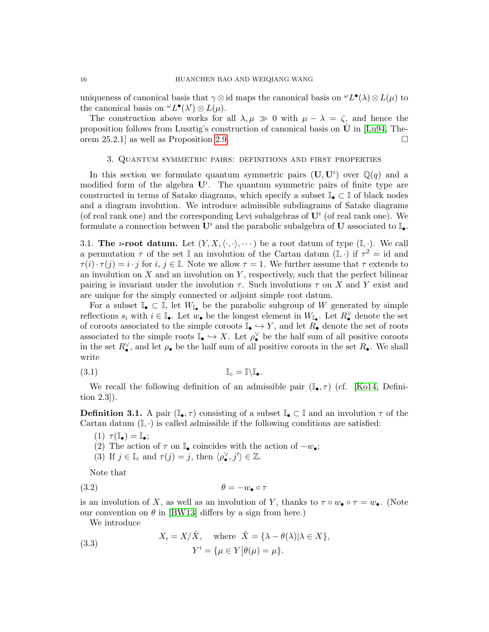uniqueness of canonical basis that  $\gamma \otimes$  id maps the canonical basis on  $\mathscr{L}L^{\bullet}(\lambda) \otimes L(\mu)$  to the canonical basis on  ${}^{\omega}L^{\bullet}(\lambda') \otimes L(\mu)$ .

The construction above works for all  $\lambda, \mu \gg 0$  with  $\mu - \lambda = \zeta$ , and hence the proposition follows from Lusztig's construction of canonical basis on  $\dot{\mathbf{U}}$  in [\[Lu94,](#page-60-4) Theorem 25.2.1] as well as Proposition [2.9.](#page-14-1)

#### 3. Quantum symmetric pairs: definitions and first properties

<span id="page-15-0"></span>In this section we formulate quantum symmetric pairs  $(\mathbf{U}, \mathbf{U}^i)$  over  $\mathbb{Q}(q)$  and a modified form of the algebra  $U^i$ . The quantum symmetric pairs of finite type are constructed in terms of Satake diagrams, which specify a subset  $\mathbb{I}_{\bullet} \subset \mathbb{I}$  of black nodes and a diagram involution. We introduce admissible subdiagrams of Satake diagrams (of real rank one) and the corresponding Levi subalgebras of  $U^i$  (of real rank one). We formulate a connection between  $\mathbf{U}^i$  and the parabolic subalgebra of  $\mathbf{U}$  associated to  $\mathbb{I}_{\bullet}$ .

<span id="page-15-1"></span>3.1. The *i*-root datum. Let  $(Y, X, \langle \cdot, \cdot \rangle, \cdots)$  be a root datum of type  $(\mathbb{I}, \cdot)$ . We call a permutation  $\tau$  of the set I an involution of the Cartan datum  $(I, \cdot)$  if  $\tau^2 = id$  and  $\tau(i) \cdot \tau(j) = i \cdot j$  for  $i, j \in \mathbb{I}$ . Note we allow  $\tau = 1$ . We further assume that  $\tau$  extends to an involution on  $X$  and an involution on  $Y$ , respectively, such that the perfect bilinear pairing is invariant under the involution  $\tau$ . Such involutions  $\tau$  on X and Y exist and are unique for the simply connected or adjoint simple root datum.

For a subset  $\mathbb{I}_{\bullet} \subset \mathbb{I}$ , let  $W_{\mathbb{I}_{\bullet}}$  be the parabolic subgroup of W generated by simple reflections  $s_i$  with  $i \in \mathbb{I}_{\bullet}$ . Let  $w_{\bullet}$  be the longest element in  $W_{\mathbb{I}_{\bullet}}$ . Let  $R_{\bullet}^{\vee}$  denote the set of coroots associated to the simple coroots  $\mathbb{I}_{\bullet} \hookrightarrow Y$ , and let  $R_{\bullet}$  denote the set of roots associated to the simple roots  $\mathbb{I}_{\bullet} \hookrightarrow X$ . Let  $\rho_{\bullet}^{\vee}$  be the half sum of all positive coroots in the set  $R_{\bullet}^{\vee}$ , and let  $\rho_{\bullet}$  be the half sum of all positive coroots in the set  $R_{\bullet}$ . We shall write

$$
\mathbb{I}_{\circ} = \mathbb{I}\backslash\mathbb{I}_{\bullet}.
$$

We recall the following definition of an admissible pair  $(I_{\bullet}, \tau)$  (cf. [\[Ko14,](#page-60-8) Definition 2.3]).

<span id="page-15-3"></span>**Definition 3.1.** A pair  $(\mathbb{I}_{\bullet}, \tau)$  consisting of a subset  $\mathbb{I}_{\bullet} \subset \mathbb{I}$  and an involution  $\tau$  of the Cartan datum  $(I, \cdot)$  is called admissible if the following conditions are satisfied:

- $(1)$   $\tau(\mathbb{I}_{\bullet}) = \mathbb{I}_{\bullet};$
- (2) The action of  $\tau$  on  $\mathbb{I}_{\bullet}$  coincides with the action of  $-w_{\bullet};$
- <span id="page-15-2"></span>(3) If  $j \in \mathbb{I}_0$  and  $\tau(j) = j$ , then  $\langle \rho_{\bullet}^{\vee}, j' \rangle \in \mathbb{Z}$ .

Note that

$$
\theta = -w_{\bullet} \circ \tau
$$

is an involution of X, as well as an involution of Y, thanks to  $\tau \circ w_{\bullet} \circ \tau = w_{\bullet}$ . (Note our convention on  $\theta$  in [\[BW13\]](#page-59-4) differs by a sign from here.)

We introduce

<span id="page-15-4"></span>(3.3) 
$$
X_{i} = X/\breve{X}, \text{ where } \breve{X} = \{\lambda - \theta(\lambda)|\lambda \in X\},
$$

$$
Y^{i} = \{\mu \in Y | \theta(\mu) = \mu\}.
$$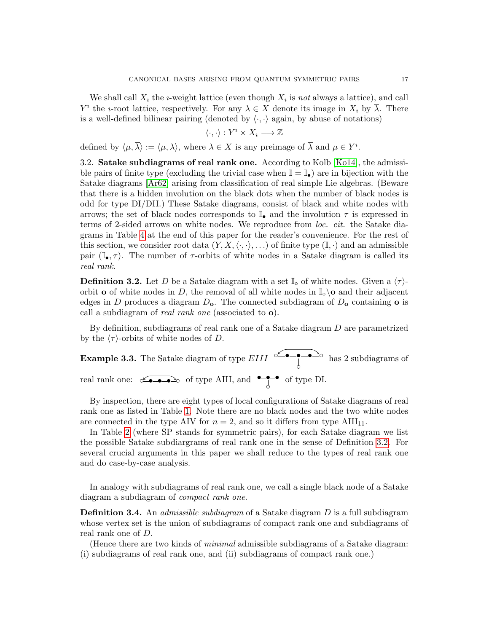We shall call  $X_i$  the *i*-weight lattice (even though  $X_i$  is not always a lattice), and call  $Y^i$  the *i*-root lattice, respectively. For any  $\lambda \in X$  denote its image in  $X_i$  by  $\overline{\lambda}$ . There is a well-defined bilinear pairing (denoted by  $\langle \cdot, \cdot \rangle$  again, by abuse of notations)

$$
\langle \cdot, \cdot \rangle : Y^i \times X_i \longrightarrow \mathbb{Z}
$$

defined by  $\langle \mu, \overline{\lambda} \rangle := \langle \mu, \lambda \rangle$ , where  $\lambda \in X$  is any preimage of  $\overline{\lambda}$  and  $\mu \in Y^i$ .

<span id="page-16-0"></span>3.2. Satake subdiagrams of real rank one. According to Kolb [\[Ko14\]](#page-60-8), the admissible pairs of finite type (excluding the trivial case when  $\mathbb{I} = \mathbb{I}_{\bullet}$ ) are in bijection with the Satake diagrams [\[Ar62\]](#page-59-3) arising from classification of real simple Lie algebras. (Beware that there is a hidden involution on the black dots when the number of black nodes is odd for type DI/DII.) These Satake diagrams, consist of black and white nodes with arrows; the set of black nodes corresponds to  $\mathbb{I}_{\bullet}$  and the involution  $\tau$  is expressed in terms of 2-sided arrows on white nodes. We reproduce from loc. cit. the Satake diagrams in Table [4](#page-61-0) at the end of this paper for the reader's convenience. For the rest of this section, we consider root data  $(Y, X, \langle \cdot, \cdot \rangle, \ldots)$  of finite type  $(\mathbb{I}, \cdot)$  and an admissible pair ( $\mathbb{I}_{\bullet}, \tau$ ). The number of  $\tau$ -orbits of white nodes in a Satake diagram is called its real rank.

<span id="page-16-1"></span>**Definition 3.2.** Let D be a Satake diagram with a set  $\mathbb{I}_{\circ}$  of white nodes. Given a  $\langle \tau \rangle$ orbit **o** of white nodes in D, the removal of all white nodes in  $\mathbb{I}_{\circ} \setminus \mathbf{o}$  and their adjacent edges in D produces a diagram  $D_o$ . The connected subdiagram of  $D_o$  containing o is call a subdiagram of real rank one (associated to o).

By definition, subdiagrams of real rank one of a Satake diagram D are parametrized by the  $\langle \tau \rangle$ -orbits of white nodes of D.

**Example 3.3.** The Satake diagram of type  $EIII \circ \overset{\sim}{\leftarrow} \bullet \to \bullet \overset{\sim}{\leftarrow} \bullet$ ◦ has 2 subdiagrams of real rank one:  $\circ \bullet \bullet \bullet \bullet$  of type AIII, and  $\bullet \bullet \bullet \bullet$ of type DI.

By inspection, there are eight types of local configurations of Satake diagrams of real rank one as listed in Table [1.](#page-17-2) Note there are no black nodes and the two white nodes are connected in the type AIV for  $n = 2$ , and so it differs from type AIII<sub>11</sub>.

In Table [2](#page-17-3) (where SP stands for symmetric pairs), for each Satake diagram we list the possible Satake subdiargrams of real rank one in the sense of Definition [3.2.](#page-16-1) For several crucial arguments in this paper we shall reduce to the types of real rank one and do case-by-case analysis.

In analogy with subdiagrams of real rank one, we call a single black node of a Satake diagram a subdiagram of *compact rank one*.

<span id="page-16-2"></span>**Definition 3.4.** An *admissible subdiagram* of a Satake diagram  $D$  is a full subdiagram whose vertex set is the union of subdiagrams of compact rank one and subdiagrams of real rank one of D.

(Hence there are two kinds of minimal admissible subdiagrams of a Satake diagram: (i) subdiagrams of real rank one, and (ii) subdiagrams of compact rank one.)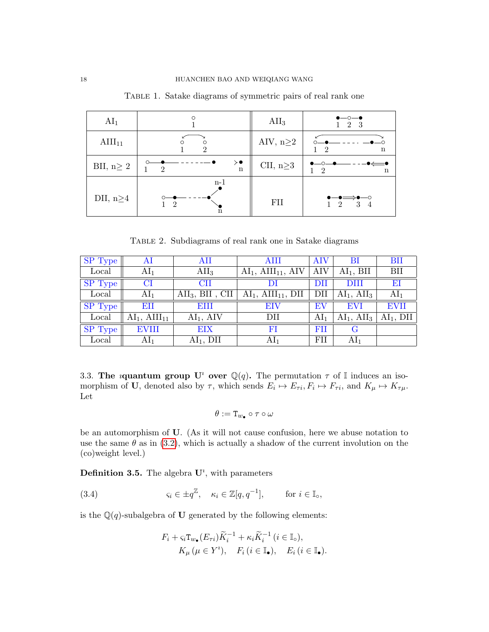| AI <sub>1</sub>    |                                       | $\text{AII}_3$  | $\bullet$ —0— $\bullet$<br>2 3                 |
|--------------------|---------------------------------------|-----------------|------------------------------------------------|
| $\text{AlII}_{11}$ | $\circ$<br>Ω<br>$\Omega$              | AIV, $n \geq 2$ | $\overline{2}$<br>n                            |
| BII, $n \geq 2$    | $\mathcal{D}$<br>n                    | CII, $n \geq 3$ | $\mathbf{1}$<br>-2<br>$\mathbf n$              |
| DII, $n \geq 4$    | $n-1$<br>$\mathcal{D}$<br>$\mathbf n$ | FII             | $-$ 0<br>$\overline{2}$<br>3<br>$\overline{4}$ |

<span id="page-17-2"></span>Table 1. Satake diagrams of symmetric pairs of real rank one

<span id="page-17-3"></span>Table 2. Subdiagrams of real rank one in Satake diagrams

| SP Type | AI               | AII                       | AIII                     | <b>AIV</b>      | BI              | BII             |
|---------|------------------|---------------------------|--------------------------|-----------------|-----------------|-----------------|
| Local   | AI <sub>1</sub>  | $\rm{AII}_3$              | $AI1$ , $AIII11$ , $AIV$ | AIV             | $AI1$ , BII     | BII             |
| SP Type | $\rm{CI}$        | <b>CII</b>                |                          | $\rm{DII}$      | DIII            | EI              |
| Local   | AI <sub>1</sub>  | $\text{AII}_3$ , BII, CII | $AI1$ , $AIII11$ , DII   | DII             | $AI1$ , $AI13$  | AI <sub>1</sub> |
| SP Type | EII              | <b>EIII</b>               | EIV                      | EV              | <b>EVI</b>      | <b>EVII</b>     |
| Local   | $AI1$ , $AIII11$ | $AI1$ , AIV               | $\rm{DII}$               | AI <sub>1</sub> | $AI1$ , $AI13$  | $AI1$ , DII     |
| SP Type | <b>EVIII</b>     | EIX                       | FI                       | FII             | G               |                 |
| Local   | AI <sub>1</sub>  | $AI1$ , DII               | $AI_1$                   | FII             | AI <sub>1</sub> |                 |

<span id="page-17-0"></span>3.3. The *i*quantum group U<sup>*i*</sup> over  $\mathbb{Q}(q)$ . The permutation  $\tau$  of I induces an isomorphism of U, denoted also by  $\tau$ , which sends  $E_i \mapsto E_{\tau i}$ ,  $F_i \mapsto F_{\tau i}$ , and  $K_{\mu} \mapsto K_{\tau \mu}$ . Let

$$
\theta:=\mathtt{T}_{w_\bullet}\circ\tau\circ\omega
$$

be an automorphism of U. (As it will not cause confusion, here we abuse notation to use the same  $\theta$  as in [\(3.2\)](#page-15-2), which is actually a shadow of the current involution on the (co)weight level.)

<span id="page-17-1"></span>**Definition 3.5.** The algebra  $\mathbf{U}^i$ , with parameters

(3.4) 
$$
\varsigma_i \in \pm q^{\mathbb{Z}}, \quad \kappa_i \in \mathbb{Z}[q, q^{-1}], \quad \text{for } i \in \mathbb{I}_0,
$$

is the  $\mathbb{Q}(q)$ -subalgebra of **U** generated by the following elements:

<span id="page-17-4"></span>
$$
F_i + \varsigma_i \mathbf{T}_{w_\bullet}(E_{\tau i}) \widetilde{K}_i^{-1} + \kappa_i \widetilde{K}_i^{-1} \ (i \in \mathbb{I}_\circ),
$$
  
 
$$
K_\mu \ (\mu \in Y^i), \quad F_i \ (i \in \mathbb{I}_\bullet), \quad E_i \ (i \in \mathbb{I}_\bullet).
$$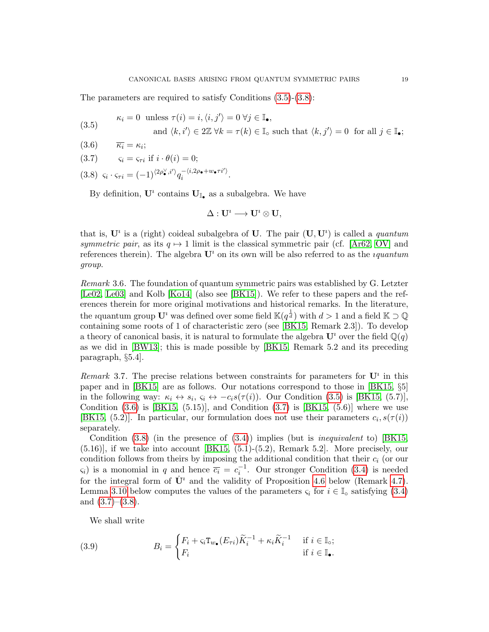The parameters are required to satisfy Conditions [\(3.5\)](#page-18-0)-[\(3.8\)](#page-18-1):

<span id="page-18-0"></span>(3.5) 
$$
\kappa_i = 0 \text{ unless } \tau(i) = i, \langle i, j' \rangle = 0 \ \forall j \in \mathbb{I}_{\bullet},
$$

and  $\langle k, i' \rangle \in 2\mathbb{Z} \ \forall k = \tau(k) \in \mathbb{I}_\infty$  such that  $\langle k, j' \rangle = 0$  for all  $j \in \mathbb{I}_\bullet$ ;

<span id="page-18-2"></span>(3.6)  $\overline{\kappa_i} = \kappa_i;$ 

<span id="page-18-3"></span>
$$
(3.7) \qquad \varsigma_i = \varsigma_{\tau i} \text{ if } i \cdot \theta(i) = 0;
$$

<span id="page-18-1"></span> $\varsigma_i \cdot \varsigma_{\tau i} = (-1)^{\langle 2\rho_{\bullet}^{\vee}, i^{\prime} \rangle} q_i^{-\langle i, 2\rho_{\bullet} + w_{\bullet} \tau i^{\prime} \rangle}$  $(3.8)$   $\varsigma_i \cdot \varsigma_{\tau i} = (-1)^{\langle 2\rho_{\bullet}^{\prime}, i' \rangle} q_i^{-\langle i, 2\rho_{\bullet} + w_{\bullet} \tau i' \rangle}.$ 

By definition,  $\mathbf{U}^i$  contains  $\mathbf{U}_{\mathbb{I}_{\bullet}}$  as a subalgebra. We have

$$
\Delta:U^{\imath}\longrightarrow U^{\imath}\otimes U,
$$

that is,  $\mathbf{U}^i$  is a (right) coideal subalgebra of U. The pair  $(\mathbf{U}, \mathbf{U}^i)$  is called a *quantum* symmetric pair, as its  $q \mapsto 1$  limit is the classical symmetric pair (cf. [\[Ar62,](#page-59-3) [OV\]](#page-60-5) and references therein). The algebra  $\mathbf{U}^i$  on its own will be also referred to as the *iquantum* group.

Remark 3.6. The foundation of quantum symmetric pairs was established by G. Letzter [\[Le02,](#page-60-7) [Le03\]](#page-60-13) and Kolb [\[Ko14\]](#page-60-8) (also see [\[BK15\]](#page-59-11)). We refer to these papers and the references therein for more original motivations and historical remarks. In the literature, the *i*quantum group  $\mathbf{U}^i$  was defined over some field  $\mathbb{K}(q^{\frac{1}{d}})$  with  $d > 1$  and a field  $\mathbb{K} \supset \mathbb{Q}$ containing some roots of 1 of characteristic zero (see [\[BK15,](#page-59-11) Remark 2.3]). To develop a theory of canonical basis, it is natural to formulate the algebra  $\mathbf{U}^i$  over the field  $\mathbb{Q}(q)$ as we did in [\[BW13\]](#page-59-4); this is made possible by [\[BK15,](#page-59-11) Remark 5.2 and its preceding paragraph, §5.4].

<span id="page-18-4"></span>Remark 3.7. The precise relations between constraints for parameters for  $\mathbf{U}^i$  in this paper and in [\[BK15\]](#page-59-11) are as follows. Our notations correspond to those in [\[BK15,](#page-59-11) §5] in the following way:  $\kappa_i \leftrightarrow s_i$ ,  $\varsigma_i \leftrightarrow -c_i s(\tau(i))$ . Our Condition [\(3.5\)](#page-18-0) is [\[BK15,](#page-59-11) (5.7)], Condition  $(3.6)$  is  $[BK15, (5.15)]$  $[BK15, (5.15)]$ , and Condition  $(3.7)$  is  $[BK15, (5.6)]$  where we use [\[BK15,](#page-59-11) (5.2)]. In particular, our formulation does not use their parameters  $c_i$ ,  $s(\tau(i))$ separately.

Condition  $(3.8)$  (in the presence of  $(3.4)$ ) implies (but is *inequivalent* to) [\[BK15,](#page-59-11)  $(5.16)$ , if we take into account [\[BK15,](#page-59-11)  $(5.1)-(5.2)$ , Remark 5.2]. More precisely, our condition follows from theirs by imposing the additional condition that their  $c_i$  (or our  $\zeta_i$ ) is a monomial in q and hence  $\overline{c_i} = c_i^{-1}$ . Our stronger Condition [\(3.4\)](#page-17-4) is needed for the integral form of  $\dot{\mathbf{U}}^i$  and the validity of Proposition [4.6](#page-28-0) below (Remark [4.7\)](#page-28-1). Lemma [3.10](#page-19-1) below computes the values of the parameters  $\varsigma_i$  for  $i \in \mathbb{I}_0$  satisfying [\(3.4\)](#page-17-4) and  $(3.7)$ – $(3.8)$ .

<span id="page-18-5"></span>We shall write

(3.9) 
$$
B_i = \begin{cases} F_i + \varsigma_i \mathsf{T}_{w_\bullet}(E_{\tau i}) \widetilde{K}_i^{-1} + \kappa_i \widetilde{K}_i^{-1} & \text{if } i \in \mathbb{I}_\circ; \\ F_i & \text{if } i \in \mathbb{I}_\bullet. \end{cases}
$$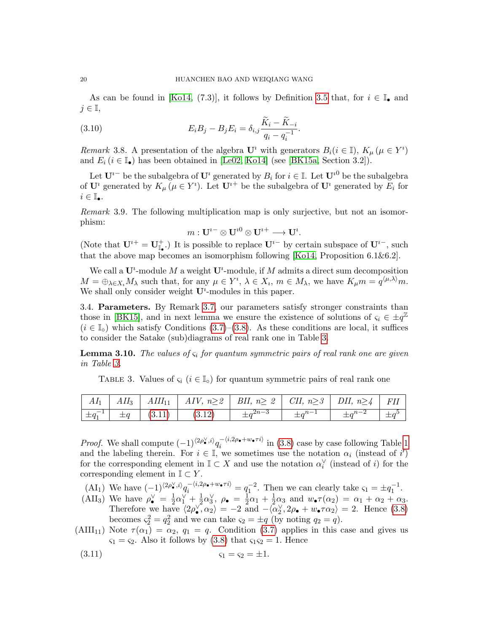As can be found in [\[Ko14,](#page-60-8) (7.3)], it follows by Definition [3.5](#page-17-1) that, for  $i \in \mathbb{I}_\bullet$  and  $j \in \mathbb{I}$ ,

(3.10) 
$$
E_i B_j - B_j E_i = \delta_{i,j} \frac{\widetilde{K}_i - \widetilde{K}_{-i}}{q_i - q_i^{-1}}.
$$

Remark 3.8. A presentation of the algebra  $\mathbf{U}^i$  with generators  $B_i(i \in \mathbb{I})$ ,  $K_\mu$   $(\mu \in Y^i)$ and  $E_i$  ( $i \in \mathbb{I}_{\bullet}$ ) has been obtained in [\[Le02,](#page-60-7) [Ko14\]](#page-60-8) (see [\[BK15a,](#page-59-10) Section 3.2]).

Let  $\mathbf{U}^{i-}$  be the subalgebra of  $\mathbf{U}^i$  generated by  $B_i$  for  $i \in \mathbb{I}$ . Let  $\mathbf{U}^{i0}$  be the subalgebra of  $\mathbf{U}^i$  generated by  $K_{\mu}$  ( $\mu \in Y^i$ ). Let  $\mathbf{U}^{i+}$  be the subalgebra of  $\mathbf{U}^i$  generated by  $E_i$  for  $i\in\mathbb{I}_{\bullet}.$ 

Remark 3.9. The following multiplication map is only surjective, but not an isomorphism:

<span id="page-19-4"></span>
$$
m: {\bf U}^{i-} \otimes {\bf U}^{i0} \otimes {\bf U}^{i+} \longrightarrow {\bf U}^{i}.
$$

(Note that  $\mathbf{U}^{i+} = \mathbf{U}_{\mathbb{I}_{\bullet}}^{+}$ .) It is possible to replace  $\mathbf{U}^{i-}$  by certain subspace of  $\mathbf{U}^{i-}$ , such that the above map becomes an isomorphism following [\[Ko14,](#page-60-8) Proposition 6.1&6.2].

We call a  $U^i$ -module M a weight  $U^i$ -module, if M admits a direct sum decomposition  $M = \bigoplus_{\lambda \in X_i} M_\lambda$  such that, for any  $\mu \in Y^i$ ,  $\lambda \in X_i$ ,  $m \in M_\lambda$ , we have  $K_\mu m = q^{\langle \mu, \lambda \rangle} m$ . We shall only consider weight  $U^i$ -modules in this paper.

<span id="page-19-0"></span>3.4. Parameters. By Remark [3.7,](#page-18-4) our parameters satisfy stronger constraints than those in [\[BK15\]](#page-59-11), and in next lemma we ensure the existence of solutions of  $\varsigma_i \in \pm q^{\mathbb{Z}}$  $(i \in \mathbb{I}_{\infty})$  which satisfy Conditions [\(3.7\)](#page-18-3)–[\(3.8\)](#page-18-1). As these conditions are local, it suffices to consider the Satake (sub)diagrams of real rank one in Table [3.](#page-19-2)

<span id="page-19-1"></span>**Lemma 3.10.** The values of  $\varsigma_i$  for quantum symmetric pairs of real rank one are given in Table [3.](#page-19-2)

<span id="page-19-2"></span>TABLE 3. Values of  $\varsigma_i$  ( $i \in \mathbb{I}$ ) for quantum symmetric pairs of real rank one

|  |                                                                             | $AI_1$   $AII_3$   $AIII_{11}$   $AIV$ , $n \geq 2$   $BII$ , $n \geq 2$   $CII$ , $n \geq 3$   $DII$ , $n \geq 4$   $FII$ |                |  |  |
|--|-----------------------------------------------------------------------------|----------------------------------------------------------------------------------------------------------------------------|----------------|--|--|
|  | $\left[\begin{array}{c c} \pm q_1^{-1} & \pm q & (3.11) \end{array}\right]$ | (3.12)                                                                                                                     | $\pm q^{2n-3}$ |  |  |

*Proof.* We shall compute  $(-1)^{\langle 2\rho \bullet i \rangle} q_i^{-\langle i,2\rho \bullet + w_\bullet \tau i \rangle}$  $e^{-\langle i,2\rho_{\bullet}+w_{\bullet}+i\rangle}$  in [\(3.8\)](#page-18-1) case by case following Table [1](#page-17-2) and the labeling therein. For  $i \in \mathbb{I}$ , we sometimes use the notation  $\alpha_i$  (instead of i') for the corresponding element in  $\mathbb{I} \subset X$  and use the notation  $\alpha_i^{\vee}$  (instead of *i*) for the corresponding element in  $\mathbb{I} \subset Y$ .

- (AI<sub>1</sub>) We have  $(-1)^{\langle 2\rho_{\bullet}^{\vee}, i \rangle} q_i^{-\langle i, 2\rho_{\bullet} + w_{\bullet} \tau i \rangle} = q_1^{-2}$ . Then we can clearly take  $\varsigma_1 = \pm q_1^{-1}$ .
- (AII<sub>3</sub>) We have  $\rho_{\bullet}^{\vee} = \frac{1}{2}$  $rac{1}{2}\alpha_1^{\vee} + \frac{1}{2}$  $\frac{1}{2}\alpha_3^\vee$ ,  $\rho_\bullet = \frac{1}{2}$  $rac{1}{2}\alpha_1 + \frac{1}{2}$  $\frac{1}{2}\alpha_3$  and  $w_{\bullet}\tau(\alpha_2) = \alpha_1 + \alpha_2 + \alpha_3$ . Therefore we have  $\langle 2\rho_{\bullet}^{\vee}, \alpha_2 \rangle = -2$  and  $-\langle \alpha_2^{\vee}, 2\rho_{\bullet} + w_{\bullet} \tau \alpha_2 \rangle = 2$ . Hence [\(3.8\)](#page-18-1) becomes  $\varsigma_2^2 = q_2^2$  and we can take  $\varsigma_2 = \pm q$  (by noting  $q_2 = q$ ).
- (AIII<sub>11</sub>) Note  $\tau(\alpha_1) = \alpha_2$ ,  $q_1 = q$ . Condition [\(3.7\)](#page-18-3) applies in this case and gives us  $\varsigma_1 = \varsigma_2$ . Also it follows by [\(3.8\)](#page-18-1) that  $\varsigma_1 \varsigma_2 = 1$ . Hence

<span id="page-19-3"></span>(3.11) 
$$
\varsigma_1 = \varsigma_2 = \pm 1.
$$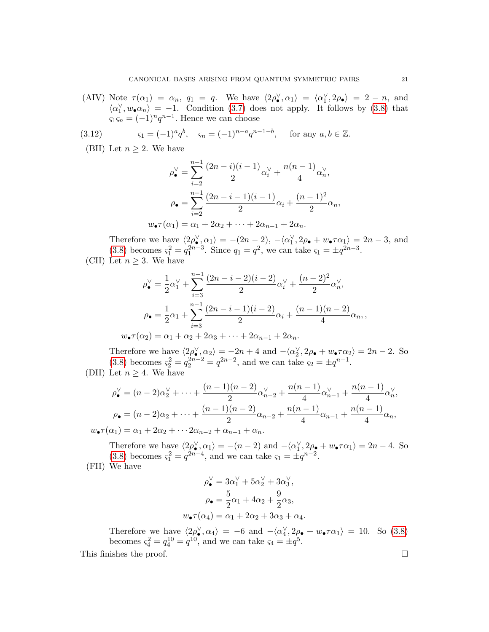(AIV) Note  $\tau(\alpha_1) = \alpha_n$ ,  $q_1 = q$ . We have  $\langle 2\rho_{\bullet}^{\vee}, \alpha_1 \rangle = \langle \alpha_1^{\vee}, 2\rho_{\bullet} \rangle = 2 - n$ , and  $\langle \alpha_1^{\vee}, w_{\bullet} \alpha_n \rangle = -1.$  Condition [\(3.7\)](#page-18-3) does not apply. It follows by [\(3.8\)](#page-18-1) that  $\varsigma_1 \varsigma_n = (-1)^n q^{n-1}$ . Hence we can choose

(3.12) 
$$
\varsigma_1 = (-1)^a q^b, \quad \varsigma_n = (-1)^{n-a} q^{n-1-b}, \quad \text{for any } a, b \in \mathbb{Z}.
$$

(BII) Let  $n \geq 2$ . We have

<span id="page-20-0"></span>
$$
\rho_{\bullet}^{\vee} = \sum_{i=2}^{n-1} \frac{(2n-i)(i-1)}{2} \alpha_i^{\vee} + \frac{n(n-1)}{4} \alpha_n^{\vee},
$$

$$
\rho_{\bullet} = \sum_{i=2}^{n-1} \frac{(2n-i-1)(i-1)}{2} \alpha_i + \frac{(n-1)^2}{2} \alpha_n,
$$

$$
w_{\bullet} \tau(\alpha_1) = \alpha_1 + 2\alpha_2 + \dots + 2\alpha_{n-1} + 2\alpha_n.
$$

Therefore we have  $\langle 2\rho_{\bullet}^{\vee}, \alpha_1 \rangle = -(2n-2), -\langle \alpha_1^{\vee}, 2\rho_{\bullet} + w_{\bullet} \tau \alpha_1 \rangle = 2n-3$ , and [\(3.8\)](#page-18-1) becomes  $\varsigma_1^2 = q_1^{2n-3}$ . Since  $q_1 = q^2$ , we can take  $\varsigma_1 = \pm q^{2n-3}$ .

(CII) Let 
$$
n \geq 3
$$
. We have

$$
\rho_{\bullet}^{\vee} = \frac{1}{2}\alpha_1^{\vee} + \sum_{i=3}^{n-1} \frac{(2n-i-2)(i-2)}{2}\alpha_i^{\vee} + \frac{(n-2)^2}{2}\alpha_n^{\vee},
$$

$$
\rho_{\bullet} = \frac{1}{2}\alpha_1 + \sum_{i=3}^{n-1} \frac{(2n-i-1)(i-2)}{2}\alpha_i + \frac{(n-1)(n-2)}{4}\alpha_n,
$$

$$
w_{\bullet}\tau(\alpha_2)=\alpha_1+\alpha_2+2\alpha_3+\cdots+2\alpha_{n-1}+2\alpha_n.
$$

Therefore we have  $\langle 2\rho_{\bullet}^{\vee}, \alpha_2 \rangle = -2n + 4$  and  $-\langle \alpha_2^{\vee}, 2\rho_{\bullet} + w_{\bullet} \tau \alpha_2 \rangle = 2n - 2$ . So [\(3.8\)](#page-18-1) becomes  $\varsigma_2^2 = q_2^{2n-2} = q^{2n-2}$ , and we can take  $\varsigma_2 = \pm q^{n-1}$ . (DII) Let  $n \geq 4$ . We have

$$
\rho_{\bullet}^{\vee} = (n-2)\alpha_2^{\vee} + \dots + \frac{(n-1)(n-2)}{2}\alpha_{n-2}^{\vee} + \frac{n(n-1)}{4}\alpha_{n-1}^{\vee} + \frac{n(n-1)}{4}\alpha_n^{\vee},
$$
  
\n
$$
\rho_{\bullet} = (n-2)\alpha_2 + \dots + \frac{(n-1)(n-2)}{2}\alpha_{n-2} + \frac{n(n-1)}{4}\alpha_{n-1} + \frac{n(n-1)}{4}\alpha_n,
$$
  
\n
$$
w_{\bullet}\tau(\alpha_1) = \alpha_1 + 2\alpha_2 + \dots + 2\alpha_{n-2} + \alpha_{n-1} + \alpha_n.
$$

Therefore we have  $\langle 2\rho_{\bullet}^{\vee}, \alpha_1 \rangle = -(n-2)$  and  $-\langle \alpha_1^{\vee}, 2\rho_{\bullet} + w_{\bullet} \tau \alpha_1 \rangle = 2n-4$ . So [\(3.8\)](#page-18-1) becomes  $\varsigma_1^2 = q^{2n-4}$ , and we can take  $\varsigma_1 = \pm q^{n-2}$ . (FII) We have

$$
\rho_{\bullet}^{\vee} = 3\alpha_1^{\vee} + 5\alpha_2^{\vee} + 3\alpha_3^{\vee},
$$

$$
\rho_{\bullet} = \frac{5}{2}\alpha_1 + 4\alpha_2 + \frac{9}{2}\alpha_3,
$$

$$
w_{\bullet}\tau(\alpha_4) = \alpha_1 + 2\alpha_2 + 3\alpha_3 + \alpha_4.
$$

Therefore we have  $\langle 2\rho_0^{\vee}, \alpha_4 \rangle = -6$  and  $-\langle \alpha_4^{\vee}, 2\rho_{\bullet} + w_{\bullet} \tau \alpha_1 \rangle = 10$ . So [\(3.8\)](#page-18-1) becomes  $\varsigma_4^2 = q_4^{10} = q^{10}$ , and we can take  $\varsigma_4 = \pm q^5$ .

This finishes the proof.  $\Box$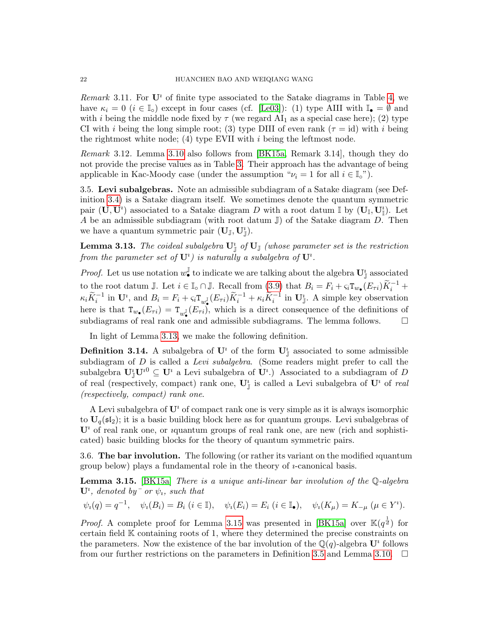<span id="page-21-4"></span>Remark 3.11. For  $\mathbf{U}^i$  of finite type associated to the Satake diagrams in Table [4,](#page-61-0) we have  $\kappa_i = 0$  ( $i \in \mathbb{I}_o$ ) except in four cases (cf. [\[Le03\]](#page-60-13)): (1) type AIII with  $\mathbb{I}_{\bullet} = \emptyset$  and with *i* being the middle node fixed by  $\tau$  (we regard AI<sub>1</sub> as a special case here); (2) type CI with i being the long simple root; (3) type DIII of even rank ( $\tau = id$ ) with i being the rightmost white node; (4) type EVII with  $i$  being the leftmost node.

Remark 3.12. Lemma [3.10](#page-19-1) also follows from [\[BK15a,](#page-59-10) Remark 3.14], though they do not provide the precise values as in Table [3.](#page-19-2) Their approach has the advantage of being applicable in Kac-Moody case (under the assumption " $\nu_i = 1$  for all  $i \in \mathbb{I}^\infty$ ").

<span id="page-21-0"></span>3.5. Levi subalgebras. Note an admissible subdiagram of a Satake diagram (see Definition [3.4\)](#page-16-2) is a Satake diagram itself. We sometimes denote the quantum symmetric pair  $(\mathbf{U}, \mathbf{U}^i)$  associated to a Satake diagram D with a root datum I by  $(\mathbf{U}_{\mathbb{I}}, \mathbf{U}_{\mathbb{I}}^i)$ . Let A be an admissible subdiagram (with root datum  $\mathbb{J}$ ) of the Satake diagram D. Then we have a quantum symmetric pair  $(\mathbf{U}_{\mathbb{J}}, \mathbf{U}_{\mathbb{J}}^{i}).$ 

<span id="page-21-2"></span>**Lemma 3.13.** The coideal subalgebra  $\mathbf{U}_{\mathbb{J}}^i$  of  $\mathbf{U}_{\mathbb{J}}$  (whose parameter set is the restriction from the parameter set of  $\mathbf{U}^i$ ) is naturally a subalgebra of  $\mathbf{U}^i$ .

*Proof.* Let us use notation  $w_{\bullet}^{\mathbb{J}}$  to indicate we are talking about the algebra  $\mathbf{U}_{\mathbb{J}}^{i}$  associated to the root datum J. Let  $i \in \mathbb{I} \cap \mathbb{J}$ . Recall from  $(3.9)$  that  $B_i = F_i + \varsigma_i \mathsf{T}_{w_\bullet}(E_{\tau i}) \widetilde{K}_i^{-1}$  +  $\kappa_i \widetilde{K}_i^{-1}$  in  $\mathbf{U}^i$ , and  $B_i = F_i + \varsigma_i \mathbf{T}_{w_i^{\mathbb{J}}} (E_{\tau i}) \widetilde{K}_i^{-1} + \kappa_i \widetilde{K}_i^{-1}$  in  $\mathbf{U}_{\mathbb{J}}^i$ . A simple key observation here is that  $T_{w_{\bullet}}(E_{\tau i}) = T_{w_{\bullet}^{\mathbb{J}}}(E_{\tau i}),$  which is a direct consequence of the definitions of subdiagrams of real rank one and admissible subdiagrams. The lemma follows.  $\Box$ 

In light of Lemma [3.13,](#page-21-2) we make the following definition.

<span id="page-21-5"></span>**Definition 3.14.** A subalgebra of  $\mathbf{U}^i$  of the form  $\mathbf{U}^i_{\mathbb{J}}$  associated to some admissible subdiagram of  $D$  is called a *Levi subalgebra*. (Some readers might prefer to call the subalgebra  $\mathbf{U}_{\mathbb{J}}^i \mathbf{U}^{i0} \subseteq \mathbf{U}^i$  a Levi subalgebra of  $\mathbf{U}^i$ .) Associated to a subdiagram of D of real (respectively, compact) rank one,  $\mathbf{U}_{\perp}^{i}$  is called a Levi subalgebra of  $\mathbf{U}^{i}$  of real (respectively, compact) rank one.

A Levi subalgebra of  $\mathbf{U}^i$  of compact rank one is very simple as it is always isomorphic to  $U_q(\mathfrak{sl}_2)$ ; it is a basic building block here as for quantum groups. Levi subalgebras of  $\mathbf{U}^i$  of real rank one, or *i*quantum groups of real rank one, are new (rich and sophisticated) basic building blocks for the theory of quantum symmetric pairs.

<span id="page-21-1"></span>3.6. The bar involution. The following (or rather its variant on the modified ıquantum group below) plays a fundamental role in the theory of  $i$ -canonical basis.

<span id="page-21-3"></span>**Lemma 3.15.** [\[BK15a\]](#page-59-10) There is a unique anti-linear bar involution of the  $\mathbb{Q}$ -algebra  $\mathbf{U}^i$ , denoted by  $\sigma$  or  $\psi_i$ , such that

$$
\psi_i(q) = q^{-1}, \quad \psi_i(B_i) = B_i \ (i \in \mathbb{I}), \quad \psi_i(E_i) = E_i \ (i \in \mathbb{I}_\bullet), \quad \psi_i(K_\mu) = K_{-\mu} \ (\mu \in Y^i).
$$

*Proof.* A complete proof for Lemma [3.15](#page-21-3) was presented in [\[BK15a\]](#page-59-10) over  $\mathbb{K}(q^{\frac{1}{d}})$  for certain field K containing roots of 1, where they determined the precise constraints on the parameters. Now the existence of the bar involution of the  $\mathbb{Q}(q)$ -algebra  $\mathbf{U}^i$  follows from our further restrictions on the parameters in Definition [3.5](#page-17-1) and Lemma [3.10.](#page-19-1)  $\Box$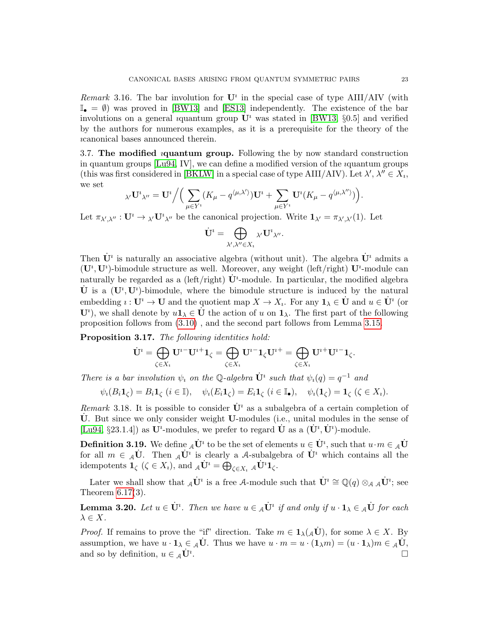Remark 3.16. The bar involution for  $\mathbf{U}^i$  in the special case of type AIII/AIV (with  $\mathbb{I}_{\bullet} = \emptyset$  was proved in [\[BW13\]](#page-59-4) and [\[ES13\]](#page-59-9) independently. The existence of the bar involutions on a general *i*quantum group  $\mathbf{U}^i$  was stated in [\[BW13,](#page-59-4) §0.5] and verified by the authors for numerous examples, as it is a prerequisite for the theory of the ıcanonical bases announced therein.

<span id="page-22-0"></span>3.7. The modified ıquantum group. Following the by now standard construction in quantum groups  $[Lu94, IV]$  $[Lu94, IV]$ , we can define a modified version of the *i*quantum groups (this was first considered in [\[BKLW\]](#page-59-5) in a special case of type AIII/AIV). Let  $\lambda'$ ,  $\lambda'' \in X_i$ , we set

$$
\lambda' \mathbf{U}^i \lambda'' = \mathbf{U}^i \Big/ \Big( \sum_{\mu \in Y^i} (K_\mu - q^{\langle \mu, \lambda' \rangle}) \mathbf{U}^i + \sum_{\mu \in Y^i} \mathbf{U}^i (K_\mu - q^{\langle \mu, \lambda'' \rangle}) \Big).
$$

Let  $\pi_{\lambda',\lambda''}: \mathbf{U}^i \to \lambda' \mathbf{U}^i_{\lambda''}$  be the canonical projection. Write  $\mathbf{1}_{\lambda'} = \pi_{\lambda',\lambda'}(1)$ . Let

$$
\dot{\mathbf{U}}^{\imath} = \bigoplus_{\lambda',\lambda'' \in X_{\imath}} {}_{\lambda'} \mathbf{U}^{\imath}{}_{\lambda''}.
$$

Then  $\dot{\mathbf{U}}^i$  is naturally an associative algebra (without unit). The algebra  $\dot{\mathbf{U}}^i$  admits a  $(\mathbf{U}^i, \mathbf{U}^i)$ -bimodule structure as well. Moreover, any weight (left/right)  $\mathbf{U}^i$ -module can naturally be regarded as a (left/right)  $\dot{\mathbf{U}}^i$ -module. In particular, the modified algebra  $\dot{\mathbf{U}}$  is a  $(\mathbf{U}^i, \mathbf{U}^i)$ -bimodule, where the bimodule structure is induced by the natural embedding  $i: \mathbf{U}^i \to \mathbf{U}$  and the quotient map  $X \to X_i$ . For any  $\mathbf{1}_{\lambda} \in \dot{\mathbf{U}}$  and  $u \in \dot{\mathbf{U}}^i$  (or  $\mathbf{U}^i$ , we shall denote by  $u\mathbf{1}_{\lambda} \in \dot{\mathbf{U}}$  the action of u on  $\mathbf{1}_{\lambda}$ . The first part of the following proposition follows from [\(3.10\)](#page-19-4) , and the second part follows from Lemma [3.15.](#page-21-3)

Proposition 3.17. The following identities hold:

$$
\dot{\mathbf{U}}^{\imath} = \bigoplus_{\zeta \in X_{\imath}} \mathbf{U}^{\imath -} \mathbf{U}^{\imath +} \mathbf{1}_{\zeta} = \bigoplus_{\zeta \in X_{\imath}} \mathbf{U}^{\imath -} \mathbf{1}_{\zeta} \mathbf{U}^{\imath +} = \bigoplus_{\zeta \in X_{\imath}} \mathbf{U}^{\imath +} \mathbf{U}^{\imath -} \mathbf{1}_{\zeta}.
$$

There is a bar involution  $\psi_i$  on the Q-algebra  $\dot{\mathbf{U}}^i$  such that  $\psi_i(q) = q^{-1}$  and

$$
\psi_i(B_i \mathbf{1}_{\zeta}) = B_i \mathbf{1}_{\zeta} \ (i \in \mathbb{I}), \quad \psi_i(E_i \mathbf{1}_{\zeta}) = E_i \mathbf{1}_{\zeta} \ (i \in \mathbb{I}_{\bullet}), \quad \psi_i(\mathbf{1}_{\zeta}) = \mathbf{1}_{\zeta} \ (\zeta \in X_i).
$$

Remark 3.18. It is possible to consider  $\dot{\mathbf{U}}^i$  as a subalgebra of a certain completion of  $\dot{\mathbf{U}}$ . But since we only consider weight **U**-modules (i.e., unital modules in the sense of [\[Lu94,](#page-60-4) §23.1.4]) as  $\mathbf{U}^i$ -modules, we prefer to regard  $\dot{\mathbf{U}}$  as a  $(\dot{\mathbf{U}}^i, \dot{\mathbf{U}}^i)$ -module.

<span id="page-22-1"></span>**Definition 3.19.** We define  ${}_{\mathcal{A}}\dot{\mathbf{U}}^i$  to be the set of elements  $u \in \dot{\mathbf{U}}^i$ , such that  $u \cdot m \in {}_{\mathcal{A}}\dot{\mathbf{U}}^i$ for all  $m \in A\dot{\mathbf{U}}$ . Then  $_A\dot{\mathbf{U}}^i$  is clearly a A-subalgebra of  $\dot{\mathbf{U}}^i$  which contains all the idempotents  $\mathbf{1}_{\zeta}$  ( $\zeta \in X_i$ ), and  ${}_{\mathcal{A}}\dot{\mathbf{U}}^i = \bigoplus_{\zeta \in X_i} {}_{\mathcal{A}}\dot{\mathbf{U}}^i \mathbf{1}_{\zeta}$ .

Later we shall show that  $_A\dot{\mathbf{U}}^i$  is a free A-module such that  $\dot{\mathbf{U}}^i \cong \mathbb{Q}(q) \otimes_A {}_{\mathcal{A}} \dot{\mathbf{U}}^i$ ; see Theorem [6.17\(](#page-46-1)3).

<span id="page-22-2"></span>**Lemma 3.20.** Let  $u \in \dot{\mathbf{U}}^i$ . Then we have  $u \in {}_{\mathcal{A}}\dot{\mathbf{U}}^i$  if and only if  $u \cdot \mathbf{1}_{\lambda} \in {}_{\mathcal{A}}\dot{\mathbf{U}}$  for each  $\lambda \in X$ .

*Proof.* If remains to prove the "if" direction. Take  $m \in 1_{\lambda}(\mathcal{A}U)$ , for some  $\lambda \in X$ . By assumption, we have  $u \cdot \mathbf{1}_{\lambda} \in {}_{A}\dot{\mathbf{U}}$ . Thus we have  $u \cdot m = u \cdot (\mathbf{1}_{\lambda} m) = (u \cdot \mathbf{1}_{\lambda}) m \in {}_{A}\dot{\mathbf{U}}$ , and so by definition,  $u \in A\dot{\mathbf{U}}^i$ . . В последните поставите на селото на селото на селото на селото на селото на селото на селото на селото на се<br>Селото на селото на селото на селото на селото на селото на селото на селото на селото на селото на селото на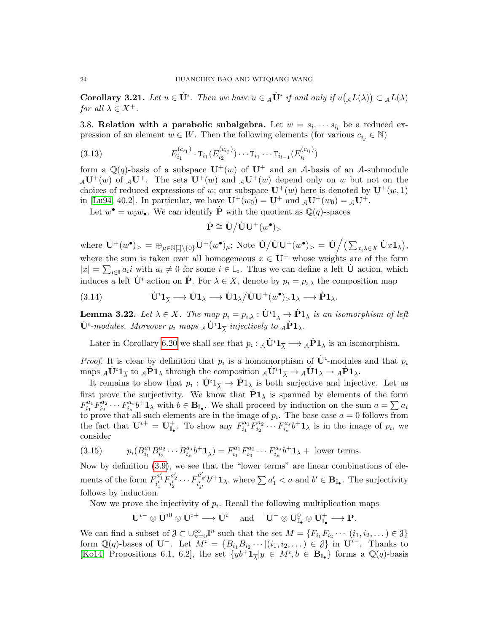<span id="page-23-3"></span>**Corollary 3.21.** Let  $u \in \dot{\mathbf{U}}^i$ . Then we have  $u \in {}_{\mathcal{A}}\dot{\mathbf{U}}^i$  if and only if  $u({}_{\mathcal{A}}L(\lambda)) \subset {}_{\mathcal{A}}L(\lambda)$ for all  $\lambda \in X^+$ .

<span id="page-23-0"></span>3.8. Relation with a parabolic subalgebra. Let  $w = s_{i_1} \cdots s_{i_l}$  be a reduced expression of an element  $w \in W$ . Then the following elements (for various  $c_{i_j} \in \mathbb{N}$ )

(3.13) 
$$
E_{i_1}^{(c_{i_1})} \cdot \texttt T_{i_1}(E_{i_2}^{(c_{i_2})}) \cdots \texttt T_{i_1} \cdots \texttt T_{i_{l-1}}(E_{i_l}^{(c_{i_l})})
$$

form a  $\mathbb{Q}(q)$ -basis of a subspace  $\mathbf{U}^+(w)$  of  $\mathbf{U}^+$  and an A-basis of an A-submodule  $A_{\mathcal{A}}U^+(w)$  of  $A_{\mathcal{A}}U^+$ . The sets  $U^+(w)$  and  $A_{\mathcal{A}}U^+(w)$  depend only on w but not on the choices of reduced expressions of w; our subspace  $\mathbf{U}^+(w)$  here is denoted by  $\mathbf{U}^+(w,1)$ in [\[Lu94,](#page-60-4) 40.2]. In particular, we have  $\mathbf{U}^+(w_0) = \mathbf{U}^+$  and  $_A\mathbf{U}^+(w_0) = {}_A\mathbf{U}^+$ .

Let  $w^{\bullet} = w_0 w_{\bullet}$ . We can identify  $\dot{\mathbf{P}}$  with the quotient as  $\mathbb{Q}(q)$ -spaces

<span id="page-23-2"></span>
$$
\dot{\mathbf{P}} \cong \dot{\mathbf{U}} / \dot{\mathbf{U}} \mathbf{U}^+(w^\bullet)_{>}
$$

where  $\mathbf{U}^+(w^{\bullet})_{>}=\oplus_{\mu\in\mathbb{N}[\mathbb{I}]\setminus\{0\}}\mathbf{U}^+(w^{\bullet})_{\mu};$  Note  $\dot{\mathbf{U}}/\dot{\mathbf{U}}\mathbf{U}^+(w^{\bullet})_{>}=\dot{\mathbf{U}}\Big/ \big(\sum_{x,\lambda\in X}\dot{\mathbf{U}}x\mathbf{1}_{\lambda}\big),$ where the sum is taken over all homogeneous  $x \in U^+$  whose weights are of the form  $|x| = \sum_{i \in \mathbb{I}} a_i i$  with  $a_i \neq 0$  for some  $i \in \mathbb{I}_0$ . Thus we can define a left  $\dot{\mathbf{U}}$  action, which induces a left  $\dot{\mathbf{U}}^i$  action on  $\dot{\mathbf{P}}$ . For  $\lambda \in X$ , denote by  $p_i = p_{i,\lambda}$  the composition map

<span id="page-23-4"></span>(3.14) 
$$
\dot{\mathbf{U}}^{\dagger} \mathbf{1}_{\overline{\lambda}} \longrightarrow \dot{\mathbf{U}} \mathbf{1}_{\lambda} \longrightarrow \dot{\mathbf{U}} \mathbf{1}_{\lambda}/\dot{\mathbf{U}} \mathbf{U}^{+}(w^{\bullet})_{>} \mathbf{1}_{\lambda} \longrightarrow \dot{\mathbf{P}} \mathbf{1}_{\lambda}.
$$

<span id="page-23-5"></span>**Lemma 3.22.** Let  $\lambda \in X$ . The map  $p_i = p_{i,\lambda} : \dot{\mathbf{U}}^i \mathbb{1}_{\overline{\lambda}} \to \dot{\mathbf{P}} \mathbb{1}_{\lambda}$  is an isomorphism of left  $\dot{\mathbf U}^i$ -modules. Moreover  $p_i$  maps  ${}_{\mathcal A}\dot{{\bf U}}^i {\bf 1}_{\overline{\lambda}}$  injectively to  ${}_{\mathcal A}\dot{{\bf P}} {\bf 1}_{\lambda}$ .

Later in Corollary [6.20](#page-48-1) we shall see that  $p_i: {}_{\mathcal{A}}\dot{\mathbf{U}}^i \mathbf{1}_{\overline{\lambda}} \longrightarrow {}_{\mathcal{A}}\dot{\mathbf{P}} \mathbf{1}_{\lambda}$  is an isomorphism.

*Proof.* It is clear by definition that  $p_i$  is a homomorphism of  $\dot{\mathbf{U}}^i$ -modules and that  $p_i$ maps  ${}_{\mathcal{A}}\dot{\mathbf{U}}^i\mathbf{1}_{\overline{\lambda}}$  to  ${}_{\mathcal{A}}\dot{\mathbf{P}}\mathbf{1}_{\lambda}$  through the composition  ${}_{\mathcal{A}}\dot{\mathbf{U}}^i\mathbf{1}_{\overline{\lambda}} \to {}_{\mathcal{A}}\dot{\mathbf{U}}\mathbf{1}_{\lambda} \to {}_{\mathcal{A}}\dot{\mathbf{P}}\mathbf{1}_{\lambda}$ .

It remains to show that  $p_i: \dot{\mathbf{U}}^i \mathbb{1}_{\overline{\lambda}} \to \dot{\mathbf{P}} \mathbb{1}_{\lambda}$  is both surjective and injective. Let us first prove the surjectivity. We know that  $\dot{P}1_{\lambda}$  is spanned by elements of the form  $F_i^{a_1}$  $\bar{h}^{a_1}_{i_1} \bar{F}^{a_2}_{i_2}$  $\bar{f}_{i_2}^{a_2}\cdots F_{i_s}^{a_s}$  $a_s^{a_s}b^+\mathbf{1}_{\lambda}$  with  $b \in \mathbf{B}_{\mathbb{I}_{\bullet}}$ . We shall proceed by induction on the sum  $a = \sum a_i$ to prove that all such elements are in the image of  $p_i$ . The base case  $a = 0$  follows from the fact that  $\mathbf{U}^{i+} = \mathbf{U}_{\mathbb{I}_{\bullet}}^{+}$ . To show any  $F_{i_1}^{a_1}$  $\overline{F_{i_1}^{a_2}}\overline{F_{i_2}^{a_2}}$  $\overline{C}_{i_2}^{a_2}\cdots F_{i_s}^{a_s}$  $a_s^{a_s}b^+\mathbf{1}_{\lambda}$  is in the image of  $p_i$ , we consider

<span id="page-23-1"></span>(3.15) 
$$
p_i(B_{i_1}^{a_1} B_{i_2}^{a_2} \cdots B_{i_s}^{a_s} b^+ \mathbf{1}_{\overline{\lambda}}) = F_{i_1}^{a_1} F_{i_2}^{a_2} \cdots F_{i_s}^{a_s} b^+ \mathbf{1}_{\lambda} + \text{ lower terms.}
$$

Now by definition [\(3.9\)](#page-18-5), we see that the "lower terms" are linear combinations of elements of the form  $F_{i'_1}^{a'_1} F_{i'_2}^{a'_2} \cdots F_{i'_{s'}}^{a'_{s'}}$  $i_{s'}^{a_{s'}}b'^{+}1_{\lambda}$ , where  $\sum a'_1 < a$  and  $b' \in \mathbf{B}_{\mathbb{I}_{\bullet}}$ . The surjectivity follows by induction.

Now we prove the injectivity of  $p_i$ . Recall the following multiplication maps

 $\mathbf{U}^{i-} \otimes \mathbf{U}^{i0} \otimes \mathbf{U}^{i+} \longrightarrow \mathbf{U}^{i} \text{ and } \mathbf{U}^{-} \otimes \mathbf{U}_{\mathbb{I}_{\bullet}}^{0} \otimes \mathbf{U}_{\mathbb{I}_{\bullet}}^{+} \longrightarrow \mathbf{P}.$ 

We can find a subset of  $\mathcal{J} \subset \cup_{n=0}^{\infty} \mathbb{I}^n$  such that the set  $M = \{F_{i_1} F_{i_2} \cdots | (i_1, i_2, \dots) \in \mathcal{J}\}\$ form  $\mathbb{Q}(q)$ -bases of  $\mathbf{U}^-$ . Let  $M^i = \{B_{i_1}B_{i_2}\cdots|(i_1,i_2,\dots) \in \mathcal{J}\}\$ in  $\mathbf{U}^{i-}$ . Thanks to [\[Ko14,](#page-60-8) Propositions 6.1, 6.2], the set  $\{yb^{\dagger}\mathbf{1}_{\overline{\lambda}}|y \in M^i, b \in \mathbf{B}_{\mathbb{I}_{\bullet}}\}$  forms a  $\mathbb{Q}(q)$ -basis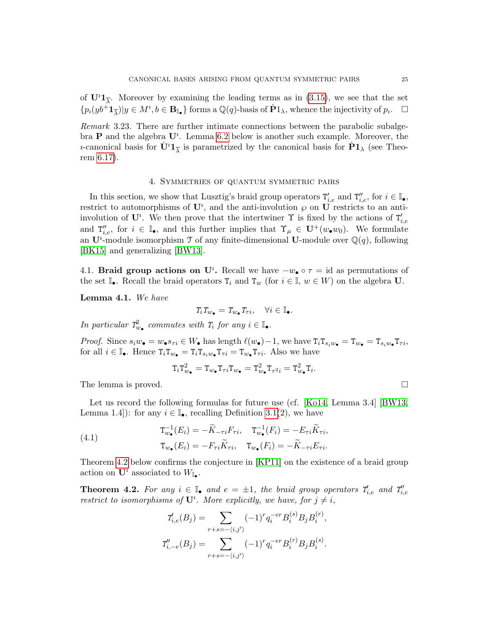of  $\mathbf{U}^i \mathbf{1}_{\overline{\lambda}}$ . Moreover by examining the leading terms as in [\(3.15\)](#page-23-1), we see that the set  $\{p_i(yb^+ \mathbf{1}_{\overline{\lambda}})|y \in M^i, b \in \mathbf{B}_{\mathbb{I}_{\bullet}}\}\$ forms a  $\mathbb{Q}(q)$ -basis of  $\dot{\mathbf{P}}1_{\lambda}$ , whence the injectivity of  $p_i$ .  $\Box$ 

Remark 3.23. There are further intimate connections between the parabolic subalgebra  $P$  and the algebra  $U^i$ . Lemma [6.2](#page-39-1) below is another such example. Moreover, the *u*-canonical basis for  $\dot{\mathbf{U}}^i \mathbf{1}_{\overline{\lambda}}$  is parametrized by the canonical basis for  $\dot{\mathbf{P}} \mathbf{1}_{\lambda}$  (see Theorem [6.17\)](#page-46-1).

### 4. Symmetries of quantum symmetric pairs

<span id="page-24-0"></span>In this section, we show that Lusztig's braid group operators  $T'_{i,e}$  and  $T''_{i,e}$ , for  $i \in \mathbb{I}_{\bullet}$ , restrict to automorphisms of  $\mathbf{U}^i$ , and the anti-involution  $\wp$  on  $\mathbf{U}$  restricts to an antiinvolution of  $\mathbf{U}^i$ . We then prove that the intertwiner  $\Upsilon$  is fixed by the actions of  $T'_{i,e}$ and  $T''_{i,e}$ , for  $i \in \mathbb{I}_{\bullet}$ , and this further implies that  $\Upsilon_{\mu} \in \mathbf{U}^+(w_{\bullet}w_0)$ . We formulate an  $\mathbf{U}^i$ -module isomorphism  $\mathcal T$  of any finite-dimensional  $\mathbf{U}$ -module over  $\mathbb Q(q)$ , following [\[BK15\]](#page-59-11) and generalizing [\[BW13\]](#page-59-4).

<span id="page-24-1"></span>4.1. **Braid group actions on U<sup>t</sup>**. Recall we have  $-w_{\bullet} \circ \tau = id$  as permutations of the set  $\mathbb{I}_{\bullet}$ . Recall the braid operators  $T_i$  and  $T_w$  (for  $i \in \mathbb{I}, w \in W$ ) on the algebra U.

<span id="page-24-3"></span>Lemma 4.1. We have

$$
T_i T_{w_\bullet} = T_{w_\bullet} T_{\tau i}, \quad \forall i \in \mathbb{I}_\bullet.
$$

In particular  $T_{w_{\bullet}}^2$  commutes with  $T_i$  for any  $i \in \mathbb{I}_{\bullet}$ .

*Proof.* Since  $s_iw_{\bullet} = w_{\bullet} s_{\tau i} \in W_{\bullet}$  has length  $\ell(w_{\bullet})-1$ , we have  $T_iT_{s_iw_{\bullet}} = T_{w_{\bullet}} = T_{s_iw_{\bullet}}T_{\tau i}$ , for all  $i \in \mathbb{I}_{\bullet}$ . Hence  $T_i T_{w_{\bullet}} = T_i T_{s_i w_{\bullet}} T_{\tau i} = T_{w_{\bullet}} T_{\tau i}$ . Also we have

$$
\texttt T_i \texttt T_{w_\bullet}^2 = \texttt T_{w_\bullet} \texttt T_{\tau i} \texttt T_{w_\bullet} = \texttt T_{w_\bullet}^2 \texttt T_{\tau^2 i} = \texttt T_{w_\bullet}^2 \texttt T_i
$$

.

The lemma is proved.

Let us record the following formulas for future use (cf. [\[Ko14,](#page-60-8) Lemma 3.4] [\[BW13,](#page-59-4) Lemma 1.4]): for any  $i \in \mathbb{I}_{\bullet}$ , recalling Definition [3.1\(](#page-15-3)2), we have

<span id="page-24-4"></span>(4.1) 
$$
\begin{aligned} \mathbf{T}_{w_{\bullet}}^{-1}(E_i) &= -\widetilde{K}_{-\tau i} F_{\tau i}, \quad \mathbf{T}_{w_{\bullet}}^{-1}(F_i) = -E_{\tau i} \widetilde{K}_{\tau i}, \\ \mathbf{T}_{w_{\bullet}}(E_i) &= -F_{\tau i} \widetilde{K}_{\tau i}, \quad \mathbf{T}_{w_{\bullet}}(F_i) = -\widetilde{K}_{-\tau i} E_{\tau i}. \end{aligned}
$$

Theorem [4.2](#page-24-2) below confirms the conjecture in [\[KP11\]](#page-60-10) on the existence of a braid group action on  $\mathbf{U}^i$  associated to  $W_{\mathbb{I}_{\bullet}}$ .

<span id="page-24-2"></span>**Theorem 4.2.** For any  $i \in \mathbb{I}_{\bullet}$  and  $e = \pm 1$ , the braid group operators  $T'_{i,e}$  and  $T''_{i,e}$ restrict to isomorphisms of  $\mathbf{U}^i$ . More explicitly, we have, for  $j \neq i$ ,

$$
T'_{i,e}(B_j) = \sum_{r+s=-\langle i,j' \rangle} (-1)^r q_i^{-er} B_i^{(s)} B_j B_i^{(r)},
$$
  

$$
T'_{i,-e}(B_j) = \sum_{r+s=-\langle i,j' \rangle} (-1)^r q_i^{-er} B_i^{(r)} B_j B_i^{(s)}.
$$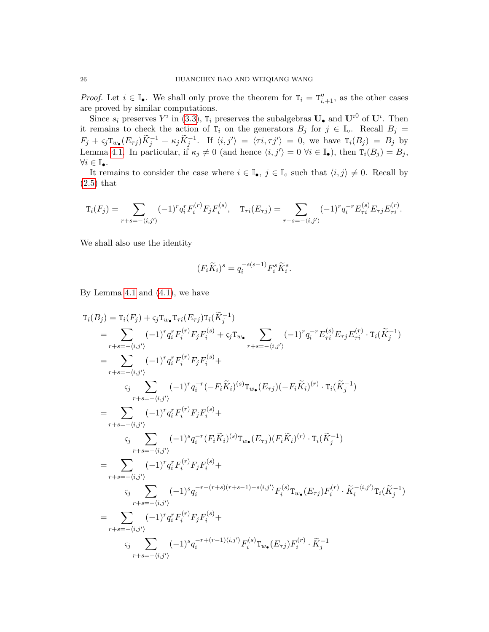*Proof.* Let  $i \in \mathbb{I}_{\bullet}$ . We shall only prove the theorem for  $T_i = T''_{i+1}$ , as the other cases are proved by similar computations.

Since  $s_i$  preserves  $Y^i$  in [\(3.3\)](#page-15-4),  $T_i$  preserves the subalgebras  $\mathbf{U}_{\bullet}$  and  $\mathbf{U}^{i0}$  of  $\mathbf{U}^i$ . Then it remains to check the action of  $T_i$  on the generators  $B_j$  for  $j \in \mathbb{I}_0$ . Recall  $B_j =$  $F_j + \varsigma_j \texttt{T}_{w_{\bullet}}(E_{\tau j}) \widetilde{K}_j^{-1} + \kappa_j \widetilde{K}_j^{-1}$ . If  $\langle i, j' \rangle = \langle \tau i, \tau j' \rangle = 0$ , we have  $\texttt{T}_i(B_j) = B_j$  by Lemma [4.1.](#page-24-3) In particular, if  $\kappa_j \neq 0$  (and hence  $\langle i, j' \rangle = 0$   $\forall i \in \mathbb{I}_{\bullet}$ ), then  $T_i(B_j) = B_j$ ,  $\forall i \in \mathbb{I}_{\bullet}.$ 

It remains to consider the case where  $i \in \mathbb{I}_{\bullet}$ ,  $j \in \mathbb{I}_{\circ}$  such that  $\langle i, j \rangle \neq 0$ . Recall by [\(2.5\)](#page-10-1) that

$$
\mathbf{T}_{i}(F_{j}) = \sum_{r+s=-\langle i,j'\rangle} (-1)^{r} q_{i}^{r} F_{i}^{(r)} F_{j} F_{i}^{(s)}, \quad \mathbf{T}_{\tau i}(E_{\tau j}) = \sum_{r+s=-\langle i,j'\rangle} (-1)^{r} q_{i}^{-r} E_{\tau i}^{(s)} E_{\tau j} E_{\tau i}^{(r)}.
$$

We shall also use the identity

$$
(F_i\widetilde{K}_i)^s = q_i^{-s(s-1)}F_i^s\widetilde{K}_i^s.
$$

By Lemma [4.1](#page-24-3) and [\(4.1\)](#page-24-4), we have

$$
T_i(B_j) = T_i(F_j) + \varsigma_j T_{w_{\bullet}} T_{\tau i}(E_{\tau j}) T_i(\tilde{K}_j^{-1})
$$
  
\n
$$
= \sum_{r+s=-(i,j')} (-1)^r q_i^r F_i^{(r)} F_j F_i^{(s)} + \varsigma_j T_{w_{\bullet}} \sum_{r+s=-(i,j')} (-1)^r q_i^{-r} E_{\tau i}^{(s)} E_{\tau j} E_{\tau i}^{(r)} \cdot T_i(\tilde{K}_j^{-1})
$$
  
\n
$$
= \sum_{r+s=-(i,j')} (-1)^r q_i^r F_i^{(r)} F_j F_i^{(s)} +
$$
  
\n
$$
\varsigma_j \sum_{r+s=-(i,j')} (-1)^r q_i^{-r} (-F_i \tilde{K}_i)^{(s)} T_{w_{\bullet}} (E_{\tau j}) (-F_i \tilde{K}_i)^{(r)} \cdot T_i(\tilde{K}_j^{-1})
$$
  
\n
$$
= \sum_{r+s=-(i,j')} (-1)^r q_i^r F_i^{(r)} F_j F_i^{(s)} +
$$
  
\n
$$
\varsigma_j \sum_{r+s=-(i,j')} (-1)^r q_i^r F_i^{(r)} F_j F_i^{(s)} +
$$
  
\n
$$
= \sum_{r+s=-(i,j')} (-1)^r q_i^r F_i^{(r)} F_j F_i^{(s)} +
$$
  
\n
$$
\varsigma_j \sum_{r+s=-(i,j')} (-1)^s q_i^{-r-(r+s)(r+s-1)-s(i,j')} F_i^{(s)} T_{w_{\bullet}} (E_{\tau j}) F_i^{(r)} \cdot \tilde{K}_i^{-(i,j')} T_i(\tilde{K}_j^{-1})
$$
  
\n
$$
= \sum_{r+s=-(i,j')} (-1)^r q_i^r F_i^{(r)} F_j F_i^{(s)} +
$$
  
\n
$$
\varsigma_j \sum_{r+s=-(i,j')} (-1)^s q_i^{-r+(r-1)(i,j')} F_i^{(s)} T_{w_{\bullet}} (E_{\tau j}) F_i^{(r)} \cdot \tilde{K}_j^{-1}
$$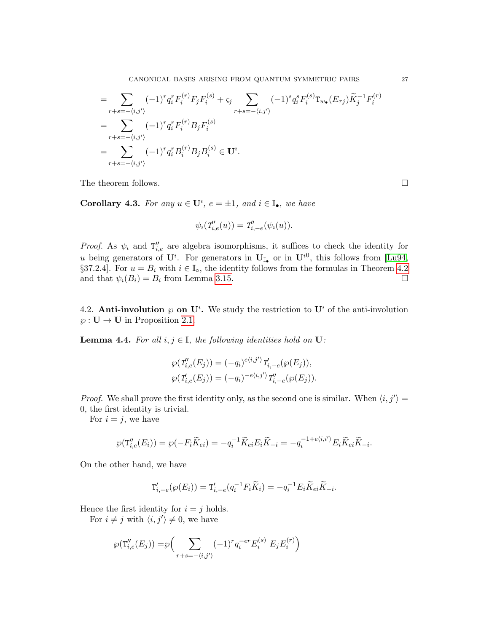CANONICAL BASES ARISING FROM QUANTUM SYMMETRIC PAIRS 27

$$
= \sum_{r+s=-\langle i,j' \rangle} (-1)^r q_i^r F_i^{(r)} F_j F_i^{(s)} + \varsigma_j \sum_{r+s=-\langle i,j' \rangle} (-1)^s q_i^s F_i^{(s)} \mathbf{T}_{w_\bullet}(E_{\tau j}) \widetilde{K}_j^{-1} F_i^{(r)}
$$
  
\n
$$
= \sum_{r+s=-\langle i,j' \rangle} (-1)^r q_i^r F_i^{(r)} B_j F_i^{(s)}
$$
  
\n
$$
= \sum_{r+s=-\langle i,j' \rangle} (-1)^r q_i^r B_i^{(r)} B_j B_i^{(s)} \in \mathbf{U}^i.
$$

The theorem follows.  $\Box$ 

<span id="page-26-2"></span>**Corollary 4.3.** For any  $u \in U^i$ ,  $e = \pm 1$ , and  $i \in \mathbb{I}_{\bullet}$ , we have

$$
\psi_i(T'_{i,e}(u)) = T'_{i,-e}(\psi_i(u)).
$$

*Proof.* As  $\psi_i$  and  $T''_{i,e}$  are algebra isomorphisms, it suffices to check the identity for u being generators of  $\mathbf{U}^i$ . For generators in  $\mathbf{U}_{\mathbb{I}_{\bullet}}$  or in  $\mathbf{U}^{i0}$ , this follows from [\[Lu94,](#page-60-4) §37.2.4]. For  $u = B_i$  with  $i \in \mathbb{I}_0$ , the identity follows from the formulas in Theorem [4.2](#page-24-2) and that  $\psi_i(B_i) = B_i$  from Lemma [3.15.](#page-21-3)

<span id="page-26-0"></span>4.2. Anti-involution  $\wp$  on  $\mathbf{U}^i$ . We study the restriction to  $\mathbf{U}^i$  of the anti-involution  $\wp: \mathbf{U} \to \mathbf{U}$  in Proposition [2.1.](#page-9-1)

<span id="page-26-1"></span>**Lemma 4.4.** For all  $i, j \in \mathbb{I}$ , the following identities hold on **U**:

$$
\wp(\mathcal{T}'_{i,e}(E_j)) = (-q_i)^{e\langle i,j' \rangle} \mathcal{T}'_{i,-e}(\wp(E_j)),
$$
  

$$
\wp(\mathcal{T}'_{i,e}(E_j)) = (-q_i)^{-e\langle i,j' \rangle} \mathcal{T}''_{i,-e}(\wp(E_j)).
$$

*Proof.* We shall prove the first identity only, as the second one is similar. When  $\langle i, j' \rangle =$ 0, the first identity is trivial.

For  $i = j$ , we have

$$
\wp(\mathbf{T}_{i,e}'(E_i)) = \wp(-F_i\widetilde{K}_{ei}) = -q_i^{-1}\widetilde{K}_{ei}E_i\widetilde{K}_{-i} = -q_i^{-1+e\langle i,i'\rangle}E_i\widetilde{K}_{ei}\widetilde{K}_{-i}.
$$

On the other hand, we have

$$
\mathbf{T}'_{i,-e}(\wp(E_i)) = \mathbf{T}'_{i,-e}(q_i^{-1}F_i\widetilde{K}_i) = -q_i^{-1}E_i\widetilde{K}_{ei}\widetilde{K}_{-i}.
$$

Hence the first identity for  $i = j$  holds.

For  $i \neq j$  with  $\langle i, j' \rangle \neq 0$ , we have

$$
\wp(\mathbf{T}''_{i,e}(E_j)) = \wp\Big(\sum_{r+s=-\langle i,j' \rangle} (-1)^r q_i^{-er} E_i^{(s)} E_j E_i^{(r)}\Big)
$$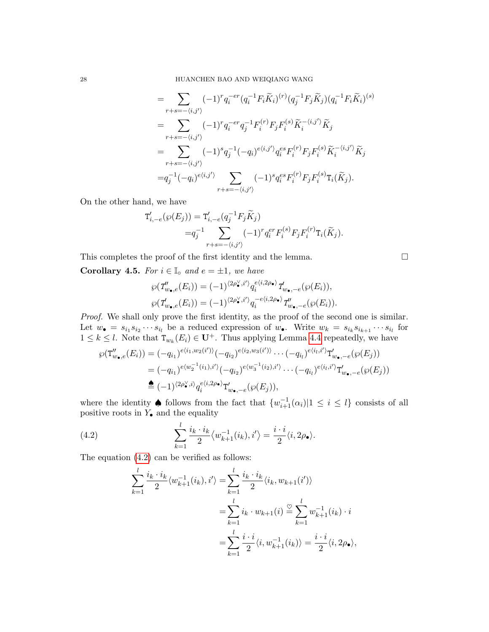$$
= \sum_{r+s=-(i,j')} (-1)^r q_i^{-er} (q_i^{-1} F_i \widetilde{K}_i)^{(r)} (q_j^{-1} F_j \widetilde{K}_j) (q_i^{-1} F_i \widetilde{K}_i)^{(s)}
$$
  
\n
$$
= \sum_{r+s=-(i,j')} (-1)^r q_i^{-er} q_j^{-1} F_i^{(r)} F_j F_i^{(s)} \widetilde{K}_i^{-\langle i,j' \rangle} \widetilde{K}_j
$$
  
\n
$$
= \sum_{r+s=-(i,j')} (-1)^s q_j^{-1} (-q_i)^{e\langle i,j' \rangle} q_i^{es} F_i^{(r)} F_j F_i^{(s)} \widetilde{K}_i^{-\langle i,j' \rangle} \widetilde{K}_j
$$
  
\n
$$
= q_j^{-1} (-q_i)^{e\langle i,j' \rangle} \sum_{r+s=-(i,j')} (-1)^s q_i^{es} F_i^{(r)} F_j F_i^{(s)} T_i (\widetilde{K}_j).
$$

On the other hand, we have

$$
T'_{i,-e}(\wp(E_j)) = T'_{i,-e}(q_j^{-1}F_j\widetilde{K}_j)
$$
  
=  $q_j^{-1} \sum_{r+s=-(i,j')} (-1)^r q_i^{er} F_i^{(s)} F_j F_i^{(r)} T_i(\widetilde{K}_j).$ 

This completes the proof of the first identity and the lemma.  $\Box$ 

<span id="page-27-1"></span>Corollary 4.5. For  $i \in \mathbb{I}$  and  $e = \pm 1$ , we have

$$
\wp(T''_{w_{\bullet},e}(E_i)) = (-1)^{\langle 2\rho_{\bullet}^{\vee},i' \rangle} q_i^{e\langle i,2\rho_{\bullet} \rangle} T'_{w_{\bullet},-e}(\wp(E_i)),
$$
  

$$
\wp(T'_{w_{\bullet},e}(E_i)) = (-1)^{\langle 2\rho_{\bullet}^{\vee},i' \rangle} q_i^{-e\langle i,2\rho_{\bullet} \rangle} T''_{w_{\bullet},-e}(\wp(E_i)).
$$

Proof. We shall only prove the first identity, as the proof of the second one is similar. Let  $w_{\bullet} = s_{i_1} s_{i_2} \cdots s_{i_l}$  be a reduced expression of  $w_{\bullet}$ . Write  $w_k = s_{i_k} s_{i_{k+1}} \cdots s_{i_l}$  for  $1 \leq k \leq l$ . Note that  $\mathsf{T}_{w_k}(E_i) \in \mathbf{U}^+$ . Thus applying Lemma [4.4](#page-26-1) repeatedly, we have

$$
\varphi(\mathbf{T}''_{w_{\bullet},e}(E_i)) = (-q_{i_1})^{e\langle i_1,w_2(i')\rangle} (-q_{i_2})^{e\langle i_2,w_3(i')\rangle} \cdots (-q_{i_l})^{e\langle i_l,i'\rangle} \mathbf{T}'_{w_{\bullet},-e}(\varphi(E_j))
$$
  

$$
= (-q_{i_1})^{e\langle w_2^{-1}(i_1),i'\rangle} (-q_{i_2})^{e\langle w_3^{-1}(i_2),i'\rangle} \cdots (-q_{i_l})^{e\langle i_l,i'\rangle} \mathbf{T}'_{w_{\bullet},-e}(\varphi(E_j))
$$
  

$$
\triangleq (-1)^{\langle 2\rho_{\bullet}^{\vee},i\rangle} q_i^{e\langle i,2\rho_{\bullet}\rangle} \mathbf{T}'_{w_{\bullet},-e}(\varphi(E_j)),
$$

where the identity  $\spadesuit$  follows from the fact that  $\{w_{i+1}^{-1}(\alpha_i)|1 \leq i \leq l\}$  consists of all positive roots in  $Y_{\bullet}$  and the equality

(4.2) 
$$
\sum_{k=1}^{l} \frac{i_k \cdot i_k}{2} \langle w_{k+1}^{-1}(i_k), i' \rangle = \frac{i \cdot i}{2} \langle i, 2\rho_{\bullet} \rangle.
$$

The equation [\(4.2\)](#page-27-0) can be verified as follows:

<span id="page-27-0"></span>
$$
\sum_{k=1}^{l} \frac{i_k \cdot i_k}{2} \langle w_{k+1}^{-1}(i_k), i' \rangle = \sum_{k=1}^{l} \frac{i_k \cdot i_k}{2} \langle i_k, w_{k+1}(i') \rangle
$$
  

$$
= \sum_{k=1}^{l} i_k \cdot w_{k+1}(i) \stackrel{\heartsuit}{=} \sum_{k=1}^{l} w_{k+1}^{-1}(i_k) \cdot i
$$
  

$$
= \sum_{k=1}^{l} \frac{i \cdot i}{2} \langle i, w_{k+1}^{-1}(i_k) \rangle = \frac{i \cdot i}{2} \langle i, 2\rho_{\bullet} \rangle,
$$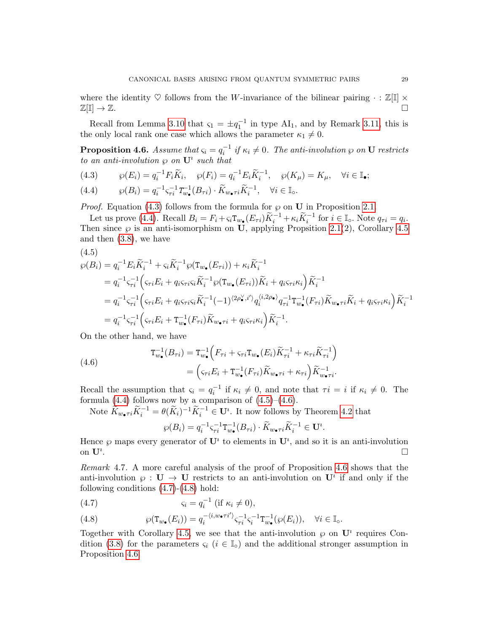where the identity  $\heartsuit$  follows from the W-invariance of the bilinear pairing  $\cdot : \mathbb{Z}[\mathbb{I}] \times$  $\mathbb{Z}[\mathbb{I}] \to \mathbb{Z}.$ 

Recall from Lemma [3.10](#page-19-1) that  $\varsigma_1 = \pm q_1^{-1}$  in type AI<sub>1</sub>, and by Remark [3.11,](#page-21-4) this is the only local rank one case which allows the parameter  $\kappa_1 \neq 0$ .

<span id="page-28-0"></span>**Proposition 4.6.** Assume that  $\varsigma_i = q_i^{-1}$  if  $\kappa_i \neq 0$ . The anti-involution  $\wp$  on **U** restricts to an anti-involution  $\wp$  on  $\mathbf{U}^i$  such that

<span id="page-28-2"></span>(4.3)  $\wp(E_i) = q_i^{-1} F_i \widetilde{K}_i, \quad \wp(F_i) = q_i^{-1} E_i \widetilde{K}_i^{-1}, \quad \wp(K_\mu) = K_\mu, \quad \forall i \in \mathbb{I}_{\bullet};$ 

<span id="page-28-3"></span>(4.4) 
$$
\wp(B_i) = q_i^{-1} \varsigma_{\tau i}^{-1} T_{w_\bullet}^{-1}(B_{\tau i}) \cdot \widetilde{K}_{w_\bullet \tau i} \widetilde{K}_i^{-1}, \quad \forall i \in \mathbb{I}_\circ.
$$

*Proof.* Equation [\(4.3\)](#page-28-2) follows from the formula for  $\wp$  on **U** in Proposition [2.1.](#page-9-1)

Let us prove [\(4.4\)](#page-28-3). Recall  $B_i = F_i + \varsigma_i \mathcal{T}_{w_{\bullet}}(E_{\tau i}) \tilde{K}_i^{-1} + \kappa_i \tilde{K}_i^{-1}$  for  $i \in \mathbb{I}_{\circ}$ . Note  $q_{\tau i} = q_i$ . Then since  $\wp$  is an anti-isomorphism on U, applying Propsition [2.1\(](#page-9-1)2), Corollary [4.5](#page-27-1) and then [\(3.8\)](#page-18-1), we have

<span id="page-28-4"></span>
$$
(4.5)
$$

$$
\varphi(B_i) = q_i^{-1} E_i \widetilde{K}_i^{-1} + \varsigma_i \widetilde{K}_i^{-1} \varphi(T_{w_{\bullet}}(E_{\tau i})) + \kappa_i \widetilde{K}_i^{-1}
$$
  
\n
$$
= q_i^{-1} \varsigma_{\tau i}^{-1} \Big( \varsigma_{\tau i} E_i + q_i \varsigma_{\tau i} \varsigma_i \widetilde{K}_i^{-1} \varphi(T_{w_{\bullet}}(E_{\tau i})) \widetilde{K}_i + q_i \varsigma_{\tau i} \kappa_i \Big) \widetilde{K}_i^{-1}
$$
  
\n
$$
= q_i^{-1} \varsigma_{\tau i}^{-1} \Big( \varsigma_{\tau i} E_i + q_i \varsigma_{\tau i} \varsigma_i \widetilde{K}_i^{-1} (-1)^{\langle 2\rho_{\bullet}^{\vee}, i' \rangle} q_i^{\langle i, 2\rho_{\bullet} \rangle} q_{\tau i}^{-1} T_{w_{\bullet}}^{-1} (F_{\tau i}) \widetilde{K}_{w_{\bullet} \tau i} \widetilde{K}_i + q_i \varsigma_{\tau i} \kappa_i \Big) \widetilde{K}_i^{-1}
$$
  
\n
$$
= q_i^{-1} \varsigma_{\tau i}^{-1} \Big( \varsigma_{\tau i} E_i + T_{w_{\bullet}}^{-1} (F_{\tau i}) \widetilde{K}_{w_{\bullet} \tau i} + q_i \varsigma_{\tau i} \kappa_i \Big) \widetilde{K}_i^{-1}.
$$

On the other hand, we have

<span id="page-28-5"></span>(4.6)  

$$
\mathbf{T}_{w_{\bullet}}^{-1}(B_{\tau i}) = \mathbf{T}_{w_{\bullet}}^{-1}\Big(F_{\tau i} + \varsigma_{\tau i}\mathbf{T}_{w_{\bullet}}(E_{i})\widetilde{K}_{\tau i}^{-1} + \kappa_{\tau i}\widetilde{K}_{\tau i}^{-1}\Big) = \Big(\varsigma_{\tau i}E_{i} + \mathbf{T}_{w_{\bullet}}^{-1}(F_{\tau i})\widetilde{K}_{w_{\bullet}\tau i} + \kappa_{\tau i}\Big)\widetilde{K}_{w_{\bullet}\tau i}^{-1}.
$$

Recall the assumption that  $\varsigma_i = q_i^{-1}$  if  $\kappa_i \neq 0$ , and note that  $\tau_i = i$  if  $\kappa_i \neq 0$ . The formula  $(4.4)$  follows now by a comparison of  $(4.5)-(4.6)$  $(4.5)-(4.6)$  $(4.5)-(4.6)$ .

Note  $\widetilde{K}_{w_{\bullet}7i}\widetilde{K}_{i}^{-1} = \theta(\widetilde{K}_{i})^{-1}\widetilde{K}_{i}^{-1} \in \mathbf{U}^{i}$ . It now follows by Theorem [4.2](#page-24-2) that

$$
\wp(B_i) = q_i^{-1} \varsigma_{\tau i}^{-1} \mathsf{T}_{w_\bullet}^{-1}(B_{\tau i}) \cdot \widetilde{K}_{w_\bullet \tau i} \widetilde{K}_i^{-1} \in \mathbf{U}^i.
$$

Hence  $\wp$  maps every generator of  $\mathbf{U}^i$  to elements in  $\mathbf{U}^i$ , and so it is an anti-involution on  $\mathbf{U}^i$ . .

<span id="page-28-1"></span>Remark 4.7. A more careful analysis of the proof of Proposition [4.6](#page-28-0) shows that the anti-involution  $\varphi : \mathbf{U} \to \mathbf{U}$  restricts to an anti-involution on  $\mathbf{U}^i$  if and only if the following conditions  $(4.7)-(4.8)$  $(4.7)-(4.8)$  $(4.7)-(4.8)$  hold:

<span id="page-28-6"></span>
$$
(4.7) \t\t\t s_i = q_i^{-1} \text{ (if } \kappa_i \neq 0),
$$

<span id="page-28-7"></span>(4.8) 
$$
\wp(\mathbf{T}_{w_{\bullet}}(E_i)) = q_i^{-\langle i, w_{\bullet} \tau i' \rangle} \varsigma_{\tau i}^{-1} \varsigma_i^{-1} \mathbf{T}_{w_{\bullet}}^{-1} (\wp(E_i)), \quad \forall i \in \mathbb{I}_{\circ}.
$$

Together with Corollary [4.5,](#page-27-1) we see that the anti-involution  $\wp$  on  $\mathbf{U}^i$  requires Con-dition [\(3.8\)](#page-18-1) for the parameters  $\varsigma_i$  ( $i \in \mathbb{I}_o$ ) and the additional stronger assumption in Proposition [4.6.](#page-28-0)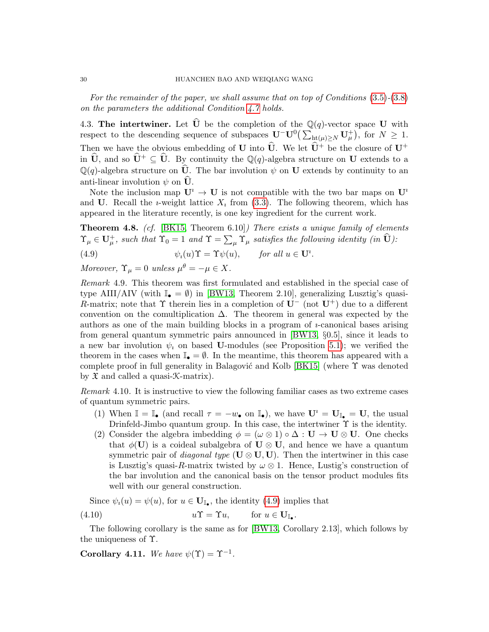For the remainder of the paper, we shall assume that on top of Conditions [\(3.5\)](#page-18-0)-[\(3.8\)](#page-18-1) on the parameters the additional Condition [4.7](#page-28-6) holds.

<span id="page-29-0"></span>4.3. The intertwiner. Let  $\widehat{U}$  be the completion of the  $\mathbb{Q}(q)$ -vector space U with respect to the descending sequence of subspaces  $\mathbf{U}^- \mathbf{U}^0 \left( \sum_{\mathrm{ht}(\mu)\geq N} \mathbf{U}^+_{\mu} \right)$ , for  $N \geq 1$ . Then we have the obvious embedding of U into  $\hat{U}$ . We let  $\hat{U}^+$  be the closure of U<sup>+</sup> in  $\hat{\mathbf{U}}$ , and so  $\hat{\mathbf{U}}^+ \subseteq \hat{\mathbf{U}}$ . By continuity the Q(q)-algebra structure on U extends to a  $\mathbb{Q}(q)$ -algebra structure on  $\hat{\mathbf{U}}$ . The bar involution  $\psi$  on  $\mathbf{U}$  extends by continuity to an anti-linear involution  $\psi$  on **U**.

Note the inclusion map  $\mathbf{U}^i \to \mathbf{U}$  is not compatible with the two bar maps on  $\mathbf{U}^i$ and U. Recall the *i*-weight lattice  $X_i$  from [\(3.3\)](#page-15-4). The following theorem, which has appeared in the literature recently, is one key ingredient for the current work.

<span id="page-29-1"></span>**Theorem 4.8.** (cf. [\[BK15,](#page-59-11) Theorem 6.10]) There exists a unique family of elements  $\Upsilon_{\mu} \in U_{\mu}^{+}$ , such that  $\Upsilon_{0} = 1$  and  $\Upsilon = \sum_{\mu} \Upsilon_{\mu}$  satisfies the following identity (in  $\widehat{U}$ ):

<span id="page-29-4"></span>(4.9)  $\psi_i(u)\Upsilon = \Upsilon \psi(u), \quad \text{for all } u \in \mathbf{U}^i.$ 

Moreover,  $\Upsilon_{\mu} = 0$  unless  $\mu^{\theta} = -\mu \in X$ .

<span id="page-29-2"></span>Remark 4.9. This theorem was first formulated and established in the special case of type AIII/AIV (with  $\mathbb{I}_{\bullet} = \emptyset$ ) in [\[BW13,](#page-59-4) Theorem 2.10], generalizing Lusztig's quasi-R-matrix; note that  $\Upsilon$  therein lies in a completion of  $\mathbf{U}^-$  (not  $\mathbf{U}^+$ ) due to a different convention on the comultiplication  $\Delta$ . The theorem in general was expected by the authors as one of the main building blocks in a program of  $\nu$ -canonical bases arising from general quantum symmetric pairs announced in [\[BW13,](#page-59-4) §0.5], since it leads to a new bar involution  $\psi_i$  on based U-modules (see Proposition [5.1\)](#page-35-3); we verified the theorem in the cases when  $\mathbb{I}_{\bullet} = \emptyset$ . In the meantime, this theorem has appeared with a complete proof in full generality in Balagović and Kolb [\[BK15\]](#page-59-11) (where  $\Upsilon$  was denoted by  $\mathfrak X$  and called a quasi- $\mathfrak K$ -matrix).

<span id="page-29-3"></span>Remark 4.10. It is instructive to view the following familiar cases as two extreme cases of quantum symmetric pairs.

- (1) When  $\mathbb{I} = \mathbb{I}_{\bullet}$  (and recall  $\tau = -w_{\bullet}$  on  $\mathbb{I}_{\bullet}$ ), we have  $\mathbf{U}^i = \mathbf{U}_{\mathbb{I}_{\bullet}} = \mathbf{U}$ , the usual Drinfeld-Jimbo quantum group. In this case, the intertwiner  $\Upsilon$  is the identity.
- (2) Consider the algebra imbedding  $\phi = (\omega \otimes 1) \circ \Delta : U \to U \otimes U$ . One checks that  $\phi(\mathbf{U})$  is a coideal subalgebra of  $\mathbf{U} \otimes \mathbf{U}$ , and hence we have a quantum symmetric pair of *diagonal type* ( $\mathbf{U} \otimes \mathbf{U}, \mathbf{U}$ ). Then the intertwiner in this case is Lusztig's quasi-R-matrix twisted by  $\omega \otimes 1$ . Hence, Lustig's construction of the bar involution and the canonical basis on the tensor product modules fits well with our general construction.

<span id="page-29-5"></span>Since  $\psi_i(u) = \psi(u)$ , for  $u \in \mathbf{U}_{\mathbb{I}_{\bullet}}$ , the identity [\(4.9\)](#page-29-4) implies that

(4.10) 
$$
u\Upsilon = \Upsilon u, \quad \text{for } u \in \mathbf{U}_{\mathbb{I}_{\bullet}}.
$$

The following corollary is the same as for [\[BW13,](#page-59-4) Corollary 2.13], which follows by the uniqueness of Υ.

<span id="page-29-6"></span>Corollary 4.11. We have  $\psi(\Upsilon) = \Upsilon^{-1}$ .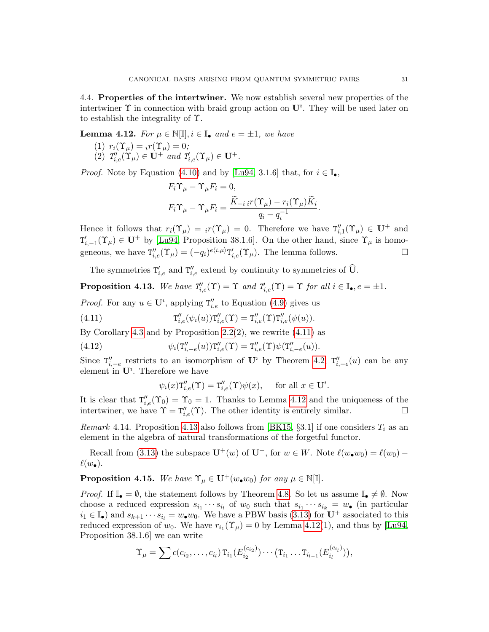<span id="page-30-0"></span>4.4. Properties of the intertwiner. We now establish several new properties of the intertwiner  $\Upsilon$  in connection with braid group action on  $\mathbf{U}^i$ . They will be used later on to establish the integrality of Υ.

<span id="page-30-3"></span>**Lemma 4.12.** For  $\mu \in \mathbb{N}[\mathbb{I}], i \in \mathbb{I}_{\bullet}$  and  $e = \pm 1$ , we have

- (1)  $r_i(\Upsilon_\mu) = i r(\Upsilon_\mu) = 0;$
- (2)  $T'_{i,e}(\Upsilon_\mu) \in \mathbf{U}^+$  and  $T'_{i,e}(\Upsilon_\mu) \in \mathbf{U}^+$ .

*Proof.* Note by Equation [\(4.10\)](#page-29-5) and by [\[Lu94,](#page-60-4) 3.1.6] that, for  $i \in \mathbb{I}_{\bullet}$ ,

$$
F_i \Upsilon_\mu - \Upsilon_\mu F_i = 0,
$$
  

$$
F_i \Upsilon_\mu - \Upsilon_\mu F_i = \frac{\widetilde{K}_{-i} i r(\Upsilon_\mu) - r_i(\Upsilon_\mu) \widetilde{K}_i}{q_i - q_i^{-1}}.
$$

Hence it follows that  $r_i(\Upsilon_\mu) = i(\Upsilon_\mu) = 0$ . Therefore we have  $\Upsilon''_{i,1}(\Upsilon_\mu) \in U^+$  and  $T'_{i,-1}(\Upsilon_\mu) \in U^+$  by [\[Lu94,](#page-60-4) Proposition 38.1.6]. On the other hand, since  $\Upsilon_\mu$  is homogeneous, we have  $T''_{i,e}(\Upsilon_\mu) = (-q_i)^{e\langle i,\mu \rangle} T'_{i,e}(\Upsilon_\mu)$ . The lemma follows.

The symmetries  $T'_{i,e}$  and  $T''_{i,e}$  extend by continuity to symmetries of  $\widehat{U}$ .

<span id="page-30-4"></span>**Proposition 4.13.** We have  $T'_{i,e}(\Upsilon) = \Upsilon$  and  $T'_{i,e}(\Upsilon) = \Upsilon$  for all  $i \in \mathbb{I}_{\bullet}, e = \pm 1$ .

*Proof.* For any  $u \in U^i$ , applying  $T''_{i,e}$  to Equation [\(4.9\)](#page-29-4) gives us

(4.11) 
$$
T''_{i,e}(\psi_i(u))T''_{i,e}(\Upsilon) = T''_{i,e}(\Upsilon)T''_{i,e}(\psi(u)).
$$

By Corollary [4.3](#page-26-2) and by Proposition  $2.2(2)$ , we rewrite  $(4.11)$  as

(4.12) 
$$
\psi_i(\mathbf{T}''_{i,-e}(u))\mathbf{T}''_{i,e}(\Upsilon) = \mathbf{T}''_{i,e}(\Upsilon)\psi(\mathbf{T}''_{i,-e}(u)).
$$

Since  $T''_{i,-e}$  restricts to an isomorphism of  $\mathbf{U}^i$  by Theorem [4.2,](#page-24-2)  $T''_{i,-e}(u)$  can be any element in  $\mathbf{U}^i$ . Therefore we have

<span id="page-30-2"></span>
$$
\psi_i(x)\mathbf{T}''_{i,e}(\Upsilon) = \mathbf{T}''_{i,e}(\Upsilon)\psi(x), \quad \text{ for all } x \in \mathbf{U}^i.
$$

It is clear that  $T''_{i,e}(\Upsilon_0) = \Upsilon_0 = 1$ . Thanks to Lemma [4.12](#page-30-3) and the uniqueness of the intertwiner, we have  $\Upsilon = \mathsf{T}''_{i,e}(\Upsilon)$ . The other identity is entirely similar.

*Remark* 4.14. Proposition [4.13](#page-30-4) also follows from [\[BK15,](#page-59-11) §3.1] if one considers  $T_i$  as an element in the algebra of natural transformations of the forgetful functor.

Recall from [\(3.13\)](#page-23-2) the subspace  $\mathbf{U}^+(w)$  of  $\mathbf{U}^+$ , for  $w \in W$ . Note  $\ell(w_{\bullet}w_0) = \ell(w_0) \ell(w_{\bullet}).$ 

<span id="page-30-1"></span>**Proposition 4.15.** We have  $\Upsilon_{\mu} \in \mathbf{U}^+(w_{\bullet}w_0)$  for any  $\mu \in \mathbb{N}[\mathbb{I}].$ 

*Proof.* If  $\mathbb{I}_{\bullet} = \emptyset$ , the statement follows by Theorem [4.8.](#page-29-1) So let us assume  $\mathbb{I}_{\bullet} \neq \emptyset$ . Now choose a reduced expression  $s_{i_1} \cdots s_{i_l}$  of  $w_0$  such that  $s_{i_1} \cdots s_{i_k} = w_{\bullet}$  (in particular  $i_1 \in \mathbb{I}_{\bullet}$ ) and  $s_{k+1} \cdots s_{i_l} = w_{\bullet}w_0$ . We have a PBW basis [\(3.13\)](#page-23-2) for  $\mathbf{U}^+$  associated to this reduced expression of  $w_0$ . We have  $r_{i_1}(\Upsilon_\mu) = 0$  by Lemma [4.12\(](#page-30-3)1), and thus by [\[Lu94,](#page-60-4) Proposition 38.1.6] we can write

$$
\Upsilon_{\mu} = \sum c(c_{i_2}, \ldots, c_{i_l}) \operatorname{T}_{i_1}(E_{i_2}^{(c_{i_2})}) \cdots (\operatorname{T}_{i_1} \ldots \operatorname{T}_{i_{l-1}}(E_{i_l}^{(c_{i_l})})),
$$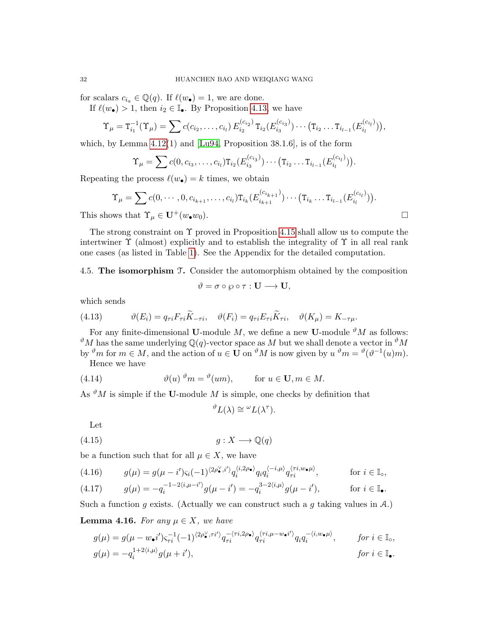for scalars  $c_{i_a} \in \mathbb{Q}(q)$ . If  $\ell(w_{\bullet}) = 1$ , we are done.

If  $\ell(w_{\bullet}) > 1$ , then  $i_2 \in \mathbb{I}_{\bullet}$ . By Proposition [4.13,](#page-30-4) we have

$$
\Upsilon_{\mu} = \mathsf{T}_{i_1}^{-1}(\Upsilon_{\mu}) = \sum c(c_{i_2}, \ldots, c_{i_l}) E_{i_2}^{(c_{i_2})} \mathsf{T}_{i_2}(E_{i_3}^{(c_{i_3})}) \cdots (\mathsf{T}_{i_2} \ldots \mathsf{T}_{i_{l-1}}(E_{i_l}^{(c_{i_l})})),
$$

which, by Lemma  $4.12(1)$  and [\[Lu94,](#page-60-4) Proposition 38.1.6], is of the form

$$
\Upsilon_{\mu} = \sum c(0, c_{i_3}, \dots, c_{i_l}) \mathrm{T}_{i_2}(E_{i_3}^{(c_{i_3})}) \cdots (\mathrm{T}_{i_2} \dots \mathrm{T}_{i_{l-1}}(E_{i_l}^{(c_{i_l})})).
$$

Repeating the process  $\ell(w_{\bullet}) = k$  times, we obtain

$$
\Upsilon_{\mu} = \sum c(0, \dots, 0, c_{i_{k+1}}, \dots, c_{i_l}) \mathsf{T}_{i_k} (E_{i_{k+1}}^{(c_{i_{k+1}})}) \dots (\mathsf{T}_{i_k} \dots \mathsf{T}_{i_{l-1}} (E_{i_l}^{(c_{i_l})})).
$$
  
This shows that  $\Upsilon_{\mu} \in \mathbf{U}^+(w_{\bullet}w_0).$ 

The strong constraint on  $\Upsilon$  proved in Proposition [4.15](#page-30-1) shall allow us to compute the intertwiner  $\Upsilon$  (almost) explicitly and to establish the integrality of  $\Upsilon$  in all real rank one cases (as listed in Table [1\)](#page-17-2). See the Appendix for the detailed computation.

<span id="page-31-0"></span>4.5. The isomorphism T. Consider the automorphism obtained by the composition

$$
\vartheta = \sigma \circ \wp \circ \tau : \mathbf{U} \longrightarrow \mathbf{U},
$$

which sends

(4.13) 
$$
\vartheta(E_i) = q_{\tau i} F_{\tau i} \widetilde{K}_{-\tau i}, \quad \vartheta(F_i) = q_{\tau i} E_{\tau i} \widetilde{K}_{\tau i}, \quad \vartheta(K_\mu) = K_{-\tau \mu}.
$$

For any finite-dimensional U-module M, we define a new U-module  $\mathcal{N}_M$  as follows:  $\partial^{\theta}M$  has the same underlying Q(q)-vector space as M but we shall denote a vector in  $\partial^{\theta}M$ by  $\mathcal{P}m$  for  $m \in M$ , and the action of  $u \in \mathbf{U}$  on  $\mathcal{P}M$  is now given by  $u \mathcal{P}m = \mathcal{P}(\mathcal{P}^{-1}(u)m)$ .

Hence we have

(4.14) 
$$
\vartheta(u) \, \vartheta_m = \vartheta(um), \qquad \text{for } u \in \mathbf{U}, m \in M.
$$

As  ${}^{\vartheta}M$  is simple if the **U**-module  $M$  is simple, one checks by definition that

 ${}^{\vartheta}L(\lambda) \cong {}^{\omega}L(\lambda^{\tau}).$ 

Let

$$
(4.15) \t\t g: X \longrightarrow \mathbb{Q}(q)
$$

be a function such that for all  $\mu \in X$ , we have

<span id="page-31-2"></span>
$$
(4.16) \t g(\mu) = g(\mu - i')\varsigma_i(-1)^{\langle 2\rho \bullet, i' \rangle} q_i^{\langle i, 2\rho \bullet} q_i q_i^{\langle -i, \mu \rangle} q_{\tau i}^{\langle \tau i, w \bullet \mu \rangle}, \t \text{for } i \in \mathbb{I}_0,
$$

<span id="page-31-1"></span>(4.17) 
$$
g(\mu) = -q_i^{-1-2\langle i,\mu-i'\rangle}g(\mu-i') = -q_i^{3-2\langle i,\mu\rangle}g(\mu-i'), \qquad \text{for } i \in \mathbb{I}_{\bullet}.
$$

Such a function g exists. (Actually we can construct such a g taking values in  $\mathcal{A}$ .)

<span id="page-31-3"></span>**Lemma 4.16.** For any  $\mu \in X$ , we have

$$
g(\mu) = g(\mu - w_{\bullet}i')\varsigma_{\tau i}^{-1}(-1)^{\langle 2\rho_{\bullet}^{\vee}, \tau i'\rangle} q_{\tau i}^{-\langle \tau i, 2\rho_{\bullet} \rangle} q_{\tau i}^{\langle \tau i, \mu - w_{\bullet}i'\rangle} q_i q_i^{-\langle i, w_{\bullet} \mu \rangle}, \quad \text{for } i \in \mathbb{I}_{\circ},
$$
  

$$
g(\mu) = -q_i^{1+2\langle i, \mu \rangle} g(\mu + i'), \quad \text{for } i \in \mathbb{I}_{\bullet}.
$$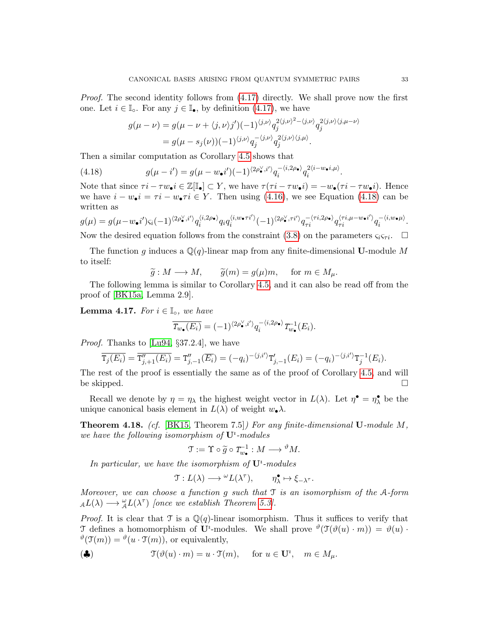*Proof.* The second identity follows from  $(4.17)$  directly. We shall prove now the first one. Let  $i \in \mathbb{I}_o$ . For any  $j \in \mathbb{I}_\bullet$ , by definition [\(4.17\)](#page-31-1), we have

<span id="page-32-0"></span>
$$
g(\mu - \nu) = g(\mu - \nu + \langle j, \nu \rangle j')(-1)^{\langle j, \nu \rangle} q_j^{2\langle j, \nu \rangle^2 - \langle j, \nu \rangle} q_j^{2\langle j, \nu \rangle \langle j, \mu - \nu \rangle}
$$
  
=  $g(\mu - s_j(\nu))(-1)^{\langle j, \nu \rangle} q_j^{-\langle j, \nu \rangle} q_j^{2\langle j, \nu \rangle \langle j, \mu \rangle}.$ 

Then a similar computation as Corollary [4.5](#page-27-1) shows that

(4.18) 
$$
g(\mu - i') = g(\mu - w_{\bullet}i')(-1)^{\langle 2\rho_{\bullet}^{\vee}, i' \rangle} q_i^{-\langle i, 2\rho_{\bullet} \rangle} q_i^{2\langle i - w_{\bullet}i, \mu \rangle}.
$$

Note that since  $\tau i - \tau w_{\bullet} i \in \mathbb{Z}[\mathbb{I}_{\bullet}] \subset Y$ , we have  $\tau(\tau i - \tau w_{\bullet} i) = -w_{\bullet}(\tau i - \tau w_{\bullet} i)$ . Hence we have  $i - w_{\bullet} i = \tau i - w_{\bullet} \tau i \in Y$ . Then using [\(4.16\)](#page-31-2), we see Equation [\(4.18\)](#page-32-0) can be written as

$$
g(\mu) = g(\mu - w_{\bullet}i')\varsigma_i(-1)^{\langle 2\rho_{\bullet}^{\vee},i'\rangle}q_i^{\langle i,2\rho_{\bullet}\rangle}q_i q_i^{\langle i,w_{\bullet}\tau i'\rangle}(-1)^{\langle 2\rho_{\bullet}^{\vee},\tau i'\rangle}q_{\tau i}^{-\langle \tau i,2\rho_{\bullet}\rangle}q_{\tau i}^{\langle \tau i,\mu-w_{\bullet}i'\rangle}q_i^{-\langle i,w_{\bullet}\mu\rangle}.
$$

Now the desired equation follows from the constraint [\(3.8\)](#page-18-1) on the parameters  $\varsigma_i \varsigma_{\tau i}$ .  $\Box$ 

The function g induces a  $\mathbb{Q}(q)$ -linear map from any finite-dimensional U-module M to itself:

$$
\widetilde{g}: M \longrightarrow M
$$
,  $\widetilde{g}(m) = g(\mu)m$ , for  $m \in M_{\mu}$ 

 $\widetilde{g}: M \longrightarrow M, \quad \widetilde{g}(m) = g(\mu)m, \quad \text{ for } m \in M_{\mu}.$ <br>The following lemma is similar to Corollary [4.5,](#page-27-1) and it can also be read off from the proof of [\[BK15a,](#page-59-10) Lemma 2.9].

<span id="page-32-1"></span>**Lemma 4.17.** For  $i \in \mathbb{I}_0$ , we have

$$
\overline{T_{w_{\bullet}}(E_i)} = (-1)^{\langle 2\rho_{\bullet}^{\vee}, i' \rangle} q_i^{-\langle i, 2\rho_{\bullet} \rangle} T_{w_{\bullet}}^{-1}(E_i).
$$

Proof. Thanks to [\[Lu94,](#page-60-4) §37.2.4], we have

$$
\overline{\mathrm{T}_j(E_i)} = \overline{\mathrm{T}_{j,+1}''(E_i)} = \mathrm{T}_{j,-1}''(\overline{E_i}) = (-q_i)^{-\langle j,i' \rangle} \mathrm{T}_{j,-1}'(E_i) = (-q_i)^{-\langle j,i' \rangle} \mathrm{T}_j^{-1}(E_i).
$$

The rest of the proof is essentially the same as of the proof of Corollary [4.5,](#page-27-1) and will be skipped.  $\square$ 

Recall we denote by  $\eta = \eta_\lambda$  the highest weight vector in  $L(\lambda)$ . Let  $\eta^{\bullet} = \eta_{\lambda}^{\bullet}$  be the unique canonical basis element in  $L(\lambda)$  of weight  $w_{\bullet}\lambda$ .

<span id="page-32-2"></span>**Theorem 4.18.** (cf. [\[BK15,](#page-59-11) Theorem 7.5]) For any finite-dimensional  $\mathbf{U}\text{-module }M$ , we have the following isomorphism of  $\mathbf{U}^i$ -modules

$$
\mathfrak{T} := \Upsilon \circ \widetilde{g} \circ T_{w_{\bullet}}^{-1} : M \longrightarrow {}^{\vartheta} M.
$$

In particular, we have the isomorphism of  $U^i$ -modules

$$
\mathfrak{T}:L(\lambda)\longrightarrow {}^\omega L(\lambda^{\tau}),\qquad \eta_\lambda^\bullet\mapsto \xi_{-\lambda^\tau}.
$$

Moreover, we can choose a function  $g$  such that  $\mathcal T$  is an isomorphism of the A-form  $_{\mathcal{A}}L(\lambda) \longrightarrow_{\mathcal{A}}^{\omega}L(\lambda^{\tau})$  [once we establish Theorem [5.3\]](#page-35-2).

*Proof.* It is clear that  $\mathcal{T}$  is a  $\mathbb{Q}(q)$ -linear isomorphism. Thus it suffices to verify that T defines a homomorphism of  $\mathbf{U}^i$ -modules. We shall prove  $\theta(\mathcal{T}(\theta(u)\cdot m)) = \theta(u)$ .  $\mathcal{O}(\mathfrak{T}(m)) = \mathcal{O}(u \cdot \mathfrak{T}(m))$ , or equivalently,

$$
(\clubsuit) \qquad \qquad \mathfrak{T}(\vartheta(u)\cdot m)=u\cdot \mathfrak{T}(m), \quad \text{ for } u\in \mathbf{U}^i, \quad m\in M_\mu.
$$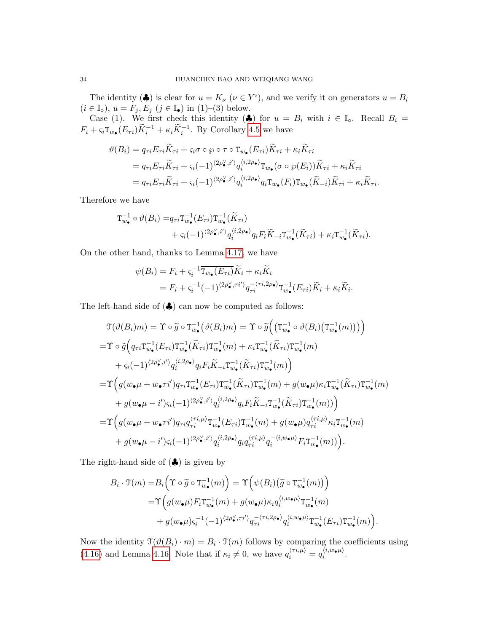The identity ( $\clubsuit$ ) is clear for  $u = K_{\nu}$  ( $\nu \in Y^i$ ), and we verify it on generators  $u = B_i$  $(i \in \mathbb{I}_\circ), u = F_j, E_j \ (j \in \mathbb{I}_\bullet) \text{ in (1)-(3) below.}$ 

Case (1). We first check this identity ( $\clubsuit$ ) for  $u = B_i$  with  $i \in \mathbb{I}_0$ . Recall  $B_i =$  $F_i + \varsigma_i \mathsf{T}_{w_{\bullet}}(E_{\tau i}) \widetilde{K}_i^{-1} + \kappa_i \widetilde{K}_i^{-1}$ . By Corollary [4.5](#page-27-1) we have

$$
\vartheta(B_i) = q_{\tau i} E_{\tau i} \widetilde{K}_{\tau i} + \varsigma_i \sigma \circ \wp \circ \tau \circ \mathbf{T}_{w_{\bullet}}(E_{\tau i}) \widetilde{K}_{\tau i} + \kappa_i \widetilde{K}_{\tau i}
$$
\n
$$
= q_{\tau i} E_{\tau i} \widetilde{K}_{\tau i} + \varsigma_i (-1)^{\langle 2\rho_{\bullet}^{\vee}, i' \rangle} q_i^{\langle i, 2\rho_{\bullet} \rangle} \mathbf{T}_{w_{\bullet}}(\sigma \circ \wp(E_i)) \widetilde{K}_{\tau i} + \kappa_i \widetilde{K}_{\tau i}
$$
\n
$$
= q_{\tau i} E_{\tau i} \widetilde{K}_{\tau i} + \varsigma_i (-1)^{\langle 2\rho_{\bullet}^{\vee}, i' \rangle} q_i^{\langle i, 2\rho_{\bullet} \rangle} q_i \mathbf{T}_{w_{\bullet}}(F_i) \mathbf{T}_{w_{\bullet}}(\widetilde{K}_{-i}) \widetilde{K}_{\tau i} + \kappa_i \widetilde{K}_{\tau i}.
$$

Therefore we have

$$
T_{w_{\bullet}}^{-1} \circ \vartheta(B_i) = q_{\tau i} T_{w_{\bullet}}^{-1} (E_{\tau i}) T_{w_{\bullet}}^{-1} (\widetilde{K}_{\tau i}) + \varsigma_i (-1)^{\langle 2\rho_{\bullet}^{\vee}, i' \rangle} q_i^{\langle i, 2\rho_{\bullet} \rangle} q_i F_i \widetilde{K}_{-i} T_{w_{\bullet}}^{-1} (\widetilde{K}_{\tau i}) + \kappa_i T_{w_{\bullet}}^{-1} (\widetilde{K}_{\tau i}).
$$

On the other hand, thanks to Lemma [4.17,](#page-32-1) we have

$$
\psi(B_i) = F_i + \varsigma_i^{-1} \overline{\mathrm{T}_{w_\bullet}(E_{\tau i})} \widetilde{K}_i + \kappa_i \widetilde{K}_i
$$
  
=  $F_i + \varsigma_i^{-1} (-1)^{\langle 2\rho_\bullet^\vee, \tau i^\prime \rangle} q_{\tau i}^{-\langle \tau i, 2\rho_\bullet \rangle} \mathrm{T}_{w_\bullet}^{-1}(E_{\tau i}) \widetilde{K}_i + \kappa_i \widetilde{K}_i.$ 

The left-hand side of  $(\clubsuit)$  can now be computed as follows:

$$
\begin{split} \mathfrak{T}(\vartheta(B_{i})m)&=\Upsilon\circ\widetilde{g}\circ\mathsf{T}_{w_{\bullet}}^{-1}\big(\vartheta(B_{i})m\big)=\Upsilon\circ\widetilde{g}\Big(\big(\mathsf{T}_{w_{\bullet}}^{-1}\circ\vartheta(B_{i})\big(\mathsf{T}_{w_{\bullet}}^{-1}(m)\big)\big)\Big)\\ =&\Upsilon\circ\widetilde{g}\Big(q_{\tau i}\mathsf{T}_{w_{\bullet}}^{-1}(E_{\tau i})\mathsf{T}_{w_{\bullet}}^{-1}(\widetilde{K}_{\tau i})\mathsf{T}_{w_{\bullet}}^{-1}(m)+\kappa_{i}\mathsf{T}_{w_{\bullet}}^{-1}(\widetilde{K}_{\tau i})\mathsf{T}_{w_{\bullet}}^{-1}(m)\\ &+\varsigma_{i}(-1)^{\langle 2\rho_{\bullet}^{\vee},i'\rangle}q_{i}^{\langle i,2\rho_{\bullet}\rangle}q_{i}F_{i}\widetilde{K}_{-i}\mathsf{T}_{w_{\bullet}}^{-1}(\widetilde{K}_{\tau i})\mathsf{T}_{w_{\bullet}}^{-1}(m)\Big)\\ =&\Upsilon\Big(g(w_{\bullet}\mu+w_{\bullet}\tau i')q_{\tau i}\mathsf{T}_{w_{\bullet}}^{-1}(E_{\tau i})\mathsf{T}_{w_{\bullet}}^{-1}(\widetilde{K}_{\tau i})\mathsf{T}_{w_{\bullet}}^{-1}(m)+g(w_{\bullet}\mu)\kappa_{i}\mathsf{T}_{w_{\bullet}}^{-1}(\widetilde{K}_{\tau i})\mathsf{T}_{w_{\bullet}}^{-1}(m)\\ &+g(w_{\bullet}\mu-i')\varsigma_{i}(-1)^{\langle 2\rho_{\bullet}^{\vee},i'\rangle}q_{i}^{\langle i,2\rho_{\bullet}\rangle}q_{i}F_{i}\widetilde{K}_{-i}\mathsf{T}_{w_{\bullet}}^{-1}(\widetilde{K}_{\tau i})\mathsf{T}_{w_{\bullet}}^{-1}(m))\Big)\\ =&\Upsilon\Big(g(w_{\bullet}\mu+w_{\bullet}\tau i')q_{\tau i}q_{\tau i}^{\langle\tau i, \mu\rangle}\mathsf{T}_{w_{\bullet}}^{-1}(E_{\tau i})\mathsf{T}_{w_{\bullet}}^{-1}(m)+g(w_{\bullet}\mu)q_{\tau i}^{\langle\tau i, \mu\rangle}\kappa_{i}\mathsf{T}_{w_{\bullet}}^{-1}(m)\\ &+g(w_{\bullet}\mu-i')\varsigma_{i}(-1)^{\langle 2\rho_{\bullet}^{\vee},i'\rangle}
$$

The right-hand side of  $(\clubsuit)$  is given by

$$
B_i \cdot \mathfrak{T}(m) = B_i \Big( \Upsilon \circ \widetilde{g} \circ \mathfrak{T}_{w_\bullet}^{-1}(m) \Big) = \Upsilon \Big( \psi(B_i) \big( \widetilde{g} \circ \mathfrak{T}_{w_\bullet}^{-1}(m) \big) \Big)
$$
  
=\Upsilon \Big( g(w\_\bullet \mu) F\_i \mathfrak{T}\_{w\_\bullet}^{-1}(m) + g(w\_\bullet \mu) \kappa\_i q\_i^{\langle i, w\_\bullet \mu \rangle} \mathfrak{T}\_{w\_\bullet}^{-1}(m)   
+ g(w\_\bullet \mu) \varsigma\_i^{-1} (-1)^{\langle 2\rho\_\bullet^\vee, \tau i^\prime \rangle} q\_{\tau i}^{-\langle \tau i, 2\rho\_\bullet \rangle} q\_i^{\langle i, w\_\bullet \mu \rangle} \mathfrak{T}\_{w\_\bullet}^{-1}(E\_{\tau i}) \mathfrak{T}\_{w\_\bullet}^{-1}(m) \Big).

Now the identity  $\mathfrak{T}(\vartheta(B_i)\cdot m)=B_i\cdot \mathfrak{T}(m)$  follows by comparing the coefficients using [\(4.16\)](#page-31-2) and Lemma [4.16.](#page-31-3) Note that if  $\kappa_i \neq 0$ , we have  $q_i^{\langle \tau i, \mu \rangle} = q_i^{\langle i, w \bullet \mu \rangle}$  $\sum_{i}^{\langle i,w_{\bullet}\mu\rangle}$ .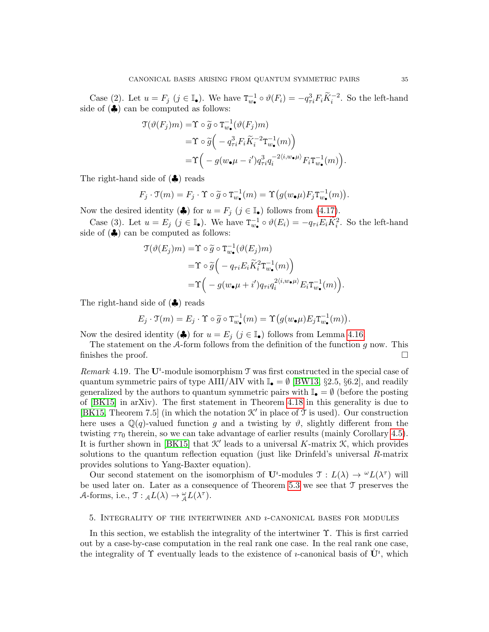Case (2). Let  $u = F_j$   $(j \in \mathbb{I}_{\bullet})$ . We have  $T_{w_{\bullet}}^{-1} \circ \vartheta(F_i) = -q_{\tau i}^3 F_i \widetilde{K}_i^{-2}$ . So the left-hand side of  $(\clubsuit)$  can be computed as follows:

$$
\begin{split} \mathfrak{T}(\vartheta(F_j)m) &= \Upsilon \circ \widetilde{g} \circ \mathbf{T}_{w_\bullet}^{-1}(\vartheta(F_j)m) \\ &= \Upsilon \circ \widetilde{g}\Big(-q_{\tau i}^3 F_i \widetilde{K}_i^{-2} \mathbf{T}_{w_\bullet}^{-1}(m)\Big) \\ &= \Upsilon\Big(-g(w_\bullet\mu - i')q_{\tau i}^3 q_i^{-2\langle i,w_\bullet\mu\rangle} F_i \mathbf{T}_{w_\bullet}^{-1}(m)\Big). \end{split}
$$

The right-hand side of (♣) reads

$$
F_j \cdot \mathfrak{T}(m) = F_j \cdot \mathfrak{T} \circ \widetilde{g} \circ \mathfrak{T}_{w_{\bullet}}^{-1}(m) = \mathfrak{T} \big( g(w_{\bullet} \mu) F_j \mathfrak{T}_{w_{\bullet}}^{-1}(m) \big).
$$

Now the desired identity  $(\clubsuit)$  for  $u = F_j$   $(j \in \mathbb{I}_{\bullet})$  follows from [\(4.17\)](#page-31-1).

Case (3). Let  $u = E_j$   $(j \in \mathbb{I}_{\bullet})$ . We have  $T_{w_{\bullet}}^{-1} \circ \vartheta(E_i) = -q_{\tau i} E_i \widetilde{K}_i^2$ . So the left-hand side of  $(\clubsuit)$  can be computed as follows:

$$
\mathcal{T}(\vartheta(E_j)m) = \Upsilon \circ \widetilde{g} \circ \mathcal{T}_{w_{\bullet}}^{-1}(\vartheta(E_j)m)
$$
  
= 
$$
\Upsilon \circ \widetilde{g} \Big( -q_{\tau i} E_i \widetilde{K}_i^2 \mathcal{T}_{w_{\bullet}}^{-1}(m) \Big)
$$
  
= 
$$
\Upsilon \Big( -g(w_{\bullet} \mu + i') q_{\tau i} q_i^{2 \langle i, w_{\bullet} \mu \rangle} E_i \mathcal{T}_{w_{\bullet}}^{-1}(m) \Big).
$$

The right-hand side of (♣) reads

$$
E_j \cdot \mathfrak{T}(m) = E_j \cdot \Upsilon \circ \widetilde{g} \circ \mathfrak{T}_{w_{\bullet}}^{-1}(m) = \Upsilon(g(w_{\bullet}\mu)E_j\mathfrak{T}_{w_{\bullet}}^{-1}(m)).
$$

Now the desired identity ( $\clubsuit$ ) for  $u = E_j$  ( $j \in \mathbb{I}_{\bullet}$ ) follows from Lemma [4.16.](#page-31-3)

The statement on the  $A$ -form follows from the definition of the function g now. This finishes the proof.  $\Box$ 

Remark 4.19. The  $\mathbf{U}^i$ -module isomorphism  $\mathcal T$  was first constructed in the special case of quantum symmetric pairs of type AIII/AIV with  $\mathbb{I}_{\bullet} = \emptyset$  [\[BW13,](#page-59-4) §2.5, §6.2], and readily generalized by the authors to quantum symmetric pairs with  $\mathbb{I}_{\bullet} = \emptyset$  (before the posting of [\[BK15\]](#page-59-11) in arXiv). The first statement in Theorem [4.18](#page-32-2) in this generality is due to [\[BK15,](#page-59-11) Theorem 7.5] (in which the notation  $\mathcal{K}'$  in place of  $\mathcal T$  is used). Our construction here uses a  $\mathbb{Q}(q)$ -valued function g and a twisting by  $\vartheta$ , slightly different from the twisting  $\tau \tau_0$  therein, so we can take advantage of earlier results (mainly Corollary [4.5\)](#page-27-1). It is further shown in [\[BK15\]](#page-59-11) that  $K'$  leads to a universal K-matrix  $K$ , which provides solutions to the quantum reflection equation (just like Drinfeld's universal R-matrix provides solutions to Yang-Baxter equation).

Our second statement on the isomorphism of  $\mathbf{U}^i$ -modules  $\mathfrak{T}: L(\lambda) \to {}^{\omega}L(\lambda^{\tau})$  will be used later on. Later as a consequence of Theorem [5.3](#page-35-2) we see that T preserves the A-forms, i.e.,  $\mathfrak{T}: {}_{\mathcal{A}}L(\lambda) \to {}_{\mathcal{A}}^{\omega}L(\lambda^{\tau}).$ 

#### <span id="page-34-0"></span>5. INTEGRALITY OF THE INTERTWINER AND  $\imath$ -CANONICAL BASES FOR MODULES

In this section, we establish the integrality of the intertwiner  $\Upsilon$ . This is first carried out by a case-by-case computation in the real rank one case. In the real rank one case, the integrality of  $\Upsilon$  eventually leads to the existence of *u*-canonical basis of  $\dot{\mathbf{U}}^i$ , which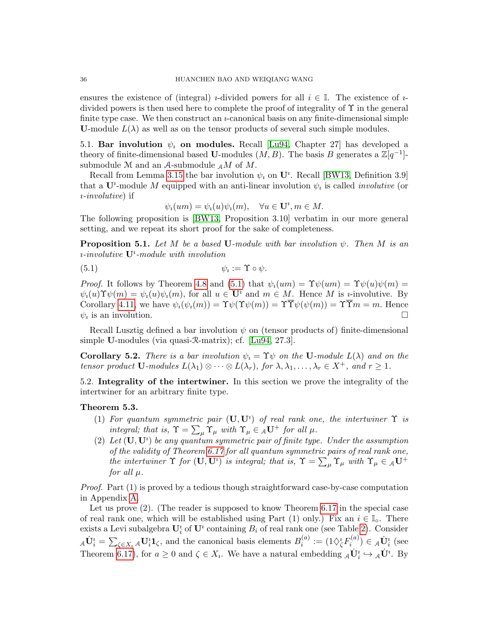ensures the existence of (integral) *i*-divided powers for all  $i \in \mathbb{I}$ . The existence of *i*divided powers is then used here to complete the proof of integrality of  $\Upsilon$  in the general finite type case. We then construct an  $\nu$ -canonical basis on any finite-dimensional simple **U**-module  $L(\lambda)$  as well as on the tensor products of several such simple modules.

<span id="page-35-0"></span>5.1. Bar involution  $\psi_i$  on modules. Recall [\[Lu94,](#page-60-4) Chapter 27] has developed a theory of finite-dimensional based **U**-modules  $(M, B)$ . The basis B generates a  $\mathbb{Z}[q^{-1}]$ submodule M and an A-submodule  $_A M$  of M.

Recall from Lemma [3.15](#page-21-3) the bar involution  $\psi_i$  on  $\mathbf{U}^i$ . Recall [\[BW13,](#page-59-4) Definition 3.9] that a U<sup>*t*</sup>-module M equipped with an anti-linear involution  $\psi_i$  is called *involutive* (or  $i$ -*involutive*) if

<span id="page-35-4"></span>
$$
\psi_i(um) = \psi_i(u)\psi_i(m), \quad \forall u \in \mathbf{U}^i, m \in M.
$$

The following proposition is [\[BW13,](#page-59-4) Proposition 3.10] verbatim in our more general setting, and we repeat its short proof for the sake of completeness.

<span id="page-35-3"></span>**Proposition 5.1.** Let M be a based U-module with bar involution  $\psi$ . Then M is an  $i$ -involutive  $\mathbf{U}^i$ -module with involution

$$
\psi_i := \Upsilon \circ \psi.
$$

Proof. It follows by Theorem [4.8](#page-29-1) and [\(5.1\)](#page-35-4) that  $\psi_i(um) = \Upsilon \psi(um) = \Upsilon \psi(u) \psi(m) =$  $\psi_i(u)\Upsilon\psi(m) = \psi_i(u)\psi_i(m)$ , for all  $u \in \mathbf{U}^i$  and  $m \in M$ . Hence M is *i*-involutive. By Corollary [4.11,](#page-29-6) we have  $\psi_i(\psi_i(m)) = \Upsilon \psi(\Upsilon \psi(m)) = \Upsilon \overline{\Upsilon} \psi(\psi(m)) = \Upsilon \overline{\Upsilon} m = m$ . Hence  $\psi_i$  is an involution.

Recall Lusztig defined a bar involution  $\psi$  on (tensor products of) finite-dimensional simple U-modules (via quasi-R-matrix); cf. [\[Lu94,](#page-60-4) 27.3].

<span id="page-35-5"></span>**Corollary 5.2.** There is a bar involution  $\psi_i = \Upsilon \psi$  on the U-module  $L(\lambda)$  and on the tensor product  $\mathbf{U}\text{-modules } L(\lambda_1) \otimes \cdots \otimes L(\lambda_r)$ , for  $\lambda, \lambda_1, \ldots, \lambda_r \in X^+$ , and  $r \geq 1$ .

<span id="page-35-1"></span>5.2. Integrality of the intertwiner. In this section we prove the integrality of the intertwiner for an arbitrary finite type.

## <span id="page-35-2"></span>Theorem 5.3.

- (1) For quantum symmetric pair  $(U, U^i)$  of real rank one, the intertwiner  $\Upsilon$  is integral; that is,  $\Upsilon = \sum_{\mu} \Upsilon_{\mu}$  with  $\Upsilon_{\mu} \in {}_{\mathcal{A}}\mathbf{U}^{+}$  for all  $\mu$ .
- (2) Let  $(\mathbf{U}, \mathbf{U}^i)$  be any quantum symmetric pair of finite type. Under the assumption of the validity of Theorem [6.17](#page-46-1) for all quantum symmetric pairs of real rank one, the intertwiner  $\Upsilon$  for  $(U, U^i)$  is integral; that is,  $\Upsilon = \sum_{\mu} \Upsilon_{\mu}$  with  $\Upsilon_{\mu} \in {}_{\mathcal{A}}U^+$ for all  $\mu$ .

Proof. Part (1) is proved by a tedious though straightforward case-by-case computation in Appendix [A.](#page-51-0)

Let us prove  $(2)$ . (The reader is supposed to know Theorem [6.17](#page-46-1) in the special case of real rank one, which will be established using Part (1) only.) Fix an  $i \in \mathbb{I}_{\infty}$ . There exists a Levi subalgebra  $\mathbf{U}_i^i$  of  $\mathbf{U}^i$  containing  $B_i$  of real rank one (see Table [2\)](#page-17-3). Consider  ${}_{\mathcal{A}}\dot{\mathbf{U}}_i^i = \sum_{\zeta \in X_i} {}_{\mathcal{A}}\mathbf{U}_i^i \mathbf{1}_{\zeta}$ , and the canonical basis elements  $B_i^{(a)}$  $\widehat{h}_i^{(a)}:=(1 \diamondsuit^i_\zeta F_i^{(a)}$  $\mathbf{v}_i^{(a)}) \in {}_{\mathcal{A}}\dot{\mathbf{U}}_i^i$  (see Theorem [6.17\)](#page-46-1), for  $a \geq 0$  and  $\zeta \in X_i$ . We have a natural embedding  $_A\dot{\mathbf{U}}_i^i \hookrightarrow_A\dot{\mathbf{U}}^i$ . By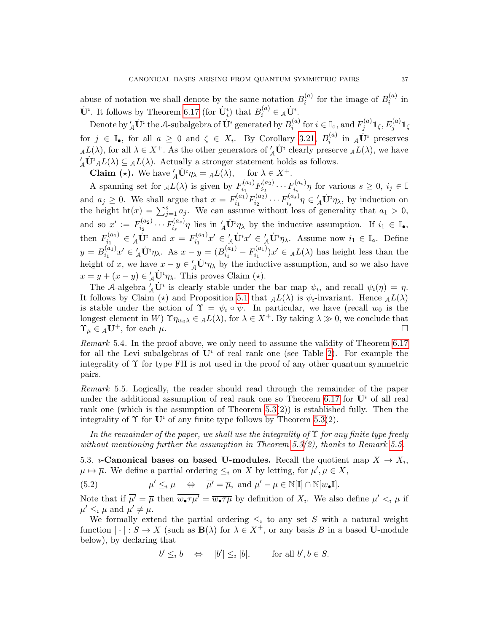abuse of notation we shall denote by the same notation  $B_i^{(a)}$  $i^{(a)}$  for the image of  $B_i^{(a)}$  $\binom{u}{i}$  in  $\dot{\mathbf{U}}^i$ . It follows by Theorem [6.17](#page-46-1) (for  $\dot{\mathbf{U}}^i_i$ ) that  $B_i^{(a)} \in {}_{\mathcal{A}}\dot{\mathbf{U}}^i$ .

Denote by  $'_{\cal{A}}\dot{{\bf U}}^\imath$  the A-subalgebra of  $\dot{{\bf U}}^\imath$  generated by  $B_i^{(a)}$  $i_i^{(a)}$  for  $i \in \mathbb{I}_0$ , and  $F_j^{(a)}$  $j^{(a)}\mathbf{1}_{\zeta},E_j^{(a)}\mathbf{1}_{\zeta}$ for  $j \in \mathbb{I}_{\bullet}$ , for all  $a \geq 0$  and  $\zeta \in X_i$ . By Corollary [3.21,](#page-23-3)  $B_i^{(a)}$  $i^{(a)}$  in  $_A\dot{\mathbf{U}}^i$  preserves  $_{\mathcal{A}}L(\lambda)$ , for all  $\lambda \in X^+$ . As the other generators of  $'_{\mathcal{A}}\dot{\mathbf{U}}^i$  clearly preserve  $_{\mathcal{A}}L(\lambda)$ , we have  $\mathcal{L}_A \dot{\mathbf{U}}^i A L(\lambda) \subseteq A L(\lambda)$ . Actually a stronger statement holds as follows.

**Claim** (\*). We have  $'_{A} \dot{\mathbf{U}}^{\dagger} \eta_{\lambda} = {}_{A}L(\lambda),$  $A_{\mathcal{A}}\dot{\mathbf{U}}^i \eta_{\lambda} = {}_{\mathcal{A}}L(\lambda), \quad \text{ for } \lambda \in X^+.$ 

A spanning set for  $_{\mathcal{A}}L(\lambda)$  is given by  $F_{i_1}^{(a_1)}$  $f^{(a_1)}_{i_1}F^{(a_2)}_{i_2}$  $\overline{f_{i_2}^{(a_2)}}\cdots\overline{F_{i_s}^{(a_s)}}$  $\sum_{i_s}^{\{a_s\}} \eta$  for various  $s \geq 0, i_j \in \mathbb{I}$ and  $a_j \geq 0$ . We shall argue that  $x = F_{i_1}^{(a_1)}$  $f^{(a_1)}_{i_1} F^{(a_2)}_{i_2}$  $i_2^{(a_2)} \cdots F_{i_s}^{(a_s)}$  $\eta_{i_s}^{(a_s)}\eta \in \mathcal{L} \dot{\mathbf{U}}^i \eta_\lambda$ , by induction on the height ht(x) =  $\sum_{j=1}^{s} a_j$ . We can assume without loss of generality that  $a_1 > 0$ , and so  $x' := F_{i_2}^{(a_2)}$  $i_2^{(a_2)} \cdots F_{i_s}^{(a_s)}$  $\int_{i_s}^{(a_s)} \eta$  lies in  $'_{\mathcal{A}} \dot{\mathbf{U}}^i \eta_{\lambda}$  by the inductive assumption. If  $i_1 \in \mathbb{I}_{\bullet}$ , then  $F_{i_1}^{(a_1)}$  $f_{i_1}^{(a_1)} \in '_{\mathcal{A}} \dot{\mathbf{U}}^i$  and  $x = F_{i_1}^{(a_1)}$  $\mathbf{v}_{i_1}^{(a_1)}x' \in \mathcal{L} \dot{\mathbf{U}}^i x' \in \mathcal{L} \dot{\mathbf{U}}^i \eta_\lambda$ . Assume now  $i_1 \in \mathbb{I}_0$ . Define  $y = B_{i_1}^{(a_1)}$  $a_{i_1}^{(a_1)}x' \in \mathcal{A} \dot{\mathbf{U}}^i \eta_\lambda$ . As  $x - y = (B_{i_1}^{(a_1)})$  $i_1^{(a_1)} - F_{i_1}^{(a_1)}$  $i_1^{(a_1)}$ ) $x' \in {}_{\mathcal{A}}L(\lambda)$  has height less than the height of x, we have  $x - y \in \mathcal{L} \dot{\mathbf{U}}^i \eta_\lambda$  by the inductive assumption, and so we also have  $x = y + (x - y) \in'_{\mathcal{A}} \dot{\mathbf{U}}^i \eta_{\lambda}$ . This proves Claim (\*).

The A-algebra  $\hat{\mathcal{A}}\dot{\mathbf{U}}^i$  is clearly stable under the bar map  $\psi_i$ , and recall  $\psi_i(\eta) = \eta$ . It follows by Claim ( $\star$ ) and Proposition [5.1](#page-35-3) that  $_{\mathcal{A}}L(\lambda)$  is  $\psi_i$ -invariant. Hence  $_{\mathcal{A}}L(\lambda)$ is stable under the action of  $\Upsilon = \psi_i \circ \psi$ . In particular, we have (recall  $w_0$  is the longest element in W)  $\Upsilon \eta_{w_0 \lambda} \in L(\lambda)$ , for  $\lambda \in X^+$ . By taking  $\lambda \gg 0$ , we conclude that  $\Upsilon_{\mu} \in {}_{A}\mathbf{U}^{+}$ , for each  $\mu$ .

Remark 5.4. In the proof above, we only need to assume the validity of Theorem [6.17](#page-46-1) for all the Levi subalgebras of  $\mathbf{U}^i$  of real rank one (see Table [2\)](#page-17-3). For example the integrality of Υ for type FII is not used in the proof of any other quantum symmetric pairs.

<span id="page-36-1"></span>Remark 5.5. Logically, the reader should read through the remainder of the paper under the additional assumption of real rank one so Theorem [6.17](#page-46-1) for  $\mathbf{U}^i$  of all real rank one (which is the assumption of Theorem  $5.3(2)$ ) is established fully. Then the integrality of  $\Upsilon$  for  $\mathbf{U}^i$  of any finite type follows by Theorem [5.3\(](#page-35-2)2).

In the remainder of the paper, we shall use the integrality of  $\Upsilon$  for any finite type freely without mentioning further the assumption in Theorem [5.3\(](#page-35-2)2), thanks to Remark [5.5.](#page-36-1)

<span id="page-36-0"></span>5.3. *i*-Canonical bases on based U-modules. Recall the quotient map  $X \to X_i$ ,  $\mu \mapsto \overline{\mu}$ . We define a partial ordering  $\leq_i$  on X by letting, for  $\mu', \mu \in X$ ,

 $(5.2)$  $\mathscr{O}' \leq_{\iota} \mu \quad \Leftrightarrow \quad \overline{\mu'} = \overline{\mu}, \text{ and } \mu' - \mu \in \mathbb{N}[\mathbb{I}] \cap \mathbb{N}[w_{\bullet}\mathbb{I}].$ 

Note that if  $\overline{\mu'} = \overline{\mu}$  then  $\overline{w_{\bullet} \tau \mu'} = \overline{w_{\bullet} \tau \mu}$  by definition of  $X_i$ . We also define  $\mu' <_{i} \mu$  if  $\mu' \leq_{i} \mu$  and  $\mu' \neq \mu$ .

We formally extend the partial ordering  $\leq_i$  to any set S with a natural weight function  $|\cdot|: S \to X$  (such as  $\mathbf{B}(\lambda)$  for  $\lambda \in X^+$ , or any basis B in a based U-module below), by declaring that

$$
b' \leq_b b \quad \Leftrightarrow \quad |b'| \leq_b |b|, \qquad \text{for all } b', b \in S.
$$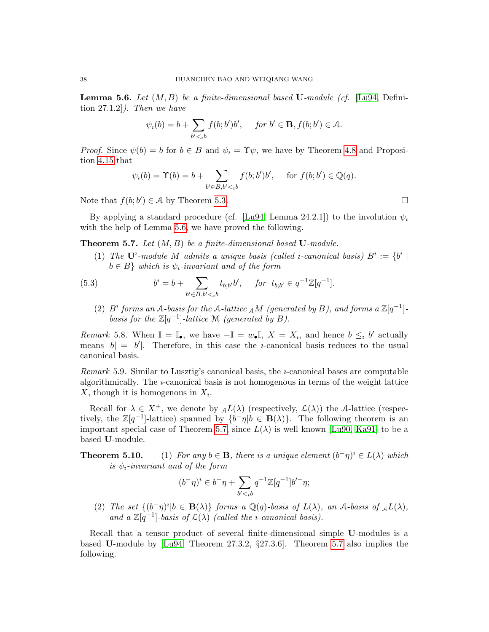<span id="page-37-1"></span>**Lemma 5.6.** Let  $(M, B)$  be a finite-dimensional based U-module (cf. [\[Lu94,](#page-60-4) Definition  $27.1.2$ . Then we have

$$
\psi_i(b) = b + \sum_{b' < b} f(b; b')b', \quad \text{ for } b' \in \mathbf{B}, f(b; b') \in \mathcal{A}.
$$

*Proof.* Since  $\psi(b) = b$  for  $b \in B$  and  $\psi_i = \Upsilon \psi$ , we have by Theorem [4.8](#page-29-1) and Proposition [4.15](#page-30-1) that

$$
\psi_i(b) = \Upsilon(b) = b + \sum_{b' \in B, b' < b} f(b; b')b', \quad \text{for } f(b; b') \in \mathbb{Q}(q).
$$

Note that  $f(b; b') \in \mathcal{A}$  by Theorem [5.3.](#page-35-2)

By applying a standard procedure (cf. [\[Lu94,](#page-60-4) Lemma 24.2.1]) to the involution  $\psi_i$ with the help of Lemma [5.6,](#page-37-1) we have proved the following.

<span id="page-37-0"></span>**Theorem 5.7.** Let  $(M, B)$  be a finite-dimensional based  $U$ -module.

<span id="page-37-2"></span>(1) The  $\mathbf{U}^i$ -module M admits a unique basis (called *i*-canonical basis)  $B^i := \{b^i \mid$  $b \in B$ } which is  $\psi_i$ -invariant and of the form

(5.3) 
$$
b^{i} = b + \sum_{b' \in B, b' <_{i} b} t_{b; b'} b', \quad \text{for } t_{b; b'} \in q^{-1} \mathbb{Z}[q^{-1}].
$$

(2)  $B^i$  forms an A-basis for the A-lattice <sub>A</sub>M (generated by B), and forms a  $\mathbb{Z}[q^{-1}]$ basis for the  $\mathbb{Z}[q^{-1}]$ -lattice M (generated by B).

Remark 5.8. When  $\mathbb{I} = \mathbb{I}_{\bullet}$ , we have  $-\mathbb{I} = w_{\bullet} \mathbb{I}$ ,  $X = X_i$ , and hence  $b \leq_i b'$  actually means  $|b| = |b'|$ . Therefore, in this case the *u*-canonical basis reduces to the usual canonical basis.

Remark 5.9. Similar to Lusztig's canonical basis, the *u*-canonical bases are computable algorithmically. The ı-canonical basis is not homogenous in terms of the weight lattice X, though it is homogenous in  $X_i$ .

Recall for  $\lambda \in X^+$ , we denote by  $_{\mathcal{A}}L(\lambda)$  (respectively,  $\mathcal{L}(\lambda)$ ) the A-lattice (respectively, the  $\mathbb{Z}[q^{-1}]$ -lattice) spanned by  $\{b^-\eta | b \in \mathbf{B}(\lambda)\}\$ . The following theorem is an important special case of Theorem [5.7,](#page-37-0) since  $L(\lambda)$  is well known [\[Lu90,](#page-60-0) [Ka91\]](#page-60-2) to be a based U-module.

**Theorem 5.10.** (1) For any  $b \in \mathbf{B}$ , there is a unique element  $(b^-\eta)^i \in L(\lambda)$  which is  $\psi_i$ -invariant and of the form

$$
(b^{-}\eta)^{i} \in b^{-}\eta + \sum_{b' <_{i}b} q^{-1} \mathbb{Z}[q^{-1}]b'^{-}\eta;
$$

(2) The set  $\{(b^-\eta)^i | b \in \mathbf{B}(\lambda)\}\)$  forms a  $\mathbb{Q}(q)$ -basis of  $L(\lambda)$ , an A-basis of  $_{\mathcal{A}}L(\lambda)$ , and a  $\mathbb{Z}[q^{-1}]$ -basis of  $\mathcal{L}(\lambda)$  (called the *i*-canonical basis).

Recall that a tensor product of several finite-dimensional simple U-modules is a based U-module by [\[Lu94,](#page-60-4) Theorem 27.3.2, §27.3.6]. Theorem [5.7](#page-37-0) also implies the following.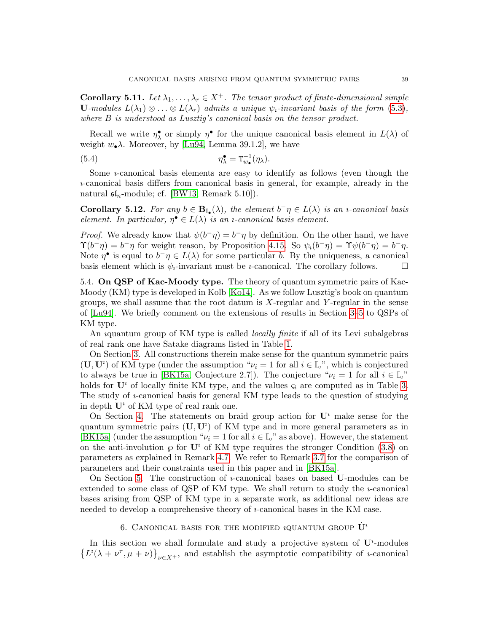<span id="page-38-2"></span>Corollary 5.11. Let  $\lambda_1, \ldots, \lambda_r \in X^+$ . The tensor product of finite-dimensional simple U-modules  $L(\lambda_1) \otimes \ldots \otimes L(\lambda_r)$  admits a unique  $\psi_i$ -invariant basis of the form [\(5.3\)](#page-37-2), where B is understood as Lusztig's canonical basis on the tensor product.

Recall we write  $\eta^{\bullet}$  or simply  $\eta^{\bullet}$  for the unique canonical basis element in  $L(\lambda)$  of weight  $w_{\bullet} \lambda$ . Moreover, by [\[Lu94,](#page-60-4) Lemma 39.1.2], we have

<span id="page-38-3"></span>(5.4) 
$$
\eta_{\lambda}^{\bullet} = \mathbf{T}_{w_{\bullet}}^{-1}(\eta_{\lambda}).
$$

Some  $\nu$ -canonical basis elements are easy to identify as follows (even though the ı-canonical basis differs from canonical basis in general, for example, already in the natural  $\mathfrak{sl}_n$ -module; cf. [\[BW13,](#page-59-4) Remark 5.10]).

**Corollary 5.12.** For any  $b \in \mathbf{B}_{\mathbb{I}_{\bullet}}(\lambda)$ , the element  $b^{-}\eta \in L(\lambda)$  is an *u*-canonical basis element. In particular,  $\eta^{\bullet} \in L(\lambda)$  is an *u*-canonical basis element.

*Proof.* We already know that  $\psi(b^-\eta) = b^-\eta$  by definition. On the other hand, we have  $\Upsilon(b^-\eta) = b^-\eta$  for weight reason, by Proposition [4.15.](#page-30-1) So  $\psi_i(b^-\eta) = \Upsilon \psi(b^-\eta) = b^-\eta$ . Note  $\eta^{\bullet}$  is equal to  $b^{-}\eta \in L(\lambda)$  for some particular b. By the uniqueness, a canonical basis element which is  $\psi_i$ -invariant must be *i*-canonical. The corollary follows.

<span id="page-38-0"></span>5.4. On QSP of Kac-Moody type. The theory of quantum symmetric pairs of Kac-Moody (KM) type is developed in Kolb [\[Ko14\]](#page-60-8). As we follow Lusztig's book on quantum groups, we shall assume that the root datum is  $X$ -regular and  $Y$ -regular in the sense of [\[Lu94\]](#page-60-4). We briefly comment on the extensions of results in Section [3–](#page-15-0)[5](#page-34-0) to QSPs of KM type.

An *i*quantum group of KM type is called *locally finite* if all of its Levi subalgebras of real rank one have Satake diagrams listed in Table [1.](#page-17-2)

On Section [3.](#page-15-0) All constructions therein make sense for the quantum symmetric pairs  $(\mathbf{U}, \mathbf{U}^i)$  of KM type (under the assumption " $\nu_i = 1$  for all  $i \in \mathbb{I}_o$ ", which is conjectured to always be true in [\[BK15a,](#page-59-10) Conjecture 2.7]). The conjecture " $\nu_i = 1$  for all  $i \in \mathbb{I}^\circ$ " holds for  $\mathbf{U}^i$  of locally finite KM type, and the values  $\varsigma_i$  are computed as in Table [3.](#page-19-2) The study of  $i$ -canonical basis for general KM type leads to the question of studying in depth  $\mathbf{U}^i$  of KM type of real rank one.

On Section [4.](#page-24-0) The statements on braid group action for  $\mathbf{U}^i$  make sense for the quantum symmetric pairs  $(U, U^i)$  of KM type and in more general parameters as in [\[BK15a\]](#page-59-10) (under the assumption " $\nu_i = 1$  for all  $i \in \mathbb{I}^\circ$ " as above). However, the statement on the anti-involution  $\wp$  for  $\mathbf{U}^i$  of KM type requires the stronger Condition [\(3.8\)](#page-18-1) on parameters as explained in Remark [4.7.](#page-28-1) We refer to Remark [3.7](#page-18-4) for the comparison of parameters and their constraints used in this paper and in [\[BK15a\]](#page-59-10).

On Section [5.](#page-34-0) The construction of  $\nu$ -canonical bases on based U-modules can be extended to some class of QSP of KM type. We shall return to study the *i*-canonical bases arising from QSP of KM type in a separate work, as additional new ideas are needed to develop a comprehensive theory of *u*-canonical bases in the KM case.

# 6. CANONICAL BASIS FOR THE MODIFIED *i*QUANTUM GROUP  $\dot{\mathbf{U}}^i$

<span id="page-38-1"></span>In this section we shall formulate and study a projective system of  $U^i$ -modules  $\{L^i(\lambda + \nu^{\tau}, \mu + \nu)\}_{\nu \in X^+}$ , and establish the asymptotic compatibility of *u*-canonical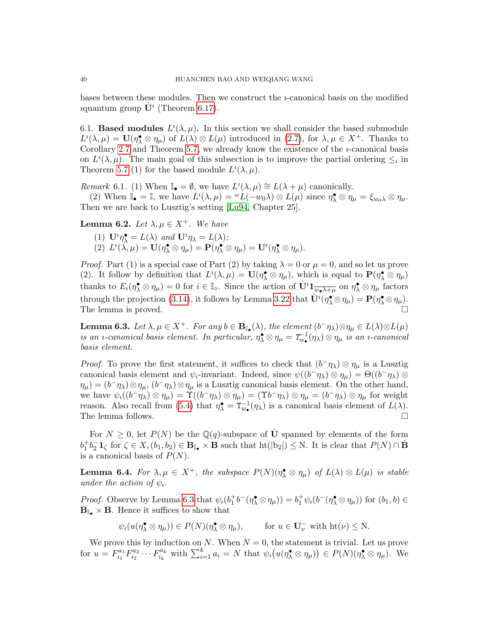bases between these modules. Then we construct the ı-canonical basis on the modified *i*quantum group  $\dot{\mathbf{U}}^i$  (Theorem [6.17\)](#page-46-1).

<span id="page-39-0"></span>6.1. Based modules  $L^i(\lambda,\mu)$ . In this section we shall consider the based submodule  $L^i(\lambda,\mu) = \mathbf{U}(\eta_\lambda^{\bullet} \otimes \eta_\mu)$  of  $L(\lambda) \otimes L(\mu)$  introduced in [\(2.7\)](#page-13-1), for  $\lambda, \mu \in X^+$ . Thanks to Corollary [2.7](#page-13-2) and Theorem [5.7,](#page-37-0) we already know the existence of the  $i$ -canonical basis on  $L^i(\lambda, \mu)$ . The main goal of this subsection is to improve the partial ordering  $\leq_i$  in Theorem [5.7](#page-37-0) (1) for the based module  $L^i(\lambda, \mu)$ .

Remark 6.1. (1) When  $\mathbb{I}_{\bullet} = \emptyset$ , we have  $L^i(\lambda, \mu) \cong L(\lambda + \mu)$  canonically.

(2) When  $\mathbb{I}_{\bullet} = \mathbb{I}$ , we have  $L^i(\lambda, \mu) = {}^{\omega}L(-w_0\lambda) \otimes L(\mu)$  since  $\eta_{\lambda}^{\bullet} \otimes \eta_{\mu} = \xi_{w_0\lambda} \otimes \eta_{\mu}$ . Then we are back to Lusztig's setting [\[Lu94,](#page-60-4) Chapter 25].

<span id="page-39-1"></span>**Lemma 6.2.** Let  $\lambda, \mu \in X^+$ . We have

- (1)  $\mathbf{U}^i \eta_\lambda^\bullet = L(\lambda)$  and  $\mathbf{U}^i \eta_\lambda = L(\lambda)$ ;
- (2)  $L^i(\hat{\lambda}, \mu) = \mathbf{U}(\eta_{\lambda} \otimes \eta_{\mu}) = \mathbf{P}(\eta_{\lambda} \otimes \eta_{\mu}) = \mathbf{U}^i(\eta_{\lambda} \otimes \eta_{\mu}).$

*Proof.* Part (1) is a special case of Part (2) by taking  $\lambda = 0$  or  $\mu = 0$ , and so let us prove (2). It follow by definition that  $L^i(\lambda,\mu) = \mathbf{U}(\eta^{\bullet}_{\lambda} \otimes \eta_{\mu})$ , which is equal to  $\mathbf{P}(\eta^{\bullet}_{\lambda} \otimes \eta_{\mu})$ thanks to  $E_i(\eta_\lambda^{\bullet} \otimes \eta_\mu) = 0$  for  $i \in \mathbb{I}_0$ . Since the action of  $\dot{\mathbf{U}}^i \mathbf{1}_{\overline{w_{\bullet} \lambda + \mu}}$  on  $\eta_\lambda^{\bullet} \otimes \eta_\mu$  factors through the projection [\(3.14\)](#page-23-4), it follows by Lemma [3.22](#page-23-5) that  $\dot{\mathbf{U}}^i(\eta^{\bullet}_{\lambda} \otimes \eta_{\mu}) = \mathbf{P}(\eta^{\bullet}_{\lambda} \otimes \eta_{\mu}).$ The lemma is proved.  $\Box$ 

<span id="page-39-2"></span>**Lemma 6.3.** Let  $\lambda, \mu \in X^+$ . For any  $b \in \mathbf{B}_{\mathbb{I}_{\bullet}}(\lambda)$ , the element  $(b^-\eta_{\lambda}) \otimes \eta_{\mu} \in L(\lambda) \otimes L(\mu)$ is an *i*-canonical basis element. In particular,  $\eta_\lambda^{\bullet} \otimes \eta_\mu = T_{w_\bullet}^{-1}(\eta_\lambda) \otimes \eta_\mu$  is an *i*-canonical basis element.

*Proof.* To prove the first statement, it suffices to check that  $(b^-\eta_\lambda) \otimes \eta_\mu$  is a Lusztig canonical basis element and  $\psi_i$ -invariant. Indeed, since  $\psi((b^-\eta_\lambda) \otimes \eta_\mu) = \Theta((b^-\eta_\lambda) \otimes$  $\eta_{\mu}$  =  $(b^-\eta_{\lambda}) \otimes \eta_{\mu}$ ,  $(b^-\eta_{\lambda}) \otimes \eta_{\mu}$  is a Lusztig canonical basis element. On the other hand, we have  $\psi_i((b^{\dagger} \eta_\lambda) \otimes \eta_\mu) = \Upsilon((b^{\dagger} \eta_\lambda) \otimes \eta_\mu) = (\Upsilon b^{\dagger} \eta_\lambda) \otimes \eta_\mu = (b^{\dagger} \eta_\lambda) \otimes \eta_\mu$  for weight reason. Also recall from [\(5.4\)](#page-38-3) that  $\eta_{\lambda}^{\bullet} = \mathsf{T}_{w_{\bullet}}^{-1}(\eta_{\lambda})$  is a canonical basis element of  $L(\lambda)$ . The lemma follows.  $\Box$ 

For  $N \geq 0$ , let  $P(N)$  be the Q(q)-subspace of **U** spanned by elements of the form  $b_1^+b_2^-1\mathbf{1}_{\zeta}$  for  $\zeta \in X$ ,  $(b_1, b_2) \in \mathbf{B}_{\mathbb{I}_{\bullet}} \times \mathbf{B}$  such that  $\mathrm{ht}(|b_2|) \leq N$ . It is clear that  $P(N) \cap \dot{\mathbf{B}}$ is a canonical basis of  $P(N)$ .

<span id="page-39-3"></span>**Lemma 6.4.** For  $\lambda, \mu \in X^+$ , the subspace  $P(N)(\eta^{\bullet}_\lambda \otimes \eta_{\mu})$  of  $L(\lambda) \otimes L(\mu)$  is stable under the action of  $\psi_i$ .

*Proof.* Observe by Lemma [6.3](#page-39-2) that  $\psi_i(b_1^+b^-(\eta_\lambda^{\bullet}\otimes\eta_\mu))=b_1^+\psi_i(b^-(\eta_\lambda^{\bullet}\otimes\eta_\mu))$  for  $(b_1,b)\in$  $\mathbf{B}_{\mathbb{I}_{\bullet}} \times \mathbf{B}$ . Hence it suffices to show that

$$
\psi_i(u(\eta_{\lambda}^{\bullet} \otimes \eta_{\mu})) \in P(N)(\eta_{\lambda}^{\bullet} \otimes \eta_{\mu}), \quad \text{for } u \in U_{\nu}^- \text{ with } \mathrm{ht}(\nu) \leq N.
$$

We prove this by induction on N. When  $N = 0$ , the statement is trivial. Let us prove for  $u = F_{i_1}^{a_1}$  $i_1^{a_1}F_{i_2}^{a_2}$  $i_2^{a_2} \cdots F_{i_k}^{a_k}$  $\sum_{i=1}^{n_k} u_i = N$  that  $\psi_i(u(\eta_\lambda^{\bullet} \otimes \eta_\mu)) \in P(N)(\eta_\lambda^{\bullet} \otimes \eta_\mu)$ . We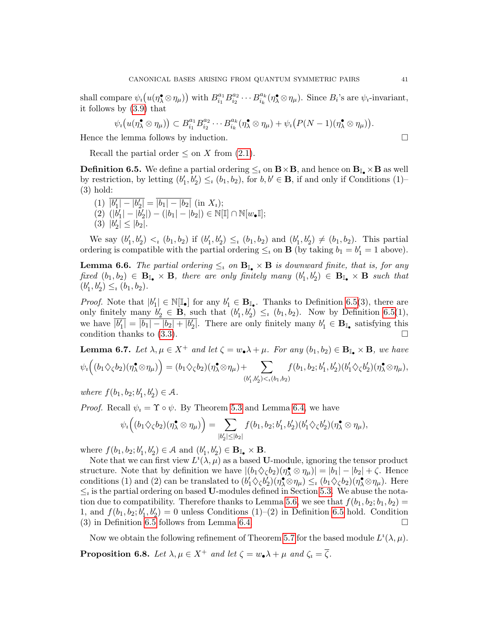shall compare  $\psi_i(u(\eta^{\bullet}_\lambda \otimes \eta_\mu))$  with  $B^{a_1}_{i_1}$  $a_1^{a_1}B_{i_2}^{a_2}$  $a_2^{a_2} \cdots B_{i_k}^{a_k}$  $\theta_{i_k}^{a_k}(\eta_\lambda^{\bullet} \otimes \eta_\mu)$ . Since  $B_i$ 's are  $\psi_i$ -invariant, it follows by [\(3.9\)](#page-18-5) that

$$
\psi_i\big(u(\eta_\lambda^\bullet\otimes\eta_\mu)\big)\subset B_{i_1}^{a_1}B_{i_2}^{a_2}\cdots B_{i_k}^{a_k}(\eta_\lambda^\bullet\otimes\eta_\mu)+\psi_i\big(P(N-1)(\eta_\lambda^\bullet\otimes\eta_\mu)\big).
$$

Hence the lemma follows by induction.

Recall the partial order  $\leq$  on X from [\(2.1\)](#page-8-3).

<span id="page-40-0"></span>**Definition 6.5.** We define a partial ordering  $\leq_i$  on  $\mathbf{B} \times \mathbf{B}$ , and hence on  $\mathbf{B}_{\mathbb{I}_{\bullet}} \times \mathbf{B}$  as well by restriction, by letting  $(b'_1, b'_2) \leq_i (b_1, b_2)$ , for  $b, b' \in \mathbf{B}$ , if and only if Conditions (1)– (3) hold:

$$
(1) \ \overline{|b'_1| - |b'_2|} = \overline{|b_1| - |b_2|} \ \text{(in } X_i);
$$
  
\n
$$
(2) \ (|b'_1| - |b'_2|) - (|b_1| - |b_2|) \in \mathbb{N}[\mathbb{I}] \cap \mathbb{N}[w_{\bullet}\mathbb{I}];
$$
  
\n
$$
(3) \ |b'_2| \leq |b_2|.
$$

We say  $(b'_1, b'_2) <_i (b_1, b_2)$  if  $(b'_1, b'_2) \le_i (b_1, b_2)$  and  $(b'_1, b'_2) \neq (b_1, b_2)$ . This partial ordering is compatible with the partial ordering  $\leq_i$  on **B** (by taking  $b_1 = b'_1 = 1$  above).

<span id="page-40-2"></span>**Lemma 6.6.** The partial ordering  $\leq_i$  on  $\mathbf{B}_{\mathbb{I}_{\bullet}} \times \mathbf{B}$  is downward finite, that is, for any fixed  $(b_1, b_2) \in \mathbf{B}_{\mathbb{I}_{\bullet}} \times \mathbf{B}$ , there are only finitely many  $(b'_1, b'_2) \in \mathbf{B}_{\mathbb{I}_{\bullet}} \times \mathbf{B}$  such that  $(b'_1, b'_2) \leq_b (b_1, b_2).$ 

*Proof.* Note that  $|b'_1| \in \mathbb{N}[\mathbb{I}_{\bullet}]$  for any  $b'_1 \in \mathbf{B}_{\mathbb{I}_{\bullet}}$ . Thanks to Definition [6.5\(](#page-40-0)3), there are only finitely many  $b'_2 \in \mathbf{B}$ , such that  $(b'_1, b'_2) \leq_i (b_1, b_2)$ . Now by Definition [6.5\(](#page-40-0)1), we have  $\overline{|b'_1|} = \overline{|b_1| - |b_2| + |b'_2|}$ . There are only finitely many  $b'_1 \in \mathbf{B}_{\mathbb{I}_{\bullet}}$  satisfying this condition thanks to  $(3.3)$ .

**Lemma 6.7.** Let  $\lambda, \mu \in X^+$  and let  $\zeta = w_\bullet \lambda + \mu$ . For any  $(b_1, b_2) \in \mathbf{B}_{\mathbb{I}_\bullet} \times \mathbf{B}$ , we have  $\psi_{\imath}\Big( (b_1 \diamondsuit_{\zeta} b_2)(\eta_{\lambda}^{\bullet} \otimes \eta_{\mu}) \Big) = (b_1 \diamondsuit_{\zeta} b_2)(\eta_{\lambda}^{\bullet} \otimes \eta_{\mu}) + \quad \sum \limits_{\square}$  $(b_1^{\prime},b_2^{\prime}) {<}_\imath (b_1,b_2)$  $f(b_1, b_2; b'_1, b'_2)(b'_1 \diamondsuit_{\zeta} b'_2)(\eta_{\lambda}^{\bullet} \otimes \eta_{\mu}),$ 

where  $f(b_1, b_2; b'_1, b'_2) \in A$ .

*Proof.* Recall  $\psi_i = \Upsilon \circ \psi$ . By Theorem [5.3](#page-35-2) and Lemma [6.4,](#page-39-3) we have

$$
\psi_i\Big((b_1\diamondsuit_\zeta b_2)(\eta_\lambda^\bullet\otimes\eta_\mu)\Big)=\sum_{|b_2'|\leq|b_2|}f(b_1,b_2;b_1',b_2')(b_1'\diamondsuit_\zeta b_2')(\eta_\lambda^\bullet\otimes\eta_\mu),
$$

where  $f(b_1, b_2; b'_1, b'_2) \in \mathcal{A}$  and  $(b'_1, b'_2) \in \mathbf{B}_{\mathbb{I}_{\bullet}} \times \mathbf{B}$ .

Note that we can first view  $L^i(\lambda, \mu)$  as a based U-module, ignoring the tensor product structure. Note that by definition we have  $|(b_1 \diamondsuit_{\zeta} b_2)(\eta_{\lambda} \otimes \eta_{\mu})| = |b_1| - |b_2| + \zeta$ . Hence conditions (1) and (2) can be translated to  $(b'_1 \diamondsuit_{\zeta} b'_2)(\eta_{\lambda}^{\bullet} \otimes \eta_{\mu}) \leq_i (b_1 \diamondsuit_{\zeta} b_2)(\eta_{\lambda}^{\bullet} \otimes \eta_{\mu})$ . Here  $\leq_i$  is the partial ordering on based U-modules defined in Section [5.3.](#page-36-0) We abuse the nota-tion due to compatibility. Therefore thanks to Lemma [5.6,](#page-37-1) we see that  $f(b_1, b_2; b_1, b_2) =$ 1, and  $f(b_1, b_2; b'_1, b'_2) = 0$  unless Conditions (1)–(2) in Definition [6.5](#page-40-0) hold. Condition (3) in Definition [6.5](#page-40-0) follows from Lemma [6.4.](#page-39-3)  $\Box$ 

Now we obtain the following refinement of Theorem [5.7](#page-37-0) for the based module  $L^i(\lambda, \mu)$ .

<span id="page-40-1"></span>**Proposition 6.8.** Let  $\lambda, \mu \in X^+$  and let  $\zeta = w_{\bullet} \lambda + \mu$  and  $\zeta_i = \overline{\zeta}$ .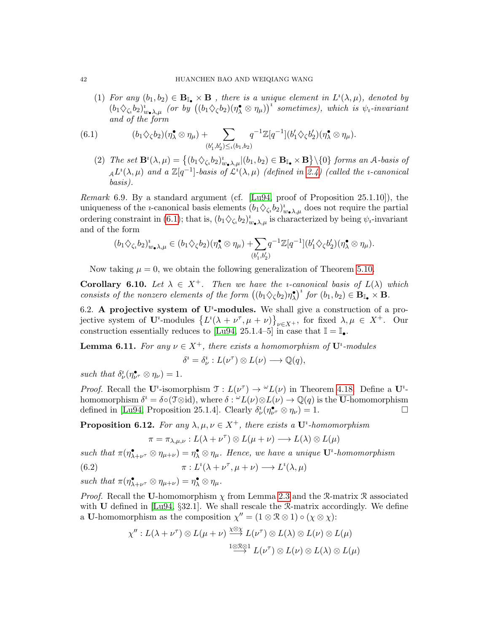(1) For any  $(b_1, b_2) \in \mathbf{B}_{\mathbb{I}_{\bullet}} \times \mathbf{B}$ , there is a unique element in  $L^i(\lambda, \mu)$ , denoted by  $(b_1\Diamond_{\zeta_1} b_2)_{w_\bullet\lambda,\mu}^i$  (or by  $((b_1\Diamond_{\zeta} b_2)(\eta_\lambda^{\bullet}\otimes\eta_\mu))^i$  sometimes), which is  $\psi_i$ -invariant and of the form

(6.1) 
$$
(b_1 \diamondsuit_{\zeta} b_2)(\eta_\lambda^{\bullet} \otimes \eta_\mu) + \sum_{(b'_1, b'_2) \leq \iota(b_1, b_2)} q^{-1} \mathbb{Z}[q^{-1}](b'_1 \diamondsuit_{\zeta} b'_2)(\eta_\lambda^{\bullet} \otimes \eta_\mu).
$$

<span id="page-41-2"></span>(2) The set  $\mathbf{B}^i(\lambda,\mu) = \{(b_1 \diamondsuit_{\zeta_i} b_2)_{w_\bullet\lambda,\mu}^i | (b_1, b_2) \in \mathbf{B}_{\mathbb{I}_{\bullet}} \times \mathbf{B}\} \setminus \{0\}$  forms an A-basis of  $_{\mathcal{A}}L^i(\lambda,\mu)$  and a  $\mathbb{Z}[q^{-1}]$ -basis of  $\mathcal{L}^i(\lambda,\mu)$  (defined in [2.4\)](#page-12-0) (called the *i*-canonical basis).

<span id="page-41-4"></span>Remark 6.9. By a standard argument (cf. [\[Lu94,](#page-60-4) proof of Proposition 25.1.10]), the uniqueness of the *i*-canonical basis elements  $(b_1 \diamondsuit_{\zeta_i} b_2)_{w_\bullet \lambda,\mu}^i$  does not require the partial ordering constraint in [\(6.1\)](#page-41-2); that is,  $(b_1 \diamondsuit_{\zeta_i} b_2)_{w_\bullet\lambda,\mu}^i$  is characterized by being  $\psi_i$ -invariant and of the form

$$
(b_1 \diamondsuit_{\zeta_i} b_2)^i_{w_\bullet \lambda, \mu} \in (b_1 \diamondsuit_{\zeta} b_2)(\eta_\lambda^\bullet \otimes \eta_\mu) + \sum_{(b'_1, b'_2)} q^{-1} \mathbb{Z}[q^{-1}](b'_1 \diamondsuit_{\zeta} b'_2)(\eta_\lambda^\bullet \otimes \eta_\mu).
$$

Now taking  $\mu = 0$ , we obtain the following generalization of Theorem [5.10.](#page-0-0)

**Corollary 6.10.** Let  $\lambda \in X^+$ . Then we have the *i*-canonical basis of  $L(\lambda)$  which consists of the nonzero elements of the form  $((b_1 \diamondsuit_{\zeta} b_2)\eta_{\lambda}^{\bullet})^i$  for  $(b_1, b_2) \in \mathbf{B}_{\mathbb{I}_{\bullet}} \times \mathbf{B}$ .

<span id="page-41-0"></span>6.2. A projective system of  $\mathbf{U}^i$ -modules. We shall give a construction of a projective system of  $\mathbf{U}^i$ -modules  $\{L^i(\lambda + \nu^{\tau}, \mu + \nu)\}_{\nu \in X^+}$ , for fixed  $\lambda, \mu \in X^+$ . Our construction essentially reduces to [\[Lu94,](#page-60-4) 25.1.4–5] in case that  $\mathbb{I} = \mathbb{I}_{\bullet}$ .

**Lemma 6.11.** For any  $\nu \in X^+$ , there exists a homomorphism of  $\mathbf{U}^i$ -modules

$$
\delta^i = \delta^i_{\nu} : L(\nu^{\tau}) \otimes L(\nu) \longrightarrow \mathbb{Q}(q),
$$

such that  $\delta^i_\nu(\eta^\bullet_{\nu^\tau} \otimes \eta_\nu) = 1$ .

*Proof.* Recall the U<sup>t</sup>-isomorphism  $\mathfrak{T}: L(\nu^{\tau}) \to {}^{\omega}L(\nu)$  in Theorem [4.18.](#page-32-2) Define a U<sup>t</sup>homomorphism  $\delta^i = \delta \circ (\mathfrak{T} \otimes id)$ , where  $\delta : \omega' L(\nu) \otimes L(\nu) \to \mathbb{Q}(q)$  is the U-homomorphism defined in [\[Lu94,](#page-60-4) Proposition 25.1.4]. Clearly  $\delta^i_{\nu}(\eta^{\bullet}_{\nu^{\tau}} \otimes \eta_{\nu}) = 1$ .

<span id="page-41-1"></span>**Proposition 6.12.** For any  $\lambda, \mu, \nu \in X^+$ , there exists a  $\mathbf{U}^i$ -homomorphism

<span id="page-41-3"></span>
$$
\pi = \pi_{\lambda,\mu,\nu}: L(\lambda + \nu^{\tau}) \otimes L(\mu + \nu) \longrightarrow L(\lambda) \otimes L(\mu)
$$

such that  $\pi(\eta^{\bullet}_{\lambda+\nu^{\tau}}\otimes\eta_{\mu+\nu})=\eta^{\bullet}_{\lambda}\otimes\eta_{\mu}$ . Hence, we have a unique  $\mathbf{U}^i$ -homomorphism

(6.2) 
$$
\pi: L^{i}(\lambda + \nu^{\tau}, \mu + \nu) \longrightarrow L^{i}(\lambda, \mu)
$$

such that  $\pi(\eta^{\bullet}_{\lambda+\nu^{\tau}}\otimes \eta_{\mu+\nu})=\eta^{\bullet}_{\lambda}\otimes \eta_{\mu}$ .

*Proof.* Recall the U-homomorphism  $\chi$  from Lemma [2.3](#page-12-4) and the R-matrix R associated with  $U$  defined in [\[Lu94,](#page-60-4) §32.1]. We shall rescale the  $\mathcal{R}$ -matrix accordingly. We define a U-homomorphism as the composition  $\chi'' = (1 \otimes \mathbb{R} \otimes 1) \circ (\chi \otimes \chi)$ :

$$
\chi'' : L(\lambda + \nu^{\tau}) \otimes L(\mu + \nu) \stackrel{\chi \otimes \chi}{\longrightarrow} L(\nu^{\tau}) \otimes L(\lambda) \otimes L(\nu) \otimes L(\mu)
$$
  

$$
\stackrel{1 \otimes \mathbb{R} \otimes 1}{\longrightarrow} L(\nu^{\tau}) \otimes L(\nu) \otimes L(\lambda) \otimes L(\mu)
$$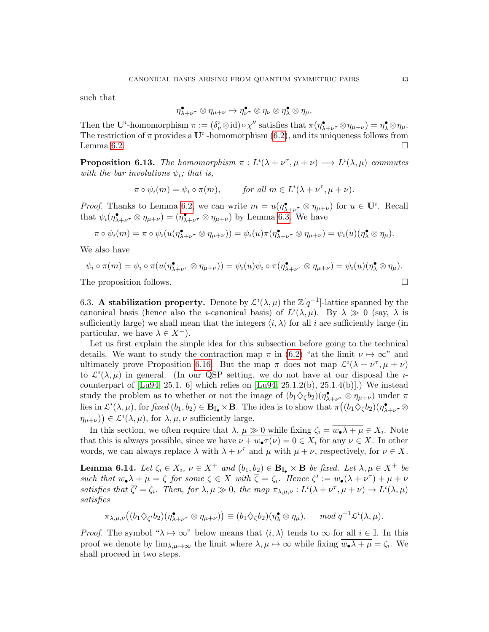such that

$$
\eta_{\lambda+\nu^\tau}^\bullet\otimes\eta_{\mu+\nu}\mapsto\eta_{\nu^\tau}^\bullet\otimes\eta_\nu\otimes\eta_\lambda^\bullet\otimes\eta_\mu.
$$

Then the U<sup>*i*</sup>-homomorphism  $\pi := (\delta^i_{\nu} \otimes id) \circ \chi''$  satisfies that  $\pi(\eta^{\bullet}_{\lambda+\nu^{\tau}} \otimes \eta_{\mu+\nu}) = \eta^{\bullet}_{\lambda} \otimes \eta_{\mu}$ . The restriction of  $\pi$  provides a  $\mathbf{U}^i$ -homomorphism [\(6.2\)](#page-41-3), and its uniqueness follows from Lemma [6.2.](#page-39-1)

<span id="page-42-2"></span>**Proposition 6.13.** The homomorphism  $\pi : L^{i}(\lambda + \nu^{\tau}, \mu + \nu) \longrightarrow L^{i}(\lambda, \mu)$  commutes with the bar involutions  $\psi_i$ ; that is,

$$
\pi \circ \psi_i(m) = \psi_i \circ \pi(m), \qquad \text{for all } m \in L^i(\lambda + \nu^\tau, \mu + \nu).
$$

*Proof.* Thanks to Lemma [6.2,](#page-39-1) we can write  $m = u(\eta_{\lambda+\nu^{\tau}}^{\bullet} \otimes \eta_{\mu+\nu})$  for  $u \in \mathbf{U}^i$ . Recall that  $\psi_i(\eta_{\lambda+\nu}^{\bullet} \otimes \eta_{\mu+\nu}) = (\eta_{\lambda+\nu}^{\bullet} \otimes \eta_{\mu+\nu})$  by Lemma [6.3.](#page-39-2) We have

$$
\pi \circ \psi_i(m) = \pi \circ \psi_i(u(\eta_{\lambda+\nu}^{\bullet} \otimes \eta_{\mu+\nu})) = \psi_i(u)\pi(\eta_{\lambda+\nu}^{\bullet} \otimes \eta_{\mu+\nu}) = \psi_i(u)(\eta_{\lambda}^{\bullet} \otimes \eta_{\mu}).
$$

We also have

$$
\psi_i \circ \pi(m) = \psi_i \circ \pi(u(\eta_{\lambda+\nu}^{\bullet} \otimes \eta_{\mu+\nu})) = \psi_i(u)\psi_i \circ \pi(\eta_{\lambda+\nu}^{\bullet} \otimes \eta_{\mu+\nu}) = \psi_i(u)(\eta_{\lambda}^{\bullet} \otimes \eta_{\mu}).
$$
  
The proposition follows.

<span id="page-42-0"></span>6.3. A stabilization property. Denote by  $\mathcal{L}^i(\lambda,\mu)$  the  $\mathbb{Z}[q^{-1}]$ -lattice spanned by the canonical basis (hence also the *i*-canonical basis) of  $L^i(\lambda,\mu)$ . By  $\lambda \gg 0$  (say,  $\lambda$  is sufficiently large) we shall mean that the integers  $\langle i, \lambda \rangle$  for all i are sufficiently large (in particular, we have  $\lambda \in X^+$ ).

Let us first explain the simple idea for this subsection before going to the technical details. We want to study the contraction map  $\pi$  in [\(6.2\)](#page-41-3) "at the limit  $\nu \mapsto \infty$ " and ultimately prove Proposition [6.16.](#page-45-0) But the map  $\pi$  does not map  $\mathcal{L}^i(\lambda + \nu^{\tau}, \mu + \nu)$ to  $\mathcal{L}^i(\lambda,\mu)$  in general. (In our QSP setting, we do not have at our disposal the *i*counterpart of  $[Lu94, 25.1. 6]$  $[Lu94, 25.1. 6]$  which relies on  $[Lu94, 25.1.2(b), 25.1.4(b)]$ .) We instead study the problem as to whether or not the image of  $(b_1 \diamondsuit_{\zeta} b_2)(\eta^{\bullet}_{\lambda+\nu^{\tau}} \otimes \eta_{\mu+\nu})$  under  $\pi$ lies in  $\mathcal{L}^i(\lambda,\mu)$ , for fixed  $(b_1,b_2) \in \mathbf{B}_{\mathbb{I}_{\bullet}} \times \mathbf{B}$ . The idea is to show that  $\pi((b_1 \diamondsuit_{\zeta} b_2)(\eta^{\bullet}_{\lambda+\nu^{\tau}} \otimes$  $(\eta_{\mu+\nu})\in\mathcal{L}^i(\lambda,\mu)$ , for  $\lambda,\mu,\nu$  sufficiently large.

In this section, we often require that  $\lambda, \mu \gg 0$  while fixing  $\zeta_i = w_{\bullet} \lambda + \mu \in X_i$ . Note that this is always possible, since we have  $\overline{\nu + w_{\bullet} \tau(\nu)} = 0 \in X_i$  for any  $\nu \in X$ . In other words, we can always replace  $\lambda$  with  $\lambda + \nu^{\tau}$  and  $\mu$  with  $\mu + \nu$ , respectively, for  $\nu \in X$ .

<span id="page-42-1"></span>**Lemma 6.14.** Let  $\zeta_i \in X_i$ ,  $\nu \in X^+$  and  $(b_1, b_2) \in \mathbf{B}_{\mathbb{I}_{\bullet}} \times \mathbf{B}$  be fixed. Let  $\lambda, \mu \in X^+$  be such that  $w_{\bullet} \lambda + \mu = \zeta$  for some  $\zeta \in X$  with  $\overline{\zeta} = \zeta_i$ . Hence  $\zeta' := w_{\bullet}(\lambda + \nu^{\tau}) + \mu + \nu$ satisfies that  $\overline{\zeta'} = \zeta_i$ . Then, for  $\lambda, \mu \gg 0$ , the map  $\pi_{\lambda,\mu,\nu}: L^i(\lambda + \nu^{\tau}, \mu + \nu) \to L^i(\lambda, \mu)$ satisfies

$$
\pi_{\lambda,\mu,\nu} \big( (b_1 \diamondsuit_{\zeta'} b_2 ) (\eta^\bullet_{\lambda+\nu^\tau} \otimes \eta_{\mu+\nu} ) \big) \equiv (b_1 \diamondsuit_{\zeta} b_2 ) (\eta^\bullet_{\lambda} \otimes \eta_{\mu} ), \quad \mod q^{-1} \mathcal{L}^i(\lambda,\mu).
$$

*Proof.* The symbol " $\lambda \mapsto \infty$ " below means that  $\langle i, \lambda \rangle$  tends to  $\infty$  for all  $i \in \mathbb{I}$ . In this proof we denote by  $\lim_{\lambda,\mu\to\infty}$  the limit where  $\lambda,\mu\to\infty$  while fixing  $w_{\bullet}\lambda+\mu=\zeta_i$ . We shall proceed in two steps.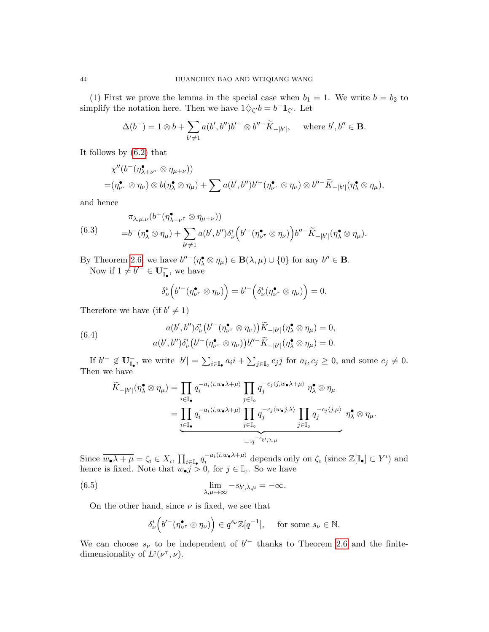(1) First we prove the lemma in the special case when  $b_1 = 1$ . We write  $b = b_2$  to simplify the notation here. Then we have  $1 \diamondsuit_{\zeta'} b = b^{-} \mathbf{1}_{\zeta'}$ . Let

$$
\Delta(b^-) = 1 \otimes b + \sum_{b' \neq 1} a(b', b'')b'^- \otimes b''^-\widetilde{K}_{-|b'|}, \quad \text{where } b', b'' \in \mathbf{B}.
$$

It follows by [\(6.2\)](#page-41-3) that

$$
\chi''(b^-(\eta_{\lambda+\nu^{\tau}}^{\bullet}\otimes\eta_{\mu+\nu}))
$$
  
= $(\eta_{\nu^{\tau}}^{\bullet}\otimes\eta_{\nu})\otimes b(\eta_{\lambda}^{\bullet}\otimes\eta_{\mu})+\sum a(b',b'')b'^-(\eta_{\nu^{\tau}}^{\bullet}\otimes\eta_{\nu})\otimes b''^{-}\widetilde{K}_{-|b'|}(\eta_{\lambda}^{\bullet}\otimes\eta_{\mu}),$ 

and hence

<span id="page-43-2"></span>(6.3) 
$$
\pi_{\lambda,\mu,\nu}(b^-(\eta_{\lambda+\nu^\tau}^{\bullet}\otimes\eta_{\mu+\nu}))
$$

$$
=b^-(\eta_{\lambda}^{\bullet}\otimes\eta_{\mu})+\sum_{b'\neq 1}a(b',b'')\delta_{\nu}^{\iota}\left(b'^-(\eta_{\nu^\tau}^{\bullet}\otimes\eta_{\nu})\right)b''^-\widetilde{K}_{-|b'|}(\eta_{\lambda}^{\bullet}\otimes\eta_{\mu}).
$$

By Theorem [2.6,](#page-12-1) we have  $b''^-(\eta^{\bullet}_\lambda \otimes \eta_\mu) \in \mathbf{B}(\lambda, \mu) \cup \{0\}$  for any  $b'' \in \mathbf{B}$ .

Now if  $1 \neq b'^- \in \mathbf{U}^-_{\mathbb{I}_{\bullet}},$  we have

$$
\delta^i_{\nu}\Big(b'^-(\eta^\bullet_{\nu^\tau}\otimes\eta_{\nu})\Big)=b'^-\Big(\delta^i_{\nu}(\eta^\bullet_{\nu^\tau}\otimes\eta_{\nu})\Big)=0.
$$

Therefore we have (if  $b' \neq 1$ )

<span id="page-43-0"></span>(6.4) 
$$
a(b',b'')\delta^i_{\nu}(b'-(\eta^{\bullet}_{\nu^{\tau}}\otimes\eta_{\nu}))\widetilde{K}_{-|b'|}(\eta^{\bullet}_{\lambda}\otimes\eta_{\mu})=0, a(b',b'')\delta^i_{\nu}(b'-(\eta^{\bullet}_{\nu^{\tau}}\otimes\eta_{\nu}))b''-\widetilde{K}_{-|b'|}(\eta^{\bullet}_{\lambda}\otimes\eta_{\mu})=0.
$$

If  $b'^- \notin \mathbf{U}^-_{\mathbb{I}_{\bullet}}$ , we write  $|b'| = \sum_{i \in \mathbb{I}_{\bullet}} a_i i + \sum_{j \in \mathbb{I}_{\circ}} c_j j$  for  $a_i, c_j \geq 0$ , and some  $c_j \neq 0$ . Then we have

$$
\widetilde{K}_{-|b'|}(\eta^{\bullet}_{\lambda} \otimes \eta_{\mu}) = \prod_{i \in \mathbb{I}_{\bullet}} q_i^{-a_i \langle i, w_{\bullet} \lambda + \mu \rangle} \prod_{j \in \mathbb{I}_{\circ}} q_j^{-c_j \langle j, w_{\bullet} \lambda + \mu \rangle} \eta^{\bullet}_{\lambda} \otimes \eta_{\mu}
$$
\n
$$
= \prod_{i \in \mathbb{I}_{\bullet}} q_i^{-a_i \langle i, w_{\bullet} \lambda + \mu \rangle} \prod_{j \in \mathbb{I}_{\circ}} q_j^{-c_j \langle w_{\bullet} j, \lambda \rangle} \prod_{j \in \mathbb{I}_{\circ}} q_j^{-c_j \langle j, \mu \rangle} \eta^{\bullet}_{\lambda} \otimes \eta_{\mu}.
$$

Since  $\overline{w_{\bullet}\lambda+\mu}=\zeta_i\in X_i$ ,  $\prod_{i\in\mathbb{I}_{\bullet}}q_i^{-a_i\langle i,w_{\bullet}\lambda+\mu\rangle}$  $\sum_{i}^{\{-a_i\langle i,w_\bullet\lambda+\mu\rangle\}}$  depends only on  $\zeta_i$  (since  $\mathbb{Z}[\mathbb{I}_{\bullet}]\subset Y^i$ ) and hence is fixed. Note that  $w_{\bullet} j > 0$ , for  $j \in \mathbb{I}_{\infty}$ . So we have

(6.5) 
$$
\lim_{\lambda,\mu\to\infty} -s_{b',\lambda,\mu} = -\infty.
$$

On the other hand, since  $\nu$  is fixed, we see that

<span id="page-43-1"></span>
$$
\delta^i_{\nu}\Big(b'^{-}(\eta_{\nu^{\tau}}^{\bullet}\otimes\eta_{\nu})\Big)\in q^{s_{\nu}}\mathbb{Z}[q^{-1}], \quad \text{ for some } s_{\nu}\in\mathbb{N}.
$$

We can choose  $s_{\nu}$  to be independent of  $b'^-$  thanks to Theorem [2.6](#page-12-1) and the finitedimensionality of  $L^i(\nu^\tau, \nu)$ .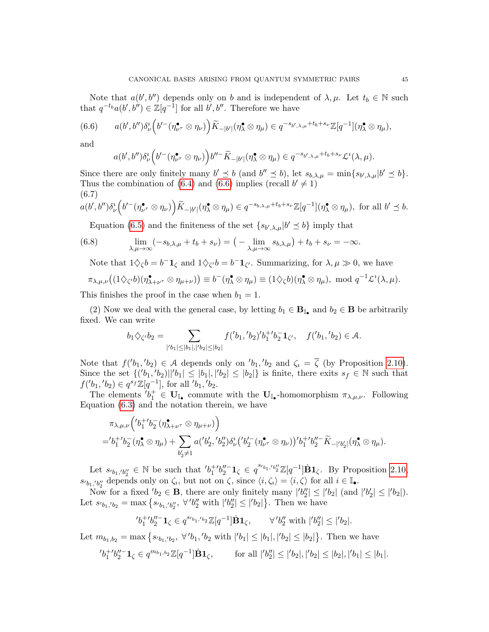Note that  $a(b', b'')$  depends only on b and is independent of  $\lambda, \mu$ . Let  $t_b \in \mathbb{N}$  such that  $q^{-t_b}a(b',b'') \in \mathbb{Z}[q^{-1}]$  for all b', b''. Therefore we have

$$
(6.6) \qquad a(b',b'')\delta^i_\nu\Big(b'^-(\eta^\bullet_{\nu^\tau}\otimes\eta_\nu)\Big)\widetilde{K}_{-|b'|}(\eta^\bullet_\lambda\otimes\eta_\mu)\in q^{-s_{b',\lambda,\mu}+t_b+s_\nu}\mathbb{Z}[q^{-1}](\eta^\bullet_\lambda\otimes\eta_\mu),
$$

and

<span id="page-44-0"></span>
$$
a(b',b'')\delta^i_{\nu}\Big(b'^-(\eta^\bullet_{\nu^\tau}\otimes\eta_{\nu})\Big)b''^{-}\widetilde{K}_{-|b'|}(\eta^\bullet_{\lambda}\otimes\eta_{\mu})\in q^{-s_{b',\lambda,\mu}+t_b+s_{\nu}}\mathcal{L}^i(\lambda,\mu).
$$

Since there are only finitely many  $b' \leq b$  (and  $b'' \leq b$ ), let  $s_{b,\lambda,\mu} = \min\{s_{b',\lambda,\mu} | b' \leq b\}.$ Thus the combination of [\(6.4\)](#page-43-0) and [\(6.6\)](#page-44-0) implies (recall  $b' \neq 1$ ) (6.7)

<span id="page-44-1"></span>
$$
a(b',b'')\delta^i_{\nu}\Big(b'^-(\eta^\bullet_{\nu^\tau}\otimes\eta_\nu)\Big)\widetilde{K}_{-|b'|}(\eta^\bullet_\lambda\otimes\eta_\mu)\in q^{-s_{b,\lambda,\mu}+t_b+s_\nu}\mathbb{Z}[q^{-1}](\eta^\bullet_\lambda\otimes\eta_\mu),\text{ for all }b'\leq b.
$$

Equation [\(6.5\)](#page-43-1) and the finiteness of the set  $\{s_{b',\lambda,\mu} | b' \leq b\}$  imply that

(6.8) 
$$
\lim_{\lambda,\mu\to\infty}(-s_{b,\lambda,\mu}+t_b+s_{\nu})=\left(-\lim_{\lambda,\mu\to\infty}s_{b,\lambda,\mu}\right)+t_b+s_{\nu}=-\infty.
$$

Note that  $1 \diamondsuit_{\zeta} b = b^{-} \mathbf{1}_{\zeta}$  and  $1 \diamondsuit_{\zeta'} b = b^{-} \mathbf{1}_{\zeta'}$ . Summarizing, for  $\lambda, \mu \gg 0$ , we have

$$
\pi_{\lambda,\mu,\nu}((1 \diamondsuit_{\zeta'} b)(\eta_{\lambda+\nu^{\tau}}^{\bullet} \otimes \eta_{\mu+\nu})) \equiv b^{-}(\eta_{\lambda}^{\bullet} \otimes \eta_{\mu}) \equiv (1 \diamondsuit_{\zeta} b)(\eta_{\lambda}^{\bullet} \otimes \eta_{\mu}), \text{ mod } q^{-1} \mathcal{L}^{i}(\lambda,\mu).
$$

This finishes the proof in the case when  $b_1 = 1$ .

(2) Now we deal with the general case, by letting  $b_1 \in \mathbf{B}_{\mathbb{I}_{\bullet}}$  and  $b_2 \in \mathbf{B}$  be arbitrarily fixed. We can write

$$
b_1 \diamondsuit_{\zeta'} b_2 = \sum_{|{}'b_1| \le |b_1|, |{}'b_2| \le |b_2|} f({}'b_1, {}'b_2) {}'b_1^{+} b_2^{-} \mathbf{1}_{\zeta'}, \quad f({}'b_1, {}'b_2) \in \mathcal{A}.
$$

Note that  $f('b_1, b_2) \in \mathcal{A}$  depends only on  $'b_1, b_2$  and  $\zeta_i = \overline{\zeta}$  (by Proposition [2.10\)](#page-14-2). Since the set  $\{(b_1, b_2) | | b_1 | \leq |b_1|, |b_2| \leq |b_2|\}$  is finite, there exits  $s_f \in \mathbb{N}$  such that  $f('b_1, b_2) \in q^{s_f} \mathbb{Z}[q^{-1}],$  for all  $'b_1, b_2$ .

The elements  $b_1^+ \in U_{\mathbb{I}_{\bullet}}$  commute with the  $U_{\mathbb{I}_{\bullet}}$ -homomorphism  $\pi_{\lambda,\mu,\nu}$ . Following Equation [\(6.3\)](#page-43-2) and the notation therein, we have

$$
\pi_{\lambda,\mu,\nu}\Big(\big'b_1^{+t}b_2^{-}(\eta_{\lambda+\nu^{\tau}}^{\bullet}\otimes\eta_{\mu+\nu})\Big) \n= 'b_1^{+t}b_2^{-}(\eta_{\lambda}^{\bullet}\otimes\eta_{\mu}) + \sum_{b_2'\neq 1} a('b_2','b_2'')\delta_{\nu}^{\iota}('b_2'^-(\eta_{\nu^{\tau}}^{\bullet}\otimes\eta_{\nu}))'b_1^{+t}b_2''^{-}\widetilde{K}_{-}|'b_2'|(\eta_{\lambda}^{\bullet}\otimes\eta_{\mu}).
$$

Let  $s_{b_1,b_2''}\in\mathbb{N}$  be such that  $'b_1^{+'}b_2''^{-}1_{\zeta}\in q^{s_{b_1,b_2''}}\mathbb{Z}[q^{-1}]\dot{B}1_{\zeta}$ . By Proposition [2.10,](#page-14-2)  $s_0b_1,b_2^{\prime\prime}$  depends only on  $\zeta_i$ , but not on  $\zeta$ , since  $\langle i,\zeta_i\rangle = \langle i,\zeta\rangle$  for all  $i \in \mathbb{I}_{\bullet}$ .

Now for a fixed  $b_2 \in \mathbf{B}$ , there are only finitely many  $|b_2|| \leq |b_2|$  (and  $|b_2|| \leq |b_2|$ ). Let  $s_{b_1,b_2} = \max\{s_{b_1,b_2},\ \forall' b_2'' \text{ with } |'b_2''| \leq |b_2|\}.$  Then we have

$$
b_1^{+t}b_2''^{-1}1_\zeta \in q^{s_{b_1,b_2}}\mathbb{Z}[q^{-1}]\dot{\mathbf{B}}1_\zeta, \qquad \forall' b_2'' \text{ with } |{}'b_2''| \leq |{}'b_2|.
$$

Let  $m_{b_1,b_2} = \max\{s_{b_1,b_2}, \forall' b_1,b_2 \text{ with } |b_1| \leq |b_1|, |b_2| \leq |b_2|\}.$  Then we have

$$
b_1^{+1}b_2''^{-1}\mathbf{1}_{\zeta} \in q^{m_{b_1,b_2}}\mathbb{Z}[q^{-1}]\dot{\mathbf{B}}\mathbf{1}_{\zeta}, \qquad \text{ for all } |b_2'| \leq |b_2|, |b_2| \leq |b_2|, |b_1| \leq |b_1|.
$$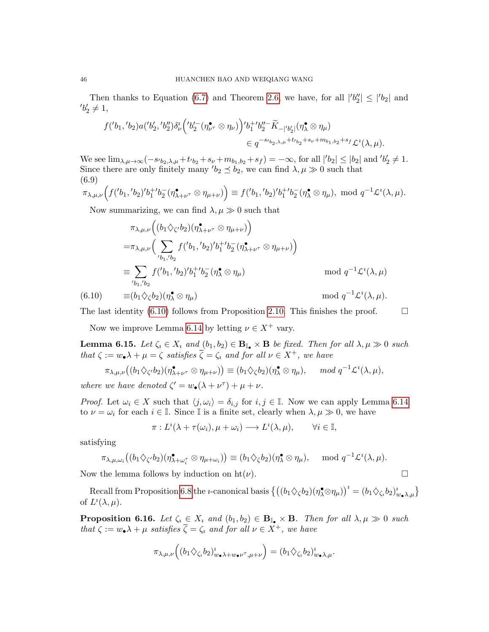Then thanks to Equation [\(6.7\)](#page-44-1) and Theorem [2.6,](#page-12-1) we have, for all  $|b_2''| \leq |b_2|$  and  $'b'_2 \neq 1,$ 

$$
f('b_1, 'b_2)a('b'_2, 'b''_2)\delta^i_{\nu} \Big( 'b'^-_{2} (\eta^{\bullet}_{\nu^{\tau}} \otimes \eta_{\nu}) \Big) 'b_1^{+'}b''_2 \widetilde{K}_{-|{}'b'_2|} (\eta^{\bullet}_\lambda \otimes \eta_{\mu})
$$
  

$$
\in q^{-s_{l_{b_2,\lambda,\mu}}+t_{l_{b_2}}+s_{\nu}+m_{b_1,b_2}+s_{f}} \mathcal{L}^i(\lambda, \mu).
$$

We see  $\lim_{\lambda,\mu\to\infty}(-s_0b_2,\lambda,\mu+t_0b_2+s_\nu+m_{b_1,b_2}+s_f)=-\infty$ , for all  $|{}'b_2|\leq|b_2|$  and  ${}'b_2'\neq1$ . Since there are only finitely many  $b_2 \leq b_2$ , we can find  $\lambda, \mu \gg 0$  such that (6.9)

$$
\pi_{\lambda,\mu,\nu}\Big(f({'b}_1, {'}b_2){'}b_1^{+'}b_2^-(\eta_{\lambda+\nu^{\tau}}^{\bullet}\otimes\eta_{\mu+\nu})\Big)\equiv f({'b}_1, {'}b_2){'}b_1^{+'}b_2^-(\eta_{\lambda}^{\bullet}\otimes\eta_{\mu}), \bmod q^{-1}\mathcal{L}^i(\lambda,\mu).
$$

Now summarizing, we can find  $\lambda, \mu \gg 0$  such that

$$
\pi_{\lambda,\mu,\nu}\Big((b_1\Diamond_{\zeta'} b_2)(\eta^{\bullet}_{\lambda+\nu^{\tau}} \otimes \eta_{\mu+\nu})\Big)
$$
\n
$$
= \pi_{\lambda,\mu,\nu}\Big(\sum_{\substack{\prime b_1,\prime b_2}} f'_{b_1,\prime b_2} f'_{b_1,\prime b_2} + b_1^{-1} b_2^{-1} (\eta^{\bullet}_{\lambda+\nu^{\tau}} \otimes \eta_{\mu+\nu})\Big)
$$
\n
$$
\equiv \sum_{\substack{\prime b_1,\prime b_2}} f'_{b_1,\prime b_2} f'_{b_1,\prime b_2} + b_1^{-1} b_2^{-1} (\eta^{\bullet}_{\lambda} \otimes \eta_{\mu})
$$
\n
$$
\equiv (b_1 \Diamond_{\zeta} b_2)(\eta^{\bullet}_{\lambda} \otimes \eta_{\mu})
$$
\nmod  $q^{-1} \mathcal{L}^i(\lambda, \mu)$ .

\n(6.10)

<span id="page-45-1"></span>

The last identity [\(6.10\)](#page-45-1) follows from Proposition [2.10.](#page-14-2) This finishes the proof.  $\Box$ 

Now we improve Lemma [6.14](#page-42-1) by letting  $\nu \in X^+$  vary.

<span id="page-45-2"></span>**Lemma 6.15.** Let  $\zeta_i \in X_i$  and  $(b_1, b_2) \in \mathbf{B}_{\mathbb{I}_{\bullet}} \times \mathbf{B}$  be fixed. Then for all  $\lambda, \mu \gg 0$  such that  $\zeta := w_{\bullet} \lambda + \mu = \zeta$  satisfies  $\overline{\zeta} = \zeta_i$  and for all  $\nu \in X^+$ , we have

$$
\pi_{\lambda,\mu,\nu}((b_1 \diamondsuit_{\zeta'} b_2)(\eta_{\lambda+\nu^{\tau}}^{\bullet} \otimes \eta_{\mu+\nu})) \equiv (b_1 \diamondsuit_{\zeta} b_2)(\eta_{\lambda}^{\bullet} \otimes \eta_{\mu}), \quad \mod q^{-1} \mathcal{L}^i(\lambda,\mu),
$$

where we have denoted  $\zeta' = w_{\bullet}(\lambda + \nu^{\tau}) + \mu + \nu$ .

*Proof.* Let  $\omega_i \in X$  such that  $\langle j, \omega_i \rangle = \delta_{i,j}$  for  $i, j \in \mathbb{I}$ . Now we can apply Lemma [6.14](#page-42-1) to  $\nu = \omega_i$  for each  $i \in \mathbb{I}$ . Since  $\mathbb{I}$  is a finite set, clearly when  $\lambda, \mu \gg 0$ , we have

$$
\pi: L^{i}(\lambda + \tau(\omega_{i}), \mu + \omega_{i}) \longrightarrow L^{i}(\lambda, \mu), \qquad \forall i \in \mathbb{I},
$$

satisfying

$$
\pi_{\lambda,\mu,\omega_i}\big((b_1\Diamond_{\zeta'} b_2)(\eta_{\lambda+\omega_i^{\tau}}^{\bullet}\otimes\eta_{\mu+\omega_i})\big)\equiv (b_1\Diamond_{\zeta} b_2)(\eta_{\lambda}^{\bullet}\otimes\eta_{\mu}), \mod q^{-1}\mathcal{L}^i(\lambda,\mu).
$$

Now the lemma follows by induction on  $\text{ht}(\nu)$ .

Recall from Proposition [6.8](#page-40-1) the *i*-canonical basis  $\left\{ \left( (b_1 \diamondsuit_{\zeta} b_2)(\eta^{\bullet}_{\lambda} \otimes \eta_{\mu}) \right)^i = (b_1 \diamondsuit_{\zeta_i} b_2)^i_{w_{\bullet} \lambda, \mu} \right\}$ of  $L^i(\lambda,\mu)$ .

<span id="page-45-0"></span>**Proposition 6.16.** Let  $\zeta_i \in X_i$  and  $(b_1, b_2) \in \mathbf{B}_{\mathbb{I}_{\bullet}} \times \mathbf{B}$ . Then for all  $\lambda, \mu \gg 0$  such that  $\zeta := w_{\bullet} \lambda + \mu$  satisfies  $\overline{\zeta} = \zeta_i$  and for all  $\nu \in X^+$ , we have

$$
\pi_{\lambda,\mu,\nu}\Big((b_1\Diamond_{\zeta_i}b_2)^{\nu}_{w_\bullet\lambda+w_\bullet\nu^\tau,\mu+\nu}\Big)=(b_1\Diamond_{\zeta_i}b_2)^{\nu}_{w_\bullet\lambda,\mu}.
$$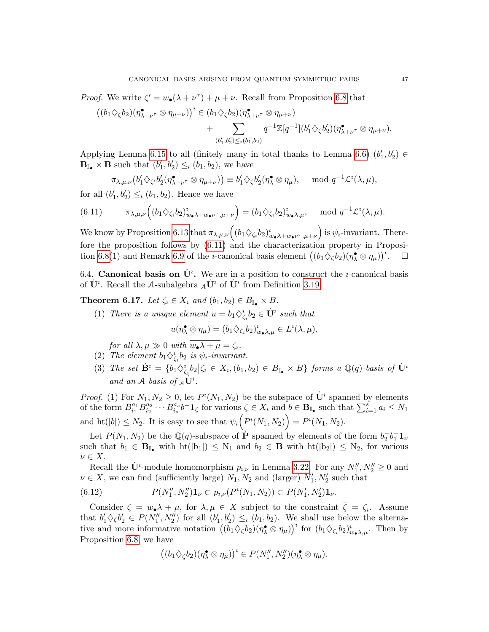*Proof.* We write  $\zeta' = w_\bullet(\lambda + \nu^\tau) + \mu + \nu$ . Recall from Proposition [6.8](#page-40-1) that

$$
((b_1 \diamondsuit_{\zeta} b_2)(\eta^{\bullet}_{\lambda+\nu^{\tau}} \otimes \eta_{\mu+\nu}))^{\iota} \in (b_1 \diamondsuit_{\zeta} b_2)(\eta^{\bullet}_{\lambda+\nu^{\tau}} \otimes \eta_{\mu+\nu}) + \sum_{(b'_1,b'_2) \leq \iota(b_1,b_2)} q^{-1} \mathbb{Z}[q^{-1}](b'_1 \diamondsuit_{\zeta} b'_2)(\eta^{\bullet}_{\lambda+\nu^{\tau}} \otimes \eta_{\mu+\nu}).
$$

Applying Lemma [6.15](#page-45-2) to all (finitely many in total thanks to Lemma [6.6\)](#page-40-2)  $(b'_1, b'_2) \in$  $\mathbf{B}_{\mathbb{I}_{\bullet}} \times \mathbf{B}$  such that  $(b'_1, b'_2) \leq_i (b_1, b_2)$ , we have

<span id="page-46-2"></span>
$$
\pi_{\lambda,\mu,\nu}\big(b'_1\Diamond_{\zeta'}b'_2(\eta_{\lambda+\nu^{\tau}}^{\bullet}\otimes\eta_{\mu+\nu})\big)\equiv b'_1\Diamond_{\zeta}b'_2(\eta_{\lambda}^{\bullet}\otimes\eta_{\mu}),\ \mod q^{-1}\mathcal{L}^2(\lambda,\mu),
$$

for all  $(b'_1, b'_2) \leq_b (b_1, b_2)$ . Hence we have

(6.11) 
$$
\pi_{\lambda,\mu,\nu}\Big((b_1\Diamond_{\zeta_i} b_2)^i_{w_\bullet\lambda+w_\bullet\nu^\tau,\mu+\nu}\Big)=(b_1\Diamond_{\zeta_i} b_2)^i_{w_\bullet\lambda,\mu}, \mod q^{-1}\mathcal{L}^i(\lambda,\mu).
$$

We know by Proposition [6.13](#page-42-2) that  $\pi_{\lambda,\mu,\nu}((b_1 \diamondsuit_{\zeta_i} b_2)_{w_\bullet\lambda+w_\bullet\nu^\tau,\mu+\nu}^i)$  is  $\psi_i$ -invariant. Therefore the proposition follows by [\(6.11\)](#page-46-2) and the characterization property in Proposi-tion [6.8\(](#page-40-1)1) and Remark [6.9](#page-41-4) of the *i*-canonical basis element  $((b_1 \diamondsuit_{\zeta} b_2)(\eta_{\lambda}^{\bullet} \otimes \eta_{\mu}))^2$  $\Box$ 

<span id="page-46-0"></span>6.4. Canonical basis on  $\dot{\mathbf{U}}^i$ . We are in a position to construct the *u*-canonical basis of  $\dot{\mathbf{U}}^i$ . Recall the A-subalgebra  $_A\dot{\mathbf{U}}^i$  of  $\dot{\mathbf{U}}^i$  from Definition [3.19.](#page-22-1)

<span id="page-46-1"></span>**Theorem 6.17.** Let  $\zeta_i \in X_i$  and  $(b_1, b_2) \in B_{\mathbb{I}_{\bullet}} \times B$ .

(1) There is a unique element  $u = b_1 \diamondsuit_{\zeta_i}^i b_2 \in \dot{\mathbf{U}}^i$  such that

$$
u(\eta_{\lambda}^{\bullet} \otimes \eta_{\mu}) = (b_1 \diamondsuit_{\zeta_i} b_2)^{\iota}_{w_{\bullet} \lambda, \mu} \in L^{\iota}(\lambda, \mu),
$$

for all  $\lambda, \mu \gg 0$  with  $\overline{w_{\bullet} \lambda + \mu} = \zeta_i$ .

- (2) The element  $b_1 \diamondsuit_{\zeta_i}^i b_2$  is  $\psi_i$ -invariant.
- (3) The set  $\dot{\mathbf{B}}^i = \{b_1 \diamondsuit_{\zeta_i}^i b_2 | \zeta_i \in X_i, (b_1, b_2) \in B_{\mathbb{I}_{\bullet}} \times B \}$  forms a  $\mathbb{Q}(q)$ -basis of  $\dot{\mathbf{U}}^i$ and an  $A$ -basis of  $_A\dot{\mathbf{U}}^i$ .

*Proof.* (1) For  $N_1, N_2 \geq 0$ , let  $P^i(N_1, N_2)$  be the subspace of  $\dot{\mathbf{U}}^i$  spanned by elements of the form  $B_{i_1}^{a_1}$  $\frac{a_1}{i_1} B^{a_2}_{i_2}$  $\frac{a_2}{i_2} \cdots B_{i_s}^{a_s}$  $a_s^{a_s}b^+\mathbf{1}_{\zeta}$  for various  $\zeta \in X_i$  and  $b \in \mathbf{B}_{\mathbb{I}_{\bullet}}$  such that  $\sum_{i=1}^s a_i \leq N_1$ and  $\mathrm{ht}(|b|) \leq N_2$ . It is easy to see that  $\psi_i\big(P^i(N_1, N_2)\big) = P^i(N_1, N_2)$ .

Let  $P(N_1, N_2)$  be the Q(q)-subspace of  $\dot{\mathbf{P}}$  spanned by elements of the form  $b_2^- b_1^+ \mathbf{1}_{\nu}$ such that  $b_1 \in \mathbf{B}_{\mathbb{I}_{\bullet}}$  with  $\text{ht}(|b_1|) \leq N_1$  and  $b_2 \in \mathbf{B}$  with  $\text{ht}(|b_2|) \leq N_2$ , for various  $\nu \in X$ .

Recall the  $\dot{\mathbf{U}}^i$ -module homomorphism  $p_{i,\nu}$  in Lemma [3.22.](#page-23-5) For any  $N''_1, N''_2 \geq 0$  and  $\nu \in X$ , we can find (sufficiently large)  $N_1, N_2$  and (larger)  $N'_1, N'_2$  such that

(6.12) 
$$
P(N''_1, N''_2) \mathbf{1}_{\nu} \subset p_{\nu}(\mathcal{P}^{\iota}(N_1, N_2)) \subset P(N'_1, N'_2) \mathbf{1}_{\nu}.
$$

Consider  $\zeta = w_0 \lambda + \mu$ , for  $\lambda, \mu \in X$  subject to the constraint  $\overline{\zeta} = \zeta_i$ . Assume that  $b'_1 \diamondsuit \diamondsuit b'_2 \in P(N''_1, N''_2)$  for all  $(b'_1, b'_2) \leq_i (b_1, b_2)$ . We shall use below the alternative and more informative notation  $((b_1 \diamondsuit_{\zeta} b_2)(\eta_{\lambda}^{\bullet} \otimes \eta_{\mu}))^i$  for  $(b_1 \diamondsuit_{\zeta_i} b_2)_{w_{\bullet}\lambda,\mu}^i$ . Then by Proposition [6.8,](#page-40-1) we have

<span id="page-46-3"></span>
$$
((b_1 \diamondsuit_{\zeta} b_2)(\eta_{\lambda}^{\bullet} \otimes \eta_{\mu}))^{\imath} \in P(N''_1, N''_2)(\eta_{\lambda}^{\bullet} \otimes \eta_{\mu}).
$$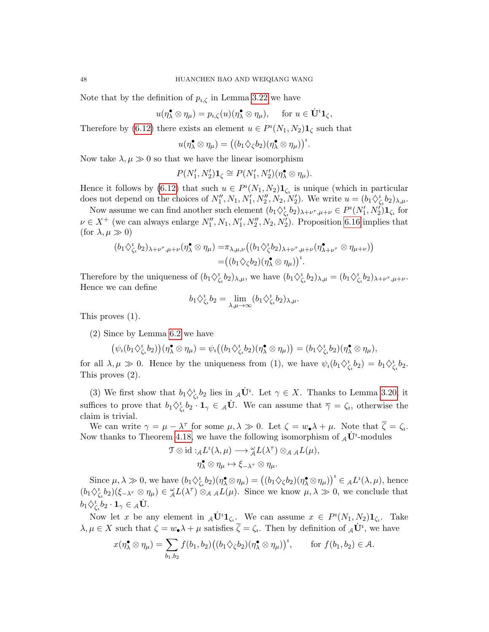Note that by the definition of  $p_{i,\zeta}$  in Lemma [3.22](#page-23-5) we have

$$
u(\eta_{\lambda}^{\bullet} \otimes \eta_{\mu}) = p_{i,\zeta}(u)(\eta_{\lambda}^{\bullet} \otimes \eta_{\mu}), \quad \text{ for } u \in \dot{\mathbf{U}}^i \mathbf{1}_{\zeta},
$$

Therefore by [\(6.12\)](#page-46-3) there exists an element  $u \in P^{i}(N_1, N_2) \mathbf{1}_{\zeta}$  such that

$$
u(\eta_{\lambda}^{\bullet} \otimes \eta_{\mu}) = ((b_1 \diamondsuit_{\zeta} b_2)(\eta_{\lambda}^{\bullet} \otimes \eta_{\mu}))^{\iota}.
$$

Now take  $\lambda, \mu \gg 0$  so that we have the linear isomorphism

$$
P(N'_1, N'_2)\mathbf{1}_{\zeta} \cong P(N'_1, N'_2)(\eta_{\lambda}^{\bullet} \otimes \eta_{\mu}).
$$

Hence it follows by [\(6.12\)](#page-46-3) that such  $u \in P^{i}(N_1, N_2) \mathbf{1}_{\zeta_i}$  is unique (which in particular does not depend on the choices of  $N''_1, N_1, N''_1, N''_2, N_2, N'_2$ ). We write  $u = (b_1 \diamondsuit^i_{\zeta_i} b_2)_{\lambda,\mu}$ .

Now assume we can find another such element  $(b_1 \diamondsuit^i_{\zeta_i} b_2)_{\lambda+\nu^\tau,\mu+\nu} \in P^i(N'_1, N'_2) \mathbf{1}_{\zeta_i}$  for  $\nu \in X^+$  (we can always enlarge  $N''_1, N_1, N'_1, N''_2, N_2, N'_2$ ). Proposition [6.16](#page-45-0) implies that (for  $\lambda, \mu \gg 0$ )

$$
(b_1 \diamondsuit_{\zeta_i}^i b_2)_{\lambda+\nu^\tau,\mu+\nu}(\eta_\lambda^\bullet \otimes \eta_\mu) = \pi_{\lambda,\mu,\nu}((b_1 \diamondsuit_{\zeta}^i b_2)_{\lambda+\nu^\tau,\mu+\nu}(\eta_{\lambda+\nu^\tau}^\bullet \otimes \eta_{\mu+\nu}))
$$
  
=  $((b_1 \diamondsuit_{\zeta} b_2)(\eta_\lambda^\bullet \otimes \eta_\mu))^i$ .

Therefore by the uniqueness of  $(b_1 \diamondsuit_{\zeta_i}^b b_2)_{\lambda,\mu}$ , we have  $(b_1 \diamondsuit_{\zeta_i}^b b_2)_{\lambda,\mu} = (b_1 \diamondsuit_{\zeta_i}^b b_2)_{\lambda+\nu^{\tau},\mu+\nu}$ . Hence we can define

$$
b_1 \diamondsuit_{\zeta_i}^i b_2 = \lim_{\lambda,\mu \to \infty} (b_1 \diamondsuit_{\zeta_i}^i b_2)_{\lambda,\mu}.
$$

This proves (1).

(2) Since by Lemma [6.2](#page-39-1) we have

$$
(\psi_i(b_1\diamondsuit_{\zeta_i}^*b_2))(\eta_\lambda^{\bullet}\otimes\eta_\mu)=\psi_i((b_1\diamondsuit_{\zeta_i}^*b_2)(\eta_\lambda^{\bullet}\otimes\eta_\mu))=(b_1\diamondsuit_{\zeta_i}^*b_2)(\eta_\lambda^{\bullet}\otimes\eta_\mu),
$$

for all  $\lambda, \mu \gg 0$ . Hence by the uniqueness from (1), we have  $\psi_i(b_1 \diamondsuit_{\zeta_i}^i b_2) = b_1 \diamondsuit_{\zeta_i}^i b_2$ . This proves (2).

(3) We first show that  $b_1 \lozenge_{\zeta_i}^i b_2$  lies in  $_A \dot{\mathbf{U}}^i$ . Let  $\gamma \in X$ . Thanks to Lemma [3.20,](#page-22-2) it suffices to prove that  $b_1 \diamondsuit_{\zeta_i}^i b_2 \cdot \mathbf{1}_{\gamma} \in {\mathcal{A}}\dot{\mathbf{U}}$ . We can assume that  $\overline{\gamma} = \zeta_i$ , otherwise the claim is trivial.

We can write  $\gamma = \mu - \lambda^{\tau}$  for some  $\mu, \lambda \gg 0$ . Let  $\zeta = w_{\bullet} \lambda + \mu$ . Note that  $\overline{\zeta} = \zeta_i$ . Now thanks to Theorem [4.18,](#page-32-2) we have the following isomorphism of  $_A\dot{\mathbf{U}}^i$ -modules

$$
\mathcal{T} \otimes \mathrm{id} :_{\mathcal{A}} L^i(\lambda, \mu) \longrightarrow {}^{\omega}_{\mathcal{A}} L(\lambda^{\tau}) \otimes_{\mathcal{A}} {}_{\mathcal{A}} L(\mu),
$$

$$
\eta^{\bullet}_{\lambda} \otimes \eta_{\mu} \mapsto \xi_{-\lambda^{\tau}} \otimes \eta_{\mu}.
$$

Since  $\mu, \lambda \gg 0$ , we have  $(b_1 \diamondsuit^i_{\zeta_i} b_2)(\eta^{\bullet}_\lambda \otimes \eta_\mu) = ((b_1 \diamondsuit_{\zeta} b_2)(\eta^{\bullet}_\lambda \otimes \eta_\mu))^i \in {}_{\mathcal{A}}L^i(\lambda, \mu)$ , hence  $(b_1 \diamondsuit_{\zeta_i}^b b_2)(\xi_{-\lambda^\tau} \otimes \eta_\mu) \in {}_{\mathcal{A}}^{\omega} L(\lambda^\tau) \otimes_{\mathcal{A}} {}_{\mathcal{A}} L(\mu)$ . Since we know  $\mu, \lambda \gg 0$ , we conclude that  $b_1 \diamondsuit_{\zeta_i}^i b_2 \cdot \mathbf{1}_\gamma \in {}_{\mathcal{A}} \dot{\mathbf{U}}.$ 

Now let x be any element in  $_A \dot{\mathbf{U}}^i \mathbf{1}_{\zeta_i}$ . We can assume  $x \in P^i(N_1, N_2) \mathbf{1}_{\zeta_i}$ . Take  $\lambda, \mu \in X$  such that  $\zeta = w_{\bullet} \lambda + \mu$  satisfies  $\overline{\zeta} = \zeta_i$ . Then by definition of  ${}_{\mathcal{A}}\dot{\mathbf{U}}^i$ , we have

$$
x(\eta_{\lambda}^{\bullet} \otimes \eta_{\mu}) = \sum_{b_1, b_2} f(b_1, b_2) ((b_1 \diamondsuit_{\zeta} b_2) (\eta_{\lambda}^{\bullet} \otimes \eta_{\mu}))^i, \quad \text{for } f(b_1, b_2) \in \mathcal{A}.
$$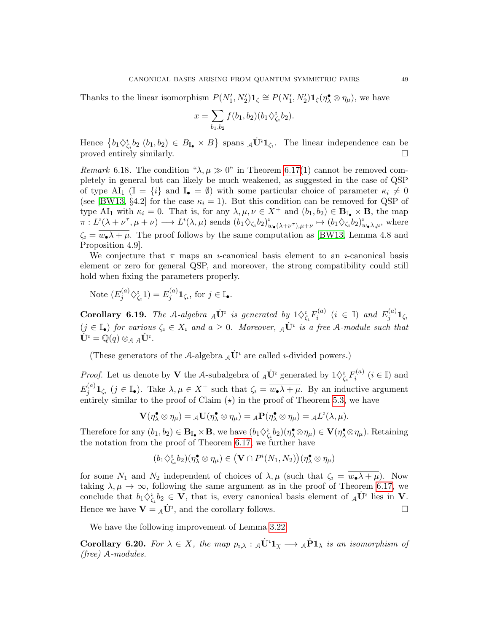Thanks to the linear isomorphism  $P(N'_1, N'_2) \mathbf{1}_{\zeta} \cong P(N'_1, N'_2) \mathbf{1}_{\zeta} (\eta_{\lambda}^{\bullet} \otimes \eta_{\mu}),$  we have

$$
x = \sum_{b_1, b_2} f(b_1, b_2) (b_1 \diamondsuit_{\zeta_1}^b b_2).
$$

Hence  $\{b_1 \diamondsuit_{\zeta_1}^i b_2 | (b_1, b_2) \in B_{\mathbb{I}_{\bullet}} \times B\}$  spans  ${}_{\mathcal{A}} \dot{\mathbf{U}}^i \mathbf{1}_{\zeta_i}$ . The linear independence can be proved entirely similarly.

Remark 6.18. The condition " $\lambda, \mu \gg 0$ " in Theorem [6.17\(](#page-46-1)1) cannot be removed completely in general but can likely be much weakened, as suggested in the case of QSP of type AI<sub>1</sub> ( $\mathbb{I} = \{i\}$  and  $\mathbb{I}_{\bullet} = \emptyset$ ) with some particular choice of parameter  $\kappa_i \neq 0$ (see [\[BW13,](#page-59-4) §4.2] for the case  $\kappa_i = 1$ ). But this condition can be removed for QSP of type AI<sub>1</sub> with  $\kappa_i = 0$ . That is, for any  $\lambda, \mu, \nu \in X^+$  and  $(b_1, b_2) \in \mathbf{B}_{\mathbb{I}_{\bullet}} \times \mathbf{B}$ , the map  $\pi: L^i(\lambda+\nu^\tau,\mu+\nu) \longrightarrow L^i(\lambda,\mu)$  sends  $(b_1 \diamondsuit_{\zeta_i} b_2)_{w_\bullet(\lambda+\nu^\tau),\mu+\nu}^i \mapsto (b_1 \diamondsuit_{\zeta_i} b_2)_{w_\bullet\lambda,\mu}^i$ , where  $\zeta_i = \overline{w_i \lambda + \mu}$ . The proof follows by the same computation as [\[BW13,](#page-59-4) Lemma 4.8 and Proposition 4.9].

We conjecture that  $\pi$  maps an *u*-canonical basis element to an *u*-canonical basis element or zero for general QSP, and moreover, the strong compatibility could still hold when fixing the parameters properly.

Note 
$$
(E_j^{(a)} \diamondsuit_{\zeta_i}^1 1) = E_j^{(a)} \mathbf{1}_{\zeta_i}
$$
, for  $j \in \mathbb{I}_{\bullet}$ .

<span id="page-48-0"></span>Corollary 6.19. The A-algebra  $_A\dot{\mathbf U}^i$  is generated by  $1\Diamond^i_{\zeta_i}F_i^{(a)}$  $i_i^{(a)}$   $(i \in \mathbb{I})$  and  $E_j^{(a)}$  $j^{(u)} 1_{\zeta_u}$  $(j \in \mathbb{I}_{\bullet})$  for various  $\zeta_i \in X_i$  and  $a \geq 0$ . Moreover,  $_A \dot{\mathbf{U}}^i$  is a free A-module such that  $\dot{\mathbf{U}}^i = \mathbb{Q}(q) \otimes_{\mathcal{A}} {}_{\mathcal{A}} \dot{\mathbf{U}}^i.$ 

(These generators of the A-algebra  $_A\dot{\mathbf{U}}^i$  are called *u*-divided powers.)

*Proof.* Let us denote by **V** the A-subalgebra of  $_A\dot{\mathbf{U}}$ <sup>*i*</sup> generated by  $1 \diamondsuit_{\zeta_i}^i F_i^{(a)}$  $i^{(a)}$   $(i \in \mathbb{I})$  and  $E_i^{(a)}$  $j^{(a)}_j \mathbf{1}_{\zeta_i}$   $(j \in \mathbb{I}_{\bullet})$ . Take  $\lambda, \mu \in X^+$  such that  $\zeta_i = \overline{w_{\bullet} \lambda + \mu}$ . By an inductive argument entirely similar to the proof of Claim  $(\star)$  in the proof of Theorem [5.3,](#page-35-2) we have

$$
\mathbf{V}(\eta_{\lambda}^{\bullet} \otimes \eta_{\mu}) = {}_{\mathcal{A}}\mathbf{U}(\eta_{\lambda}^{\bullet} \otimes \eta_{\mu}) = {}_{\mathcal{A}}\mathbf{P}(\eta_{\lambda}^{\bullet} \otimes \eta_{\mu}) = {}_{\mathcal{A}}L^{i}(\lambda, \mu).
$$

Therefore for any  $(b_1, b_2) \in \mathbf{B}_{\mathbb{I}_{\bullet}} \times \mathbf{B}$ , we have  $(b_1 \diamondsuit_{\zeta_i}^* b_2)(\eta_{\lambda}^{\bullet} \otimes \eta_{\mu}) \in \mathbf{V}(\eta_{\lambda}^{\bullet} \otimes \eta_{\mu})$ . Retaining the notation from the proof of Theorem [6.17,](#page-46-1) we further have

$$
(b_1 \diamondsuit_{\zeta_i}^i b_2)(\eta_\lambda^\bullet \otimes \eta_\mu) \in \big( \mathbf{V} \cap P^i(N_1,N_2) \big) (\eta_\lambda^\bullet \otimes \eta_\mu)
$$

for some  $N_1$  and  $N_2$  independent of choices of  $\lambda, \mu$  (such that  $\zeta_i = w_{\bullet} \lambda + \mu$ ). Now taking  $\lambda, \mu \to \infty$ , following the same argument as in the proof of Theorem [6.17,](#page-46-1) we conclude that  $b_1 \Diamond_{\zeta_i}^i b_2 \in \mathbf{V}$ , that is, every canonical basis element of  $_A \dot{\mathbf{U}}^i$  lies in **V**. Hence we have  $\mathbf{V} = {}_{\mathcal{A}}\dot{\mathbf{U}}^i$ , and the corollary follows.

We have the following improvement of Lemma [3.22.](#page-23-5)

<span id="page-48-1"></span>**Corollary 6.20.** For  $\lambda \in X$ , the map  $p_{i,\lambda} : A \dot{\mathbf{U}}^i \mathbf{1}_{\overline{\lambda}} \longrightarrow A \dot{\mathbf{P}} \mathbf{1}_{\lambda}$  is an isomorphism of (free) A-modules.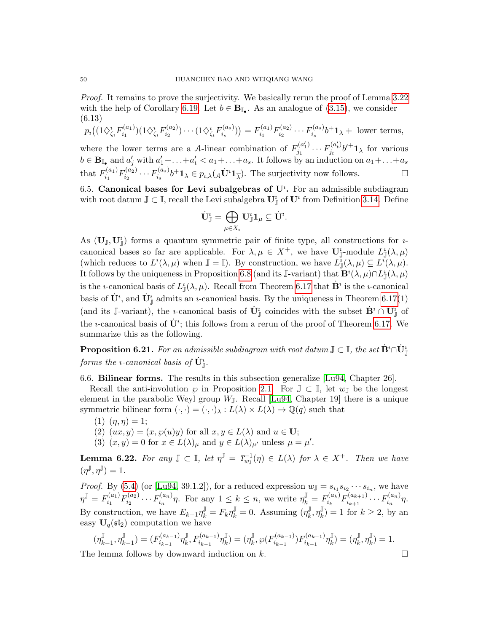Proof. It remains to prove the surjectivity. We basically rerun the proof of Lemma [3.22](#page-23-5) with the help of Corollary [6.19.](#page-48-0) Let  $b \in \mathbf{B}_{\mathbb{I}_{\bullet}}$ . As an analogue of [\(3.15\)](#page-23-1), we consider (6.13)  $(a, 3)$  $(a<sub>2</sub>)$ 

$$
p_i\big((1\diamondsuit_{\zeta_i}^i F_{i_1}^{(a_1)})(1\diamondsuit_{\zeta_i}^i F_{i_2}^{(a_2)})\cdots(1\diamondsuit_{\zeta_i}^i F_{i_s}^{(a_s)})\big) = F_{i_1}^{(a_1)} F_{i_2}^{(a_2)} \cdots F_{i_s}^{(a_s)} b^+ \mathbf{1}_{\lambda} + \text{ lower terms},
$$
  
where the lower terms are a *A*-linear combination of  $F_{j_1}^{(a'_1)} \cdots F_{j_t}^{(a'_t)} b'^+ \mathbf{1}_{\lambda}$  for various  $b \in \mathbf{B}_{\mathbb{I}_{\bullet}}$  and  $a'_j$  with  $a'_1 + \ldots + a'_t < a_1 + \ldots + a_s$ . It follows by an induction on  $a_1 + \ldots + a_s$   
that  $F_{i_1}^{(a_1)} F_{i_2}^{(a_2)} \cdots F_{i_s}^{(a_s)} b^+ \mathbf{1}_{\lambda} \in p_{i,\lambda}(A\dot{\mathbf{U}}^i \mathbf{1}_{\overline{\lambda}}).$  The surjectivity now follows.

<span id="page-49-0"></span>6.5. Canonical bases for Levi subalgebras of  $U^i$ . For an admissible subdiagram with root datum  $\mathbb{J} \subset \mathbb{I}$ , recall the Levi subalgebra  $\mathbf{U}_{\mathbb{J}}^i$  of  $\mathbf{U}^i$  from Definition [3.14.](#page-21-5) Define

$$
\dot{\mathbf U}_{\mathbb J}^{\imath}=\bigoplus_{\mu\in X_{\imath}} {\mathbf U}_{\mathbb J}^{\imath} {\mathbf 1}_{\mu}\subseteq \dot{{\mathbf U}}^{\imath}.
$$

As  $(\mathbf{U}_{\mathbb{J}}, \mathbf{U}_{\mathbb{J}}^i)$  forms a quantum symmetric pair of finite type, all constructions for *u*canonical bases so far are applicable. For  $\lambda, \mu \in X^+$ , we have  $\mathbf{U}_{\mathbb{J}}^i$ -module  $L^i_{\mathbb{J}}(\lambda, \mu)$ (which reduces to  $L^i(\lambda,\mu)$  when  $\mathbb{J} = \mathbb{I}$ ). By construction, we have  $L^i(\lambda,\mu) \subseteq L^i(\lambda,\mu)$ . It follows by the uniqueness in Proposition [6.8](#page-40-1) (and its J-variant) that  $\mathbf{B}^i(\lambda,\mu) \cap L^i_{\mathbb{J}}(\lambda,\mu)$ is the *i*-canonical basis of  $L^i_{\mathbb{J}}(\lambda,\mu)$ . Recall from Theorem [6.17](#page-46-1) that  $\dot{\mathbf{B}}^i$  is the *i*-canonical basis of  $\dot{\mathbf{U}}^i$ , and  $\dot{\mathbf{U}}^i_{\mathbb{J}}$  admits an *u*-canonical basis. By the uniqueness in Theorem [6.17\(](#page-46-1)1) (and its J-variant), the *i*-canonical basis of  $\dot{\mathbf{U}}_{\mathbb{I}}^i$  coincides with the subset  $\dot{\mathbf{B}}^i \cap \dot{\mathbf{U}}_{\mathbb{I}}^i$  of the *i*-canonical basis of  $\dot{\mathbf{U}}^i$ ; this follows from a rerun of the proof of Theorem [6.17.](#page-46-1) We summarize this as the following.

**Proposition 6.21.** For an admissible subdiagram with root datum  $\mathbb{J} \subset \mathbb{I}$ , the set  $\dot{\mathbf{B}}^i \cap \dot{\mathbf{U}}^i_{\mathbb{J}}$ forms the *ı*-canonical basis of  $\dot{\mathbf{U}}^{i}_{\mathbb{J}}.$ 

<span id="page-49-1"></span>6.6. Bilinear forms. The results in this subsection generalize [\[Lu94,](#page-60-4) Chapter 26].

Recall the anti-involution  $\wp$  in Proposition [2.1.](#page-9-1) For  $\mathbb{J} \subset \mathbb{I}$ , let  $w_{\mathbb{J}}$  be the longest element in the parabolic Weyl group  $W_{\mathbb{J}}$ . Recall [\[Lu94,](#page-60-4) Chapter 19] there is a unique symmetric bilinear form  $(\cdot, \cdot) = (\cdot, \cdot)_{\lambda} : L(\lambda) \times L(\lambda) \to \mathbb{Q}(q)$  such that

- (1)  $(\eta, \eta) = 1;$
- (2)  $(ux, y) = (x, \wp(u)y)$  for all  $x, y \in L(\lambda)$  and  $u \in U$ ;
- (3)  $(x, y) = 0$  for  $x \in L(\lambda)_{\mu}$  and  $y \in L(\lambda)_{\mu'}$  unless  $\mu = \mu'$ .

<span id="page-49-2"></span>**Lemma 6.22.** For any  $\mathbb{J} \subset \mathbb{I}$ , let  $\eta^{\mathbb{J}} = T_{w_{\mathbb{J}}}^{-1}(\eta) \in L(\lambda)$  for  $\lambda \in X^+$ . Then we have  $(\eta^{\mathbb{J}}, \eta^{\mathbb{J}}) = 1.$ 

*Proof.* By [\(5.4\)](#page-38-3) (or [\[Lu94,](#page-60-4) 39.1.2]), for a reduced expression  $w_{\mathbb{J}} = s_{i_1} s_{i_2} \cdots s_{i_n}$ , we have  $\eta^{\mathbb{J}}=F_{i_1}^{(a_1)}$  $f^{(a_1)}_{i_1} F^{(a_2)}_{i_2}$  $i_2^{(a_2)}\cdots F_{i_n}^{(a_n)}$  $\sum_{i_n}^{(a_n)} \eta$ . For any  $1 \leq k \leq n$ , we write  $\eta_k^{\mathbb{J}} = F_{i_k}^{(a_k)}$  $f^{(a_k)}_{i_k} F^{(a_{k+1})}_{i_{k+1}}$  $i_{k+1}^{(a_{k+1})}\cdots F_{i_{n}}^{(a_{n})}$  $\int_{i_n}^{(a_n)} \eta$ . By construction, we have  $E_{k-1}\eta_k^{\mathbb{J}}=F_k\eta_k^{\mathbb{J}}=0$ . Assuming  $(\eta_k^{\mathbb{J}})$  $_{k}^{\mathbb{J}},\eta _{k}^{\mathbb{J}}$  $\binom{J}{k} = 1$  for  $k \geq 2$ , by an easy  $U_q(\mathfrak{sl}_2)$  computation we have

$$
(\eta_{k-1}^{\mathbb{J}}, \eta_{k-1}^{\mathbb{J}}) = (F_{i_{k-1}}^{(a_{k-1})} \eta_k^{\mathbb{J}}, F_{i_{k-1}}^{(a_{k-1})} \eta_k^{\mathbb{J}}) = (\eta_k^{\mathbb{J}}, \wp(F_{i_{k-1}}^{(a_{k-1})}) F_{i_{k-1}}^{(a_{k-1})} \eta_k^{\mathbb{J}}) = (\eta_k^{\mathbb{J}}, \eta_k^{\mathbb{J}}) = 1.
$$

The lemma follows by downward induction on k.  $\Box$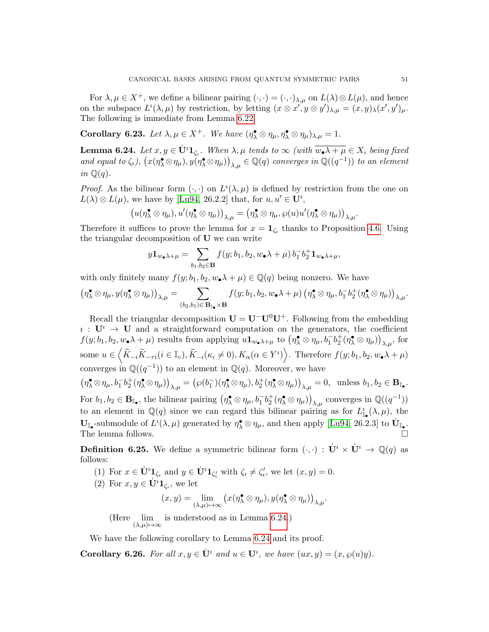For  $\lambda, \mu \in X^+$ , we define a bilinear pairing  $(\cdot, \cdot) = (\cdot, \cdot)_{\lambda, \mu}$  on  $L(\lambda) \otimes L(\mu)$ , and hence on the subspace  $L^i(\lambda, \mu)$  by restriction, by letting  $(x \otimes x', y \otimes y')_{\lambda, \mu} = (x, y)_{\lambda}(x', y')_{\mu}$ . The following is immediate from Lemma [6.22.](#page-49-2)

Corollary 6.23. Let  $\lambda, \mu \in X^+$ . We have  $(\eta_\lambda^{\bullet} \otimes \eta_\mu, \eta_\lambda^{\bullet} \otimes \eta_\mu)_{\lambda,\mu} = 1$ .

<span id="page-50-0"></span>**Lemma 6.24.** Let  $x, y \in U^i \mathbf{1}_{\zeta_i}$ . When  $\lambda, \mu$  tends to  $\infty$  (with  $\overline{w_{\bullet} \lambda + \mu} \in X_i$  being fixed and equal to  $\zeta_i$ ),  $\big(x(\eta^{\bullet}_\lambda \otimes \eta_\mu), y(\eta^{\bullet}_\lambda \otimes \eta_\mu)\big)_{\lambda,\mu} \in \mathbb{Q}(q)$  converges in  $\mathbb{Q}((q^{-1}))$  to an element in  $\mathbb{Q}(q)$ .

*Proof.* As the bilinear form  $(\cdot, \cdot)$  on  $L^i(\lambda, \mu)$  is defined by restriction from the one on  $L(\lambda) \otimes L(\mu)$ , we have by [\[Lu94,](#page-60-4) 26.2.2] that, for  $u, u' \in U^i$ ,

$$
(u(\eta_{\lambda}^{\bullet}\otimes\eta_{\mu}),u'(\eta_{\lambda}^{\bullet}\otimes\eta_{\mu}))_{\lambda,\mu}=(\eta_{\lambda}^{\bullet}\otimes\eta_{\mu},\wp(u)u'(\eta_{\lambda}^{\bullet}\otimes\eta_{\mu}))_{\lambda,\mu}.
$$

Therefore it suffices to prove the lemma for  $x = \mathbf{1}_{\zeta_i}$  thanks to Proposition [4.6.](#page-28-0) Using the triangular decomposition of U we can write

$$
y\mathbf{1}_{w_\bullet\lambda+\mu}=\sum_{b_1,b_2\in\mathbf{B}}f(y;b_1,b_2,w_\bullet\lambda+\mu)\,b_1^-b_2^+\mathbf{1}_{w_\bullet\lambda+\mu},
$$

with only finitely many  $f(y; b_1, b_2, w_{\bullet} \lambda + \mu) \in \mathbb{Q}(q)$  being nonzero. We have

$$
\left(\eta^{\bullet}_{\lambda}\otimes\eta_{\mu},y(\eta^{\bullet}_{\lambda}\otimes\eta_{\mu})\right)_{\lambda,\mu}=\sum_{(b_{2},b_{1})\in\mathbf{B}_{\mathbb{I}_{\bullet}}\times\mathbf{B}}f(y;b_{1},b_{2},w_{\bullet}\lambda+\mu)\left(\eta^{\bullet}_{\lambda}\otimes\eta_{\mu},b_{1}^{-}b_{2}^{+}(\eta^{\bullet}_{\lambda}\otimes\eta_{\mu})\right)_{\lambda,\mu}.
$$

Recall the triangular decomposition  $U = U^-U^0U^+$ . Following from the embedding  $i: U^i \to U$  and a straightforward computation on the generators, the coefficient  $f(y; b_1, b_2, w \cdot \lambda + \mu)$  results from applying  $u \mathbf{1}_{w \cdot \lambda + \mu}$  to  $(\eta_{\lambda}^{\bullet} \otimes \eta_{\mu}, b_1^{-} b_2^{+} (\eta_{\lambda}^{\bullet} \otimes \eta_{\mu}))_{\lambda, \mu}$ , for some  $u \in \left\langle \widetilde{K}_{-i}\widetilde{K}_{-\tau i}(i \in \mathbb{I}_{\circ}), \widetilde{K}_{-i}(\kappa_{i} \neq 0), K_{\alpha}(\alpha \in Y^{i}) \right\rangle$ . Therefore  $f(y; b_{1}, b_{2}, w_{\bullet} \lambda + \mu)$ converges in  $\mathbb{Q}((q^{-1}))$  to an element in  $\mathbb{Q}(q)$ . Moreover, we have  $(\eta^{\bullet}_{\lambda} \otimes \eta_{\mu}, b_1^{-} b_2^{+} (\eta^{\bullet}_{\lambda} \otimes \eta_{\mu}))_{\lambda,\mu} = (\wp(b_1^{-}) (\eta^{\bullet}_{\lambda} \otimes \eta_{\mu}), b_2^{+} (\eta^{\bullet}_{\lambda} \otimes \eta_{\mu}))_{\lambda,\mu} = 0$ , unless  $b_1, b_2 \in \mathbf{B}_{\mathbb{I}_{\bullet}}$ . For  $b_1, b_2 \in \mathbf{B}_{\mathbb{I}_{\bullet}}$ , the bilinear pairing  $(\eta_\lambda^{\bullet} \otimes \eta_\mu, b_1^- b_2^+ (\eta_\lambda^{\bullet} \otimes \eta_\mu))_{\lambda,\mu}$  converges in  $\mathbb{Q}((q^{-1}))$ 

to an element in  $\mathbb{Q}(q)$  since we can regard this bilinear pairing as for  $L^i_{\mathbb{I}_{\bullet}}(\lambda,\mu)$ , the  $\mathbf{U}_{\mathbb{I}_{\bullet}}$ -submodule of  $L^i(\lambda,\mu)$  generated by  $\eta_{\lambda}^{\bullet} \otimes \eta_{\mu}$ , and then apply [\[Lu94,](#page-60-4) 26.2.3] to  $\dot{\mathbf{U}}_{\mathbb{I}_{\bullet}}$ . The lemma follows.

<span id="page-50-1"></span>**Definition 6.25.** We define a symmetric bilinear form  $(\cdot, \cdot) : \dot{\mathbf{U}}^i \times \dot{\mathbf{U}}^i \to \mathbb{Q}(q)$  as follows:

(1) For  $x \in \dot{\mathbf{U}}^i \mathbf{1}_{\zeta_i}$  and  $y \in \dot{\mathbf{U}}^i \mathbf{1}_{\zeta'_i}$  with  $\zeta_i \neq \zeta'_i$ , we let  $(x, y) = 0$ .

(2) For 
$$
x, y \in \dot{\mathbf{U}}^i \mathbf{1}_{\zeta_i}
$$
, we let

$$
(x,y)=\lim_{(\lambda,\mu)\mapsto\infty}\big(x(\eta_{\lambda}^{\bullet}\otimes\eta_{\mu}),y(\eta_{\lambda}^{\bullet}\otimes\eta_{\mu})\big)_{\lambda,\mu}.
$$

(Here  $\lim_{(\lambda,\mu)\to\infty}$  is understood as in Lemma [6.24.](#page-50-0))

We have the following corollary to Lemma [6.24](#page-50-0) and its proof.

<span id="page-50-2"></span>**Corollary 6.26.** For all  $x, y \in U^i$  and  $u \in U^i$ , we have  $(ux, y) = (x, \wp(u)y)$ .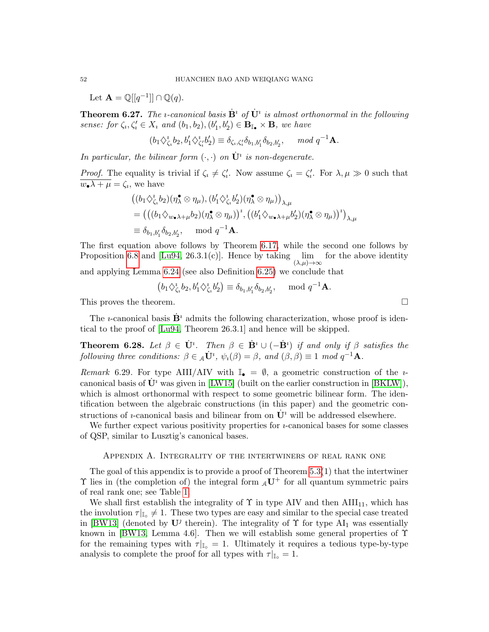Let  $\mathbf{A} = \mathbb{Q}[[q^{-1}]] \cap \mathbb{Q}(q)$ .

<span id="page-51-1"></span>**Theorem 6.27.** The *i*-canonical basis  $\dot{\mathbf{B}}^i$  of  $\dot{\mathbf{U}}^i$  is almost orthonormal in the following sense: for  $\zeta_i, \zeta'_i \in X_i$  and  $(b_1, b_2), (b'_1, b'_2) \in \mathbf{B}_{\mathbb{I}_{\bullet}} \times \mathbf{B}$ , we have

$$
(b_1 \diamondsuit_{\zeta_i}^i b_2, b'_1 \diamondsuit_{\zeta_i'}^i b'_2) \equiv \delta_{\zeta_i, \zeta_i'} \delta_{b_1, b'_1} \delta_{b_2, b'_2}, \mod q^{-1} \mathbf{A}.
$$

In particular, the bilinear form  $(\cdot, \cdot)$  on  $\dot{\mathbf{U}}^i$  is non-degenerate.

*Proof.* The equality is trivial if  $\zeta_i \neq \zeta'_i$ . Now assume  $\zeta_i = \zeta'_i$ . For  $\lambda, \mu \gg 0$  such that  $w_{\bullet} \lambda + \mu = \zeta_i$ , we have

$$
\begin{split}\n&\left((b_1 \diamondsuit^i_{\zeta_i} b_2)(\eta^{\bullet}_\lambda \otimes \eta_{\mu}), (b'_1 \diamondsuit^i_{\zeta_i} b'_2)(\eta^{\bullet}_\lambda \otimes \eta_{\mu})\right)_{\lambda,\mu} \\
&=\left(\left((b_1 \diamondsuit_{w \bullet \lambda + \mu} b_2)(\eta^{\bullet}_\lambda \otimes \eta_{\mu})\right)^i, \left((b'_1 \diamondsuit_{w \bullet \lambda + \mu} b'_2)(\eta^{\bullet}_\lambda \otimes \eta_{\mu})\right)^i\right)_{\lambda,\mu} \\
&\equiv \delta_{b_1,b'_1} \delta_{b_2,b'_2}, \quad \text{mod } q^{-1}\mathbf{A}.\n\end{split}
$$

The first equation above follows by Theorem [6.17,](#page-46-1) while the second one follows by Proposition [6.8](#page-40-1) and [\[Lu94,](#page-60-4) 26.3.1(c)]. Hence by taking  $\quad$  lim  $(\lambda,\mu)\rightarrow\infty$ for the above identity

and applying Lemma [6.24](#page-50-0) (see also Definition [6.25\)](#page-50-1) we conclude that

$$
(b_1 \diamondsuit_{\zeta_i}^{\imath} b_2, b'_1 \diamondsuit_{\zeta_i}^{\imath} b'_2) \equiv \delta_{b_1, b'_1} \delta_{b_2, b'_2}, \mod q^{-1} \mathbf{A}.
$$

This proves the theorem.  $\Box$ 

The *u*-canonical basis  $\mathbf{B}^i$  admits the following characterization, whose proof is identical to the proof of [\[Lu94,](#page-60-4) Theorem 26.3.1] and hence will be skipped.

<span id="page-51-2"></span>**Theorem 6.28.** Let  $\beta \in \dot{\mathbf{U}}^i$ . Then  $\beta \in \dot{\mathbf{B}}^i \cup (-\dot{\mathbf{B}}^i)$  if and only if  $\beta$  satisfies the following three conditions:  $\beta \in {}_{A}\dot{\mathbf{U}}^{i}$ ,  $\psi_{i}(\beta) = \beta$ , and  $(\beta, \beta) \equiv 1 \mod q^{-1}\mathbf{A}$ .

Remark 6.29. For type AIII/AIV with  $\mathbb{I}_{\bullet} = \emptyset$ , a geometric construction of the *u*canonical basis of  $\mathbf{U}^i$  was given in [\[LW15\]](#page-60-9) (built on the earlier construction in [\[BKLW\]](#page-59-5)), which is almost orthonormal with respect to some geometric bilinear form. The identification between the algebraic constructions (in this paper) and the geometric constructions of *u*-canonical basis and bilinear from on  $\mathbf{U}^i$  will be addressed elsewhere.

We further expect various positivity properties for  $\imath$ -canonical bases for some classes of QSP, similar to Lusztig's canonical bases.

## Appendix A. Integrality of the intertwiners of real rank one

<span id="page-51-0"></span>The goal of this appendix is to provide a proof of Theorem  $5.3(1)$  that the intertwiner  $\Upsilon$  lies in (the completion of) the integral form  $_{A}U^{+}$  for all quantum symmetric pairs of real rank one; see Table [1.](#page-17-2)

We shall first establish the integrality of  $\Upsilon$  in type AIV and then AIII<sub>11</sub>, which has the involution  $\tau|_{\mathbb{I}_{\mathbb{Q}}}\neq 1$ . These two types are easy and similar to the special case treated in [\[BW13\]](#page-59-4) (denoted by  $U^j$  therein). The integrality of  $\Upsilon$  for type  $AI_1$  was essentially known in [\[BW13,](#page-59-4) Lemma 4.6]. Then we will establish some general properties of  $\Upsilon$ for the remaining types with  $\tau|_{\mathbb{I}_{0}} = 1$ . Ultimately it requires a tedious type-by-type analysis to complete the proof for all types with  $\tau|_{\mathbb{I}_{\infty}}=1$ .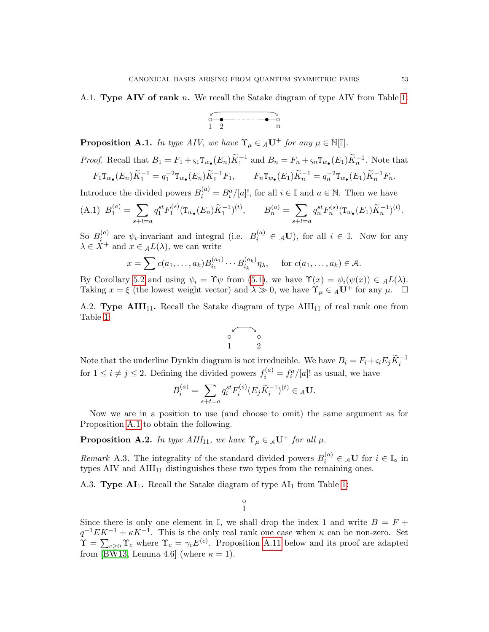<span id="page-52-0"></span>A.1. **Type AIV of rank** n. We recall the Satake diagram of type AIV from Table [1:](#page-17-2)

$$
\begin{array}{c}\n0 & -\bullet \quad \text{---} \quad \text{---} \\
1 & 2 & \text{---} \\
\end{array}
$$

<span id="page-52-3"></span>**Proposition A.1.** In type AIV, we have  $\Upsilon_{\mu} \in {}_{A}\mathbf{U}^{+}$  for any  $\mu \in \mathbb{N}[\mathbb{I}]$ .

*Proof.* Recall that 
$$
B_1 = F_1 + \varsigma_1 T_{w_{\bullet}}(E_n) \widetilde{K}_1^{-1}
$$
 and  $B_n = F_n + \varsigma_n T_{w_{\bullet}}(E_1) \widetilde{K}_n^{-1}$ . Note that  
\n $F_1 T_{w_{\bullet}}(E_n) \widetilde{K}_n^{-1} = a^{-2} T_{w_{\bullet}}(E_n) \widetilde{K}_n^{-1} F_1$   $F_1 T_{w_{\bullet}}(E_n) \widetilde{K}_n^{-1} = a^{-2} T_{w_{\bullet}}(E_n) \widetilde{K}_n^{-1} F_n$ 

$$
F_1 \mathbf{T}_{w_\bullet}(E_n) \widetilde{K}_1^{-1} = q_1^{-2} \mathbf{T}_{w_\bullet}(E_n) \widetilde{K}_1^{-1} F_1, \qquad F_n \mathbf{T}_{w_\bullet}(E_1) \widetilde{K}_n^{-1} = q_n^{-2} \mathbf{T}_{w_\bullet}(E_1) \widetilde{K}_n^{-1} F_n.
$$

Introduce the divided powers  $B_i^{(a)} = B_i^a / [a]!$ , for all  $i \in \mathbb{I}$  and  $a \in \mathbb{N}$ . Then we have

(A.1) 
$$
B_1^{(a)} = \sum_{s+t=a} q_1^{st} F_1^{(s)} (\mathbf{T}_{w_\bullet}(E_n) \widetilde{K}_1^{-1})^{(t)}, \qquad B_n^{(a)} = \sum_{s+t=a} q_n^{st} F_n^{(s)} (\mathbf{T}_{w_\bullet}(E_1) \widetilde{K}_n^{-1})^{(t)}.
$$

So  $B_i^{(a)}$  $i^{(a)}$  are  $\psi_i$ -invariant and integral (i.e.  $B_i^{(a)} \in A$ **U**), for all  $i \in \mathbb{I}$ . Now for any  $\lambda \in \overline{X}^+$  and  $x \in \mathcal{A}L(\lambda)$ , we can write

$$
x = \sum c(a_1, \dots, a_k) B_{i_1}^{(a_1)} \cdots B_{i_k}^{(a_k)} \eta_\lambda, \quad \text{for } c(a_1, \dots, a_k) \in \mathcal{A}.
$$

By Corollary [5.2](#page-35-5) and using  $\psi_i = \Upsilon \psi$  from [\(5.1\)](#page-35-4), we have  $\Upsilon(x) = \psi_i(\psi(x)) \in {}_{\mathcal{A}}L(\lambda)$ . Taking  $x = \xi$  (the lowest weight vector) and  $\lambda \gg 0$ , we have  $\Upsilon_{\mu} \in {}_{A}U^{+}$  for any  $\mu$ .

<span id="page-52-1"></span>A.2. Type AIII<sub>11</sub>. Recall the Satake diagram of type  $\text{AlII}_{11}$  of real rank one from Table [1:](#page-17-2)

$$
\begin{array}{c}\n0 \\
0 \\
1\n\end{array}\n\quad 2
$$

Note that the underline Dynkin diagram is not irreducible. We have  $B_i = F_i + \varsigma_i E_j \widetilde{K}_i^{-1}$ for  $1 \leq i \neq j \leq 2$ . Defining the divided powers  $f_i^{(a)} = f_i^a / [a]!$  as usual, we have

$$
B_i^{(a)}=\sum_{s+t=a}q_i^{st}F_i^{(s)}(E_j\widetilde K_i^{-1})^{(t)}\in{_A\mathbf U}.
$$

Now we are in a position to use (and choose to omit) the same argument as for Proposition [A.1](#page-52-3) to obtain the following.

**Proposition A.2.** In type AIII<sub>11</sub>, we have  $\Upsilon_{\mu} \in {}_{A}U^{+}$  for all  $\mu$ .

Remark A.3. The integrality of the standard divided powers  $B_i^{(a)} \in {_{\mathcal{A}}\mathbf{U}}$  for  $i \in \mathbb{I}_0$  in types AIV and  $\text{AlII}_{11}$  distinguishes these two types from the remaining ones.

<span id="page-52-2"></span>A.3. Type  $AI<sub>1</sub>$ . Recall the Satake diagram of type  $AI<sub>1</sub>$  from Table [1:](#page-17-2)

 $^{\circ}$ 1

Since there is only one element in  $\mathbb{I}$ , we shall drop the index 1 and write  $B = F +$  $q^{-1}EK^{-1} + \kappa K^{-1}$ . This is the only real rank one case when  $\kappa$  can be non-zero. Set  $\Upsilon = \sum_{c\geq 0} \Upsilon_c$  where  $\Upsilon_c = \gamma_c E^{(c)}$ . Proposition [A.11](#page-55-1) below and its proof are adapted from [\[BW13,](#page-59-4) Lemma 4.6] (where  $\kappa = 1$ ).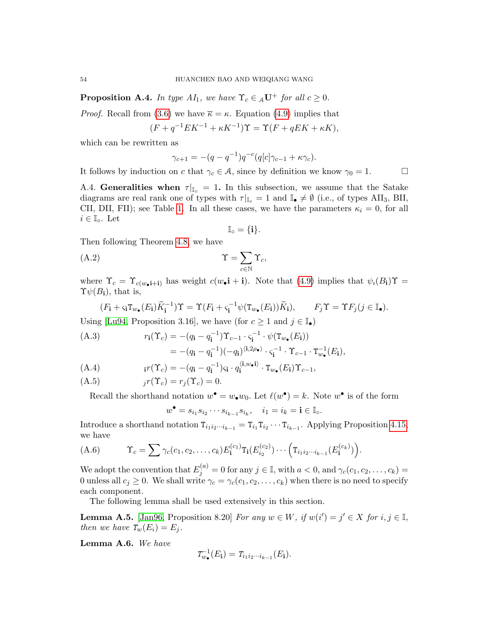**Proposition A.4.** In type  $AI_1$ , we have  $\Upsilon_c \in {}_A\mathbf{U}^+$  for all  $c \geq 0$ .

*Proof.* Recall from [\(3.6\)](#page-18-2) we have  $\bar{\kappa} = \kappa$ . Equation [\(4.9\)](#page-29-4) implies that

$$
(F + q^{-1}EK^{-1} + \kappa K^{-1})\Upsilon = \Upsilon(F + qEK + \kappa K),
$$

which can be rewritten as

$$
\gamma_{c+1} = -(q - q^{-1})q^{-c}(q[c]\gamma_{c-1} + \kappa \gamma_c).
$$

It follows by induction on c that  $\gamma_c \in \mathcal{A}$ , since by definition we know  $\gamma_0 = 1$ .

<span id="page-53-0"></span>A.4. Generalities when  $\tau|_{\mathbb{I}_{\infty}} = 1$ . In this subsection, we assume that the Satake diagrams are real rank one of types with  $\tau|_{\mathbb{I}_{\mathbb{Q}}} = 1$  and  $\mathbb{I}_{\bullet} \neq \emptyset$  (i.e., of types AII<sub>3</sub>, BII, CII, DII, FII); see Table [1.](#page-17-2) In all these cases, we have the parameters  $\kappa_i = 0$ , for all  $i \in \mathbb{I}_\circ$ . Let

$$
\mathbb{I}_\circ = \{\mathbf{i}\}.
$$

Then following Theorem [4.8,](#page-29-1) we have

$$
\Upsilon = \sum_{c \in \mathbb{N}} \Upsilon_c,
$$

where  $\Upsilon_c = \Upsilon_{c(w_{\bullet}+i)}$  has weight  $c(w_{\bullet}+i)$ . Note that  $(4.9)$  implies that  $\psi_i(B_i)\Upsilon =$  $\Upsilon \psi(B_i)$ , that is,

$$
(F_{\mathbf{i}} + \varsigma_{\mathbf{i}} \mathbf{T}_{w_{\bullet}}(E_{\mathbf{i}}) \widetilde{K}_{\mathbf{i}}^{-1}) \Upsilon = \Upsilon (F_{\mathbf{i}} + \varsigma_{\mathbf{i}}^{-1} \psi(\mathbf{T}_{w_{\bullet}}(E_{\mathbf{i}})) \widetilde{K}_{\mathbf{i}}), \qquad F_{j} \Upsilon = \Upsilon F_{j} (j \in \mathbb{I}_{\bullet}).
$$

Using [\[Lu94,](#page-60-4) Proposition 3.16], we have (for  $c \geq 1$  and  $j \in \mathbb{I}_{\bullet}$ )

<span id="page-53-2"></span>(A.3)  
\n
$$
r_{\mathbf{i}}(\Upsilon_c) = -(q_{\mathbf{i}} - q_{\mathbf{i}}^{-1})\Upsilon_{c-1} \cdot \varsigma_{\mathbf{i}}^{-1} \cdot \psi(\Upsilon_{w_{\bullet}}(E_{\mathbf{i}}))
$$
\n
$$
= -(q_{\mathbf{i}} - q_{\mathbf{i}}^{-1})(-q_{\mathbf{i}})^{\langle \mathbf{i}, 2\rho_{\bullet} \rangle} \cdot \varsigma_{\mathbf{i}}^{-1} \cdot \Upsilon_{c-1} \cdot \Upsilon_{w_{\bullet}}^{-1}(E_{\mathbf{i}}),
$$
\n(A.4)  
\n
$$
r(\Upsilon_{\bullet}) = (q_{\mathbf{i}} - q_{\mathbf{i}}^{-1})_{\langle \mathbf{i}, w_{\bullet} \mathbf{i} \rangle} \cdot \Upsilon_{\bullet} (E_{\mathbf{i}}) \Upsilon_{\bullet}
$$

<span id="page-53-3"></span>
$$
\text{(A.4)} \quad \mathbf{i}r(\Upsilon_c) = -(q_\mathbf{i} - q_\mathbf{i}^{-1})\varsigma_\mathbf{i} \cdot q_\mathbf{i}^{\langle \mathbf{i}, w \bullet \mathbf{i} \rangle} \cdot \mathbf{T}_{w_\bullet}(E_\mathbf{i})\Upsilon_{c-1},
$$

$$
(A.5) \t\t jr(\Upsilon_c) = r_j(\Upsilon_c) = 0.
$$

Recall the shorthand notation  $w^{\bullet} = w_{\bullet} w_0$ . Let  $\ell(w^{\bullet}) = k$ . Note  $w^{\bullet}$  is of the form

$$
w^{\bullet} = s_{i_1} s_{i_2} \cdots s_{i_{k-1}} s_{i_k}, \quad i_1 = i_k = \mathbf{i} \in \mathbb{I}_{\circ}.
$$

Introduce a shorthand notation  $T_{i_1 i_2 \cdots i_{k-1}} = T_{i_1} T_{i_2} \cdots T_{i_{k-1}}$ . Applying Proposition [4.15,](#page-30-1) we have

(A.6) 
$$
\Upsilon_c = \sum \gamma_c(c_1, c_2, \dots, c_k) E_{\mathbf{i}}^{(c_1)} \mathrm{T}_{\mathbf{i}}(E_{i_2}^{(c_2)}) \cdots \Big( \mathrm{T}_{i_1 i_2 \cdots i_{k-1}} (E_{\mathbf{i}}^{(c_k)}) \Big).
$$

We adopt the convention that  $E_j^{(a)} = 0$  for any  $j \in \mathbb{I}$ , with  $a < 0$ , and  $\gamma_c(c_1, c_2, \dots, c_k) =$ 0 unless all  $c_j \geq 0$ . We shall write  $\gamma_c = \gamma_c(c_1, c_2, \ldots, c_k)$  when there is no need to specify each component.

The following lemma shall be used extensively in this section.

<span id="page-53-1"></span>**Lemma A.5.** [\[Jan96,](#page-59-12) Proposition 8.20] For any  $w \in W$ , if  $w(i') = j' \in X$  for  $i, j \in \mathbb{I}$ , then we have  $T_w(E_i) = E_i$ .

Lemma A.6. We have

$$
T_{w_{\bullet}}^{-1}(E_{\mathbf{i}})=T_{i_1i_2\cdots i_{k-1}}(E_{\mathbf{i}}).
$$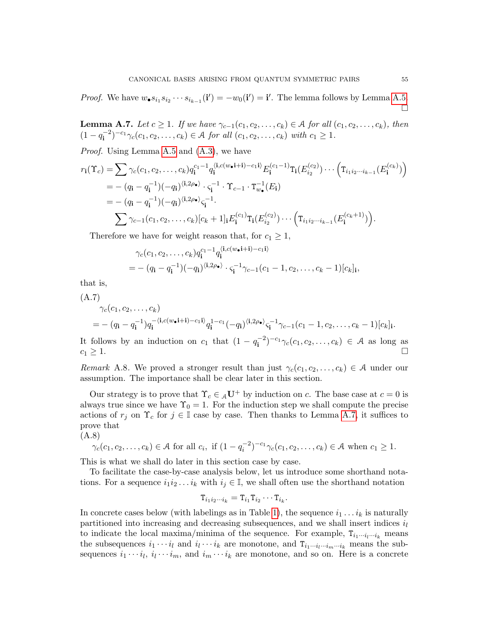*Proof.* We have  $w_{\bullet} s_{i_1} s_{i_2} \cdots s_{i_{k-1}}(\mathbf{i}') = -w_0(\mathbf{i}') = \mathbf{i}'$ . The lemma follows by Lemma [A.5.](#page-53-1) П

<span id="page-54-0"></span>**Lemma A.7.** Let  $c \geq 1$ . If we have  $\gamma_{c-1}(c_1, c_2, \ldots, c_k) \in \mathcal{A}$  for all  $(c_1, c_2, \ldots, c_k)$ , then  $(1 - q_i^{-2})$  $(c_1, c_2, \ldots, c_k) \in \mathcal{A}$  for all  $(c_1, c_2, \ldots, c_k)$  with  $c_1 \geq 1$ .

Proof. Using Lemma [A.5](#page-53-1) and [\(A.3\)](#page-53-2), we have

$$
r_{\mathbf{i}}(\Upsilon_{c}) = \sum \gamma_{c}(c_{1}, c_{2}, \dots, c_{k}) q_{\mathbf{i}}^{c_{1}-1} q_{\mathbf{i}}^{\langle \mathbf{i}, c(w_{\bullet} \mathbf{i}+\mathbf{i})-c_{1} \mathbf{i} \rangle} E_{\mathbf{i}}^{(c_{1}-1)} \mathbf{T}_{\mathbf{i}}(E_{i_{2}}^{(c_{2})}) \cdots ( \mathbf{T}_{i_{1}i_{2} \cdots i_{k-1}}(E_{\mathbf{i}}^{(c_{k})}) )
$$
  
\n
$$
= - (q_{\mathbf{i}} - q_{\mathbf{i}}^{-1}) (-q_{\mathbf{i}})^{\langle \mathbf{i}, 2\rho_{\bullet} \rangle} \cdot \varsigma_{\mathbf{i}}^{-1} \cdot \Upsilon_{c-1} \cdot \mathbf{T}_{w_{\bullet}}^{-1}(E_{\mathbf{i}})
$$
  
\n
$$
= - (q_{\mathbf{i}} - q_{\mathbf{i}}^{-1}) (-q_{\mathbf{i}})^{\langle \mathbf{i}, 2\rho_{\bullet} \rangle} \varsigma_{\mathbf{i}}^{-1}.
$$
  
\n
$$
\sum \gamma_{c-1}(c_{1}, c_{2}, \dots, c_{k}) [c_{k} + 1]_{\mathbf{i}} E_{\mathbf{i}}^{(c_{1})} \mathbf{T}_{\mathbf{i}}(E_{i_{2}}^{(c_{2})}) \cdots ( \mathbf{T}_{i_{1}i_{2} \cdots i_{k-1}}(E_{\mathbf{i}}^{(c_{k}+1)}) ).
$$

Therefore we have for weight reason that, for  $c_1 \geq 1$ ,

$$
\gamma_c(c_1, c_2, \dots, c_k) q_i^{c_1-1} q_i^{\langle \mathbf{i}, c(w_\bullet \mathbf{i}+\mathbf{i})-c_1 \mathbf{i} \rangle}
$$
  
= - (q<sub>\mathbf{i</sub> - q<sub>\mathbf{i</sub><sup>-1</sup>)(-q<sub>\mathbf{i</sub>)}^{\langle \mathbf{i}, 2\rho\_\bullet \rangle} \cdot \varsigma\_{\mathbf{i}}^{-1} \gamma\_{c-1}(c\_1 - 1, c\_2, \dots, c\_k - 1)[c\_k]\_{\mathbf{i}},

that is,

(A.7)

$$
\gamma_c(c_1, c_2, \dots, c_k)
$$
  
= - (q\_i - q\_i^{-1})q\_i^{-(i,c(w\_0 i + i) - c\_1 i)}q\_i^{1 - c\_1}(-q\_i)^{\langle i, 2\rho\_{\bullet}\rangle}\varsigma\_i^{-1}\gamma\_{c-1}(c\_1 - 1, c\_2, \dots, c\_k - 1)[c\_k]\_i.

It follows by an induction on  $c_1$  that  $(1 - q_1^{-2})$  $\binom{-2}{\mathbf{i}}$ <sup>-c<sub>1</sub></sup> $\gamma_c(c_1, c_2, \ldots, c_k) \in \mathcal{A}$  as long as  $c_1 \geq 1.$ 

Remark A.8. We proved a stronger result than just  $\gamma_c(c_1, c_2, \ldots, c_k) \in \mathcal{A}$  under our assumption. The importance shall be clear later in this section.

Our strategy is to prove that  $\Upsilon_c \in {}_{\mathcal{A}}\mathbf{U}^+$  by induction on c. The base case at  $c = 0$  is always true since we have  $\Upsilon_0 = 1$ . For the induction step we shall compute the precise actions of  $r_j$  on  $\Upsilon_c$  for  $j \in \mathbb{I}$  case by case. Then thanks to Lemma [A.7,](#page-54-0) it suffices to prove that

(A.8)

<span id="page-54-1"></span>
$$
\gamma_c(c_1, c_2,..., c_k) \in \mathcal{A}
$$
 for all  $c_i$ , if  $(1 - q_i^{-2})^{-c_1} \gamma_c(c_1, c_2,..., c_k) \in \mathcal{A}$  when  $c_1 \geq 1$ .

This is what we shall do later in this section case by case.

To facilitate the case-by-case analysis below, let us introduce some shorthand notations. For a sequence  $i_1i_2 \ldots i_k$  with  $i_j \in \mathbb{I}$ , we shall often use the shorthand notation

$$
T_{i_1i_2\cdots i_k}=T_{i_1}T_{i_2}\cdots T_{i_k}.
$$

In concrete cases below (with labelings as in Table [1\)](#page-17-2), the sequence  $i_1 \ldots i_k$  is naturally partitioned into increasing and decreasing subsequences, and we shall insert indices  $i_l$ to indicate the local maxima/minima of the sequence. For example,  $T_{i_1\cdots i_l\cdots i_k}$  means the subsequences  $i_1 \cdots i_l$  and  $i_l \cdots i_k$  are monotone, and  $T_{i_1 \cdots i_l \cdots i_m \cdots i_k}$  means the subsequences  $i_1 \cdots i_l$ ,  $i_l \cdots i_m$ , and  $i_m \cdots i_k$  are monotone, and so on. Here is a concrete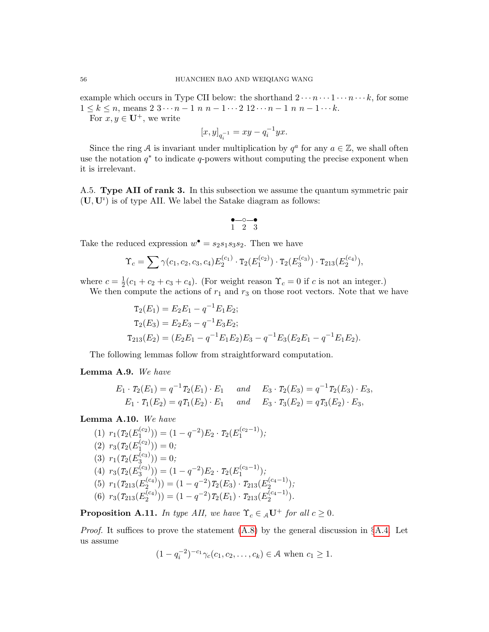example which occurs in Type CII below: the shorthand  $2 \cdots n \cdots 1 \cdots n \cdots k$ , for some  $1 \leq k \leq n$ , means  $2 \cdot 3 \cdot \cdot \cdot n - 1$  n  $n - 1 \cdot \cdot \cdot 2 \cdot 12 \cdot \cdot \cdot n - 1$  n  $n - 1 \cdot \cdot \cdot k$ .

For  $x, y \in U^+$ , we write

$$
[x, y]_{q_i^{-1}} = xy - q_i^{-1} yx.
$$

Since the ring A is invariant under multiplication by  $q^a$  for any  $a \in \mathbb{Z}$ , we shall often use the notation  $q^*$  to indicate q-powers without computing the precise exponent when it is irrelevant.

<span id="page-55-0"></span>A.5. Type AII of rank 3. In this subsection we assume the quantum symmetric pair  $(U, U^i)$  is of type AII. We label the Satake diagram as follows:

$$
\overset{\bullet\text{---}\circ\text{---}\bullet}{1\quad 2\quad 3}
$$

Take the reduced expression  $w^{\bullet} = s_2 s_1 s_3 s_2$ . Then we have

$$
\Upsilon_c = \sum \gamma(c_1, c_2, c_3, c_4) E_2^{(c_1)} \cdot T_2(E_1^{(c_2)}) \cdot T_2(E_3^{(c_3)}) \cdot T_{213}(E_2^{(c_4)}),
$$

where  $c = \frac{1}{2}$  $\frac{1}{2}(c_1 + c_2 + c_3 + c_4)$ . (For weight reason  $\Upsilon_c = 0$  if c is not an integer.)

We then compute the actions of 
$$
r_1
$$
 and  $r_3$  on those root vectors. Note that we have

$$
T_2(E_1) = E_2 E_1 - q^{-1} E_1 E_2;
$$
  
\n
$$
T_2(E_3) = E_2 E_3 - q^{-1} E_3 E_2;
$$
  
\n
$$
T_{213}(E_2) = (E_2 E_1 - q^{-1} E_1 E_2) E_3 - q^{-1} E_3 (E_2 E_1 - q^{-1} E_1 E_2).
$$

The following lemmas follow from straightforward computation.

Lemma A.9. We have

$$
E_1 \cdot T_2(E_1) = q^{-1} T_2(E_1) \cdot E_1 \quad and \quad E_3 \cdot T_2(E_3) = q^{-1} T_2(E_3) \cdot E_3,
$$
  
\n
$$
E_1 \cdot T_1(E_2) = q T_1(E_2) \cdot E_1 \quad and \quad E_3 \cdot T_3(E_2) = q T_3(E_2) \cdot E_3,
$$

# Lemma A.10. We have

(1) 
$$
r_1(T_2(E_1^{(c_2)})) = (1 - q^{-2})E_2 \cdot T_2(E_1^{(c_2-1)});
$$
  
\n(2)  $r_3(T_2(E_1^{(c_2)})) = 0;$   
\n(3)  $r_1(T_2(E_3^{(c_3)})) = 0;$   
\n(4)  $r_3(T_2(E_3^{(c_3)})) = (1 - q^{-2})E_2 \cdot T_2(E_1^{(c_3-1)});$   
\n(5)  $r_1(T_{213}(E_2^{(c_4)})) = (1 - q^{-2})T_2(E_3) \cdot T_{213}(E_2^{(c_4-1)});$   
\n(6)  $r_3(T_{213}(E_2^{(c_4)})) = (1 - q^{-2})T_2(E_1) \cdot T_{213}(E_2^{(c_4-1)}).$ 

<span id="page-55-1"></span>**Proposition A.11.** In type AII, we have  $\Upsilon_c \in {}_{\mathcal{A}}\mathbf{U}^+$  for all  $c \geq 0$ .

*Proof.* It suffices to prove the statement  $(A.8)$  by the general discussion in §[A.4.](#page-53-0) Let us assume

$$
(1 - q_i^{-2})^{-c_1} \gamma_c(c_1, c_2, \dots, c_k) \in \mathcal{A}
$$
 when  $c_1 \ge 1$ .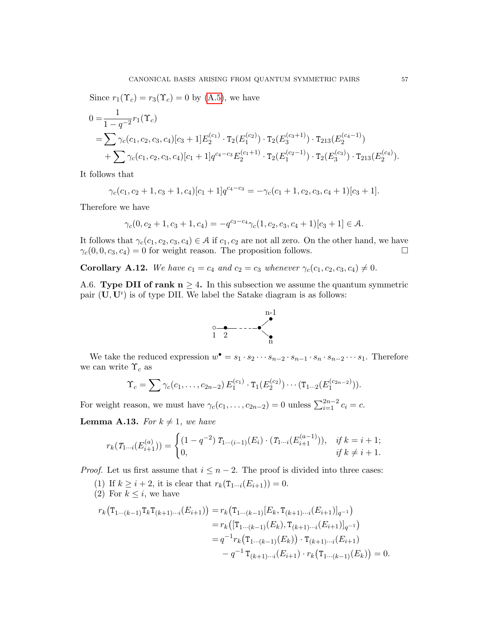Since  $r_1(\Upsilon_c) = r_3(\Upsilon_c) = 0$  by [\(A.5\)](#page-53-3), we have

$$
0 = \frac{1}{1 - q^{-2}} r_1(\Upsilon_c)
$$
  
=  $\sum \gamma_c(c_1, c_2, c_3, c_4) [c_3 + 1] E_2^{(c_1)} \cdot T_2(E_1^{(c_2)}) \cdot T_2(E_3^{(c_3+1)}) \cdot T_{213}(E_2^{(c_4-1)})$   
+  $\sum \gamma_c(c_1, c_2, c_3, c_4) [c_1 + 1] q^{c_4 - c_3} E_2^{(c_1+1)} \cdot T_2(E_1^{(c_2-1)}) \cdot T_2(E_3^{(c_3)}) \cdot T_{213}(E_2^{(c_4)}).$ 

It follows that

$$
\gamma_c(c_1, c_2+1, c_3+1, c_4)[c_1+1]q^{c_4-c_3} = -\gamma_c(c_1+1, c_2, c_3, c_4+1)[c_3+1].
$$

Therefore we have

$$
\gamma_c(0, c_2 + 1, c_3 + 1, c_4) = -q^{c_3 - c_4} \gamma_c(1, c_2, c_3, c_4 + 1)[c_3 + 1] \in \mathcal{A}.
$$

It follows that  $\gamma_c(c_1, c_2, c_3, c_4) \in \mathcal{A}$  if  $c_1, c_2$  are not all zero. On the other hand, we have  $\gamma_c(0, 0, c_3, c_4) = 0$  for weight reason. The proposition follows.

Corollary A.12. We have  $c_1 = c_4$  and  $c_2 = c_3$  whenever  $\gamma_c(c_1, c_2, c_3, c_4) \neq 0$ .

<span id="page-56-0"></span>A.6. Type DII of rank  $n \geq 4$ . In this subsection we assume the quantum symmetric pair  $(\mathbf{U}, \mathbf{U}^i)$  is of type DII. We label the Satake diagram is as follows:



We take the reduced expression  $w^{\bullet} = s_1 \cdot s_2 \cdots s_{n-2} \cdot s_{n-1} \cdot s_n \cdot s_{n-2} \cdots s_1$ . Therefore we can write  $\Upsilon_c$  as

$$
\Upsilon_c = \sum \gamma_c(c_1, \ldots, c_{2n-2}) E_1^{(c_1)} \cdot T_1(E_2^{(c_2)}) \cdots (T_{1\cdots 2}(E_1^{(c_{2n-2})})).
$$

For weight reason, we must have  $\gamma_c(c_1, \ldots, c_{2n-2}) = 0$  unless  $\sum_{i=1}^{2n-2} c_i = c$ .

<span id="page-56-1"></span>**Lemma A.13.** For  $k \neq 1$ , we have

$$
r_k(T_{1\cdots i}(E_{i+1}^{(a)})) = \begin{cases} (1-q^{-2}) \ T_{1\cdots (i-1)}(E_i) \cdot (T_{1\cdots i}(E_{i+1}^{(a-1)})), & if \ k=i+1; \\ 0, & if \ k\neq i+1. \end{cases}
$$

*Proof.* Let us first assume that  $i \leq n-2$ . The proof is divided into three cases:

- (1) If  $k \geq i + 2$ , it is clear that  $r_k(T_{1\cdots i}(E_{i+1})) = 0$ .
- (2) For  $k \leq i$ , we have

$$
r_k(\mathbf{T}_{1\cdots(k-1)}\mathbf{T}_{k}\mathbf{T}_{(k+1)\cdots i}(E_{i+1})) = r_k(\mathbf{T}_{1\cdots(k-1)}[E_k, \mathbf{T}_{(k+1)\cdots i}(E_{i+1})]_{q^{-1}})
$$
  
\n
$$
= r_k([\mathbf{T}_{1\cdots(k-1)}(E_k), \mathbf{T}_{(k+1)\cdots i}(E_{i+1})]_{q^{-1}})
$$
  
\n
$$
= q^{-1}r_k(\mathbf{T}_{1\cdots(k-1)}(E_k)) \cdot \mathbf{T}_{(k+1)\cdots i}(E_{i+1})
$$
  
\n
$$
-q^{-1}\mathbf{T}_{(k+1)\cdots i}(E_{i+1}) \cdot r_k(\mathbf{T}_{1\cdots(k-1)}(E_k)) = 0.
$$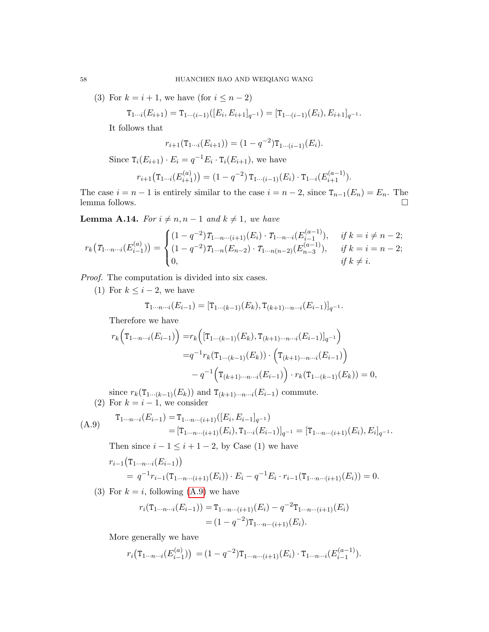(3) For  $k = i + 1$ , we have (for  $i \leq n - 2$ )

$$
T_{1\cdots i}(E_{i+1}) = T_{1\cdots (i-1)}([E_i, E_{i+1}]_{q^{-1}}) = [T_{1\cdots (i-1)}(E_i), E_{i+1}]_{q^{-1}}.
$$

It follows that

$$
r_{i+1}(\mathbf{T}_{1\cdots i}(E_{i+1})) = (1 - q^{-2})\mathbf{T}_{1\cdots (i-1)}(E_i).
$$

Since  $\mathsf{T}_i(E_{i+1}) \cdot E_i = q^{-1} E_i \cdot \mathsf{T}_i(E_{i+1}),$  we have

$$
r_{i+1}(\mathrm{T}_{1\cdots i}(E_{i+1}^{(a)})) = (1-q^{-2}) \mathrm{T}_{1\cdots (i-1)}(E_i) \cdot \mathrm{T}_{1\cdots i}(E_{i+1}^{(a-1)}).
$$

The case  $i = n - 1$  is entirely similar to the case  $i = n - 2$ , since  $T_{n-1}(E_n) = E_n$ . The lemma follows.  $\Box$ 

<span id="page-57-1"></span>**Lemma A.14.** For  $i \neq n, n-1$  and  $k \neq 1$ , we have

$$
r_k(T_{1\cdots n\cdots i}(E_{i-1}^{(a)})) = \begin{cases} (1-q^{-2})T_{1\cdots n\cdots (i+1)}(E_i) \cdot T_{1\cdots n\cdots i}(E_{i-1}^{(a-1)}), & \text{if } k = i \neq n-2; \\ (1-q^{-2})T_{1\cdots n}(E_{n-2}) \cdot T_{1\cdots n(n-2)}(E_{n-3}^{(a-1)}), & \text{if } k = i = n-2; \\ 0, & \text{if } k \neq i. \end{cases}
$$

Proof. The computation is divided into six cases.

(1) For  $k \leq i - 2$ , we have

$$
\mathbf{T}_{1\cdots n\cdots i}(E_{i-1}) = [\mathbf{T}_{1\cdots (k-1)}(E_k), \mathbf{T}_{(k+1)\cdots n\cdots i}(E_{i-1})]_{q^{-1}}.
$$

Therefore we have

$$
r_k\Big(\mathbf{T}_{1\cdots n\cdots i}(E_{i-1})\Big) = r_k\Big([\mathbf{T}_{1\cdots (k-1)}(E_k), \mathbf{T}_{(k+1)\cdots n\cdots i}(E_{i-1})]_{q^{-1}}\Big)
$$
  

$$
= q^{-1}r_k(\mathbf{T}_{1\cdots (k-1)}(E_k)) \cdot \Big(\mathbf{T}_{(k+1)\cdots n\cdots i}(E_{i-1})\Big)
$$
  

$$
-q^{-1}\Big(\mathbf{T}_{(k+1)\cdots n\cdots i}(E_{i-1})\Big) \cdot r_k(\mathbf{T}_{1\cdots (k-1)}(E_k)) = 0,
$$

since  $r_k(\mathsf{T}_{1\cdots(k-1)}(E_k))$  and  $\mathsf{T}_{(k+1)\cdots n\cdots i}(E_{i-1})$  commute. (2) For  $k = i - 1$ , we consider

<span id="page-57-0"></span>(A.9) 
$$
\mathbf{T}_{1\cdots n\cdots i}(E_{i-1}) = \mathbf{T}_{1\cdots n\cdots (i+1)}([E_i, E_{i-1}]_{q^{-1}})
$$
  
= 
$$
[\mathbf{T}_{1\cdots n\cdots (i+1)}(E_i), \mathbf{T}_{1\cdots i}(E_{i-1})]_{q^{-1}} = [\mathbf{T}_{1\cdots n\cdots (i+1)}(E_i), E_i]_{q^{-1}}.
$$

Then since  $i - 1 \leq i + 1 - 2$ , by Case (1) we have

$$
r_{i-1}(\mathbf{T}_{1\cdots n\cdots i}(E_{i-1}))
$$
  
=  $q^{-1}r_{i-1}(\mathbf{T}_{1\cdots n\cdots (i+1)}(E_i)) \cdot E_i - q^{-1}E_i \cdot r_{i-1}(\mathbf{T}_{1\cdots n\cdots (i+1)}(E_i)) = 0.$ 

(3) For  $k = i$ , following  $(A.9)$  we have

$$
r_i(\mathbf{T}_{1\cdots n\cdots i}(E_{i-1})) = \mathbf{T}_{1\cdots n\cdots (i+1)}(E_i) - q^{-2}\mathbf{T}_{1\cdots n\cdots (i+1)}(E_i)
$$
  
=  $(1 - q^{-2})\mathbf{T}_{1\cdots n\cdots (i+1)}(E_i).$ 

More generally we have

$$
r_i(\mathbf{T}_{1\cdots n\cdots i}(E_{i-1}^{(a)})) = (1-q^{-2})\mathbf{T}_{1\cdots n\cdots (i+1)}(E_i)\cdot \mathbf{T}_{1\cdots n\cdots i}(E_{i-1}^{(a-1)}).
$$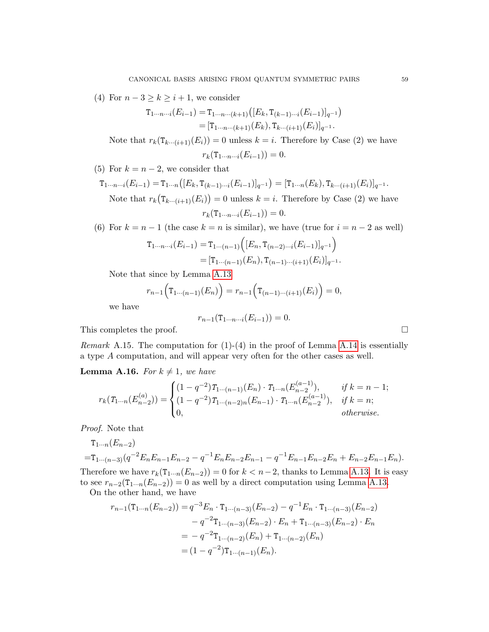(4) For  $n-3 \geq k \geq i+1$ , we consider

$$
T_{1\cdots n\cdots i}(E_{i-1}) = T_{1\cdots n\cdots (k+1)}([E_k, T_{(k-1)\cdots i}(E_{i-1})]_{q^{-1}})
$$
  
= 
$$
[T_{1\cdots n\cdots (k+1)}(E_k), T_{k\cdots (i+1)}(E_i)]_{q^{-1}}.
$$

Note that  $r_k(\mathsf{T}_{k\cdots (i+1)}(E_i))=0$  unless  $k=i$ . Therefore by Case (2) we have  $r_k(T_1...r_{i-1}(E_{i-1})) = 0.$ 

(5) For  $k = n - 2$ , we consider that

$$
\mathbf{T}_{1\cdots n\cdots i}(E_{i-1}) = \mathbf{T}_{1\cdots n}([E_k, \mathbf{T}_{(k-1)\cdots i}(E_{i-1})]_{q^{-1}}) = [\mathbf{T}_{1\cdots n}(E_k), \mathbf{T}_{k\cdots (i+1)}(E_i)]_{q^{-1}}.
$$
  
Note that  $r_k(\mathbf{T}_{k\cdots (i+1)}(E_i)) = 0$  unless  $k = i$ . Therefore by Case (2) we have

$$
r_k(\mathbf{T}_{1\cdots n\cdots i}(E_{i-1}))=0.
$$

(6) For  $k = n - 1$  (the case  $k = n$  is similar), we have (true for  $i = n - 2$  as well)

$$
T_{1\cdots n\cdots i}(E_{i-1}) = T_{1\cdots (n-1)}\Big([E_n, T_{(n-2)\cdots i}(E_{i-1})]_{q^{-1}}\Big)
$$
  
= 
$$
[T_{1\cdots (n-1)}(E_n), T_{(n-1)\cdots (i+1)}(E_i)]_{q^{-1}}.
$$

Note that since by Lemma [A.13](#page-56-1)

$$
r_{n-1}(\mathbf{T}_{1\cdots(n-1)}(E_n)) = r_{n-1}(\mathbf{T}_{(n-1)\cdots(i+1)}(E_i)) = 0,
$$

we have

$$
r_{n-1}(\mathbf{T}_{1\cdots n\cdots i}(E_{i-1}))=0.
$$

This completes the proof.  $\Box$ 

*Remark* A.15. The computation for  $(1)-(4)$  in the proof of Lemma [A.14](#page-57-1) is essentially a type A computation, and will appear very often for the other cases as well.

**Lemma A.16.** For  $k \neq 1$ , we have

$$
r_k(T_{1\cdots n}(E_{n-2}^{(a)})) = \begin{cases} (1-q^{-2})T_{1\cdots (n-1)}(E_n) \cdot T_{1\cdots n}(E_{n-2}^{(a-1)}), & \text{if } k = n-1; \\ (1-q^{-2})T_{1\cdots (n-2)n}(E_{n-1}) \cdot T_{1\cdots n}(E_{n-2}^{(a-1)}), & \text{if } k = n; \\ 0, & \text{otherwise.} \end{cases}
$$

Proof. Note that

$$
\tau_{1\cdots n}(E_{n-2})
$$
  
= $\tau_{1\cdots (n-3)}(q^{-2}E_nE_{n-1}E_{n-2} - q^{-1}E_nE_{n-2}E_{n-1} - q^{-1}E_{n-1}E_{n-2}E_n + E_{n-2}E_{n-1}E_n).$   
Therefore we have  $r_k(\tau_{1\cdots n}(E_{n-2})) = 0$  for  $k < n-2$ , thanks to Lemma A.13. It is easy

to see  $r_{n-2}(\mathsf{T}_{1\cdots n}(E_{n-2}))=0$  as well by a direct computation using Lemma [A.13.](#page-56-1) On the other hand, we have

$$
r_{n-1}(\mathbf{T}_{1\cdots n}(E_{n-2})) = q^{-3}E_n \cdot \mathbf{T}_{1\cdots(n-3)}(E_{n-2}) - q^{-1}E_n \cdot \mathbf{T}_{1\cdots(n-3)}(E_{n-2})
$$
  

$$
- q^{-2}\mathbf{T}_{1\cdots(n-3)}(E_{n-2}) \cdot E_n + \mathbf{T}_{1\cdots(n-3)}(E_{n-2}) \cdot E_n
$$
  

$$
= - q^{-2}\mathbf{T}_{1\cdots(n-2)}(E_n) + \mathbf{T}_{1\cdots(n-2)}(E_n)
$$
  

$$
= (1 - q^{-2})\mathbf{T}_{1\cdots(n-1)}(E_n).
$$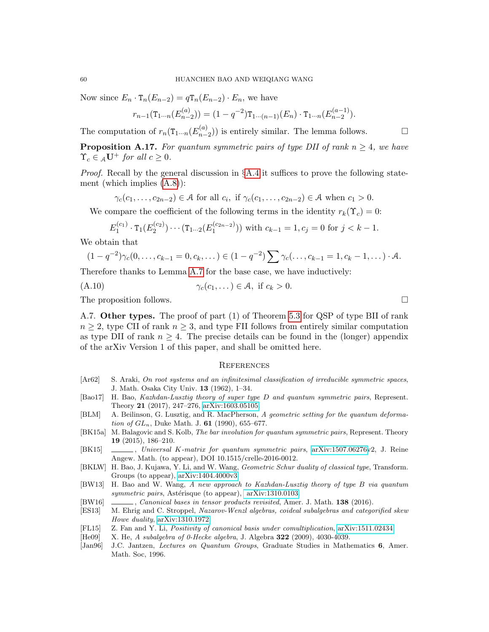Now since  $E_n \cdot T_n(E_{n-2}) = qT_n(E_{n-2}) \cdot E_n$ , we have

$$
r_{n-1}(\mathbf{T}_{1\cdots n}(E_{n-2}^{(a)})) = (1 - q^{-2})\mathbf{T}_{1\cdots (n-1)}(E_n) \cdot \mathbf{T}_{1\cdots n}(E_{n-2}^{(a-1)}).
$$

The computation of  $r_n(\mathsf{T}_{1\cdots n}(E_{n-1}^{(a)})$  $\binom{(a)}{n-2}$ ) is entirely similar. The lemma follows.  $\Box$ 

**Proposition A.17.** For quantum symmetric pairs of type DII of rank  $n \geq 4$ , we have  $\Upsilon_c \in {}_{\mathcal{A}}\mathbf{U}^+$  for all  $c \geq 0$ .

*Proof.* Recall by the general discussion in  $\S$ [A.4](#page-53-0) it suffices to prove the following statement (which implies [\(A.8\)](#page-54-1)):

$$
\gamma_c(c_1,\ldots,c_{2n-2}) \in \mathcal{A} \text{ for all } c_i, \text{ if } \gamma_c(c_1,\ldots,c_{2n-2}) \in \mathcal{A} \text{ when } c_1 > 0.
$$

We compare the coefficient of the following terms in the identity  $r_k(\Upsilon_c) = 0$ :

$$
E_1^{(c_1)} \cdot \mathsf{T}_1(E_2^{(c_2)}) \cdots (\mathsf{T}_{1\cdots 2}(E_1^{(c_{2n-2})})) \text{ with } c_{k-1} = 1, c_j = 0 \text{ for } j < k-1.
$$

We obtain that

$$
(1 - q^{-2})\gamma_c(0, \ldots, c_{k-1} = 0, c_k, \ldots) \in (1 - q^{-2})\sum \gamma_c(\ldots, c_{k-1} = 1, c_k - 1, \ldots) \cdot \mathcal{A}.
$$

Therefore thanks to Lemma [A.7](#page-54-0) for the base case, we have inductively:

(A.10)  $\gamma_c(c_1, \ldots) \in \mathcal{A}$ , if  $c_k > 0$ .

The proposition follows.  $\Box$ 

<span id="page-59-0"></span>A.7. Other types. The proof of part (1) of Theorem [5.3](#page-35-2) for QSP of type BII of rank  $n \geq 2$ , type CII of rank  $n \geq 3$ , and type FII follows from entirely similar computation as type DII of rank  $n \geq 4$ . The precise details can be found in the (longer) appendix of the arXiv Version 1 of this paper, and shall be omitted here.

#### <span id="page-59-1"></span>**REFERENCES**

- <span id="page-59-3"></span>[Ar62] S. Araki, On root systems and an infinitesimal classification of irreducible symmetric spaces, J. Math. Osaka City Univ. 13 (1962), 1–34.
- <span id="page-59-8"></span>[Bao17] H. Bao, Kazhdan-Lusztig theory of super type D and quantum symmetric pairs, Represent. Theory 21 (2017), 247–276, [arXiv:1603.05105.](http://arxiv.org/abs/1603.05105)
- <span id="page-59-6"></span>[BLM] A. Beilinson, G. Lusztig, and R. MacPherson, A geometric setting for the quantum deformation of  $GL_n$ , Duke Math. J. 61 (1990), 655–677.
- <span id="page-59-10"></span>[BK15a] M. Balagovic and S. Kolb, The bar involution for quantum symmetric pairs, Represent. Theory 19 (2015), 186–210.
- <span id="page-59-11"></span>[BK15] , Universal K-matrix for quantum symmetric pairs, [arXiv:1507.06276v](http://arxiv.org/abs/1507.06276)2, J. Reine Angew. Math. (to appear), DOI 10.1515/crelle-2016-0012.
- <span id="page-59-5"></span>[BKLW] H. Bao, J. Kujawa, Y. Li, and W. Wang, *Geometric Schur duality of classical type*, Transform. Groups (to appear), [arXiv:1404.4000v3.](http://arxiv.org/abs/1404.4000)
- <span id="page-59-4"></span>[BW13] H. Bao and W. Wang, A new approach to Kazhdan-Lusztig theory of type B via quantum symmetric pairs, Astérisque (to appear),  $arXiv:1310.0103$ .
- <span id="page-59-2"></span>[BW16] , Canonical bases in tensor products revisited, Amer. J. Math. 138 (2016).
- <span id="page-59-9"></span>[ES13] M. Ehrig and C. Stroppel, Nazarov-Wenzl algebras, coideal subalgebras and categorified skew Howe duality, [arXiv:1310.1972.](http://arxiv.org/abs/1310.1972)
- <span id="page-59-7"></span>[FL15] Z. Fan and Y. Li, Positivity of canonical basis under comultiplication, [arXiv:1511.02434.](http://arxiv.org/abs/1511.02434)
- $[He09]$  X. He, A subalgebra of 0-Hecke algebra, J. Algebra 322 (2009), 4030-4039.
- <span id="page-59-12"></span>[Jan96] J.C. Jantzen, Lectures on Quantum Groups, Graduate Studies in Mathematics 6, Amer. Math. Soc, 1996.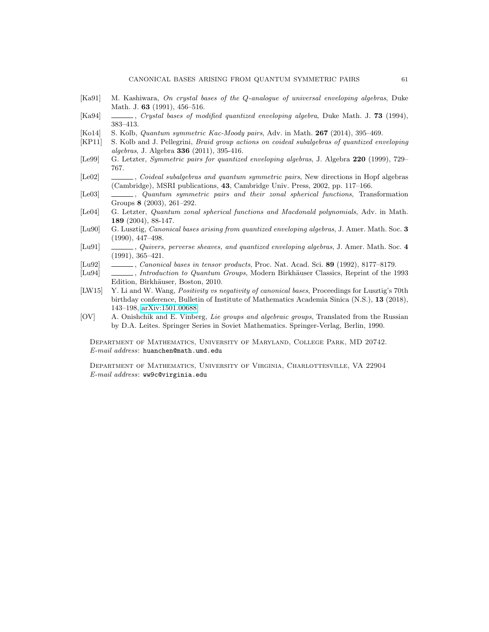- <span id="page-60-2"></span>[Ka91] M. Kashiwara, On crystal bases of the Q-analogue of universal enveloping algebras, Duke Math. J. **63** (1991), 456–516.
- <span id="page-60-11"></span>[Ka94] , Crystal bases of modified quantized enveloping algebra, Duke Math. J. 73 (1994), 383–413.
- <span id="page-60-8"></span>[Ko14] S. Kolb, Quantum symmetric Kac-Moody pairs, Adv. in Math. 267 (2014), 395–469.
- <span id="page-60-10"></span>[KP11] S. Kolb and J. Pellegrini, Braid group actions on coideal subalgebras of quantized enveloping algebras, J. Algebra 336 (2011), 395-416.
- <span id="page-60-6"></span>[Le99] G. Letzter, *Symmetric pairs for quantized enveloping algebras*, J. Algebra 220 (1999), 729– 767.
- <span id="page-60-7"></span>[Le02] , Coideal subalgebras and quantum symmetric pairs, New directions in Hopf algebras (Cambridge), MSRI publications, 43, Cambridge Univ. Press, 2002, pp. 117–166.
- <span id="page-60-13"></span>[Le03]  $\_\_\_\_\_\_\_\$  Quantum symmetric pairs and their zonal spherical functions, Transformation Groups 8 (2003), 261–292.
- <span id="page-60-12"></span>[Le04] G. Letzter, Quantum zonal spherical functions and Macdonald polynomials, Adv. in Math. 189 (2004), 88-147.
- <span id="page-60-0"></span>[Lu90] G. Lusztig, *Canonical bases arising from quantized enveloping algebras*, J. Amer. Math. Soc. 3 (1990), 447–498.
- <span id="page-60-1"></span>[Lu91] , Quivers, perverse sheaves, and quantized enveloping algebras, J. Amer. Math. Soc. 4 (1991), 365–421.
- <span id="page-60-3"></span>[Lu92] , Canonical bases in tensor products, Proc. Nat. Acad. Sci. 89 (1992), 8177–8179.
- <span id="page-60-4"></span>[Lu94] , Introduction to Quantum Groups, Modern Birkhäuser Classics, Reprint of the 1993 Edition, Birkhäuser, Boston, 2010.
- <span id="page-60-9"></span>[LW15] Y. Li and W. Wang, *Positivity vs negativity of canonical bases*, Proceedings for Lusztig's 70th birthday conference, Bulletin of Institute of Mathematics Academia Sinica (N.S.), 13 (2018), 143–198, [arXiv:1501.00688.](http://arxiv.org/abs/1501.00688)
- <span id="page-60-5"></span>[OV] A. Onishchik and E. Vinberg, Lie groups and algebraic groups, Translated from the Russian by D.A. Leites. Springer Series in Soviet Mathematics. Springer-Verlag, Berlin, 1990.

Department of Mathematics, University of Maryland, College Park, MD 20742. E-mail address: huanchen@math.umd.edu

Department of Mathematics, University of Virginia, Charlottesville, VA 22904 E-mail address: ww9c@virginia.edu